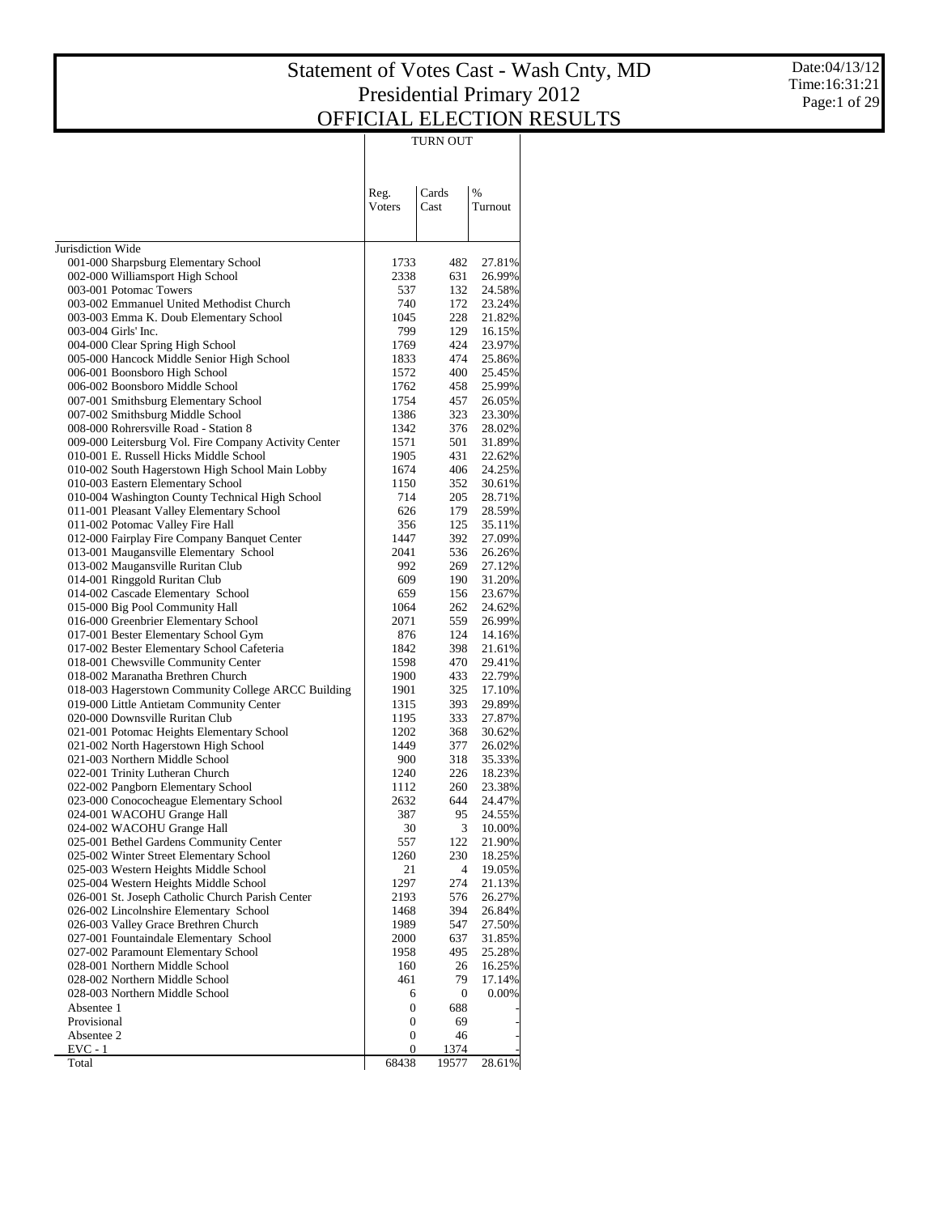Date:04/13/12 Time:16:31:21 Page:1 of 29

|                                                                                                |                | TURN OUT         |                  |
|------------------------------------------------------------------------------------------------|----------------|------------------|------------------|
|                                                                                                | Reg.<br>Voters | Cards<br>Cast    | %<br>Turnout     |
| Jurisdiction Wide                                                                              |                |                  |                  |
| 001-000 Sharpsburg Elementary School                                                           | 1733           | 482              | 27.81%           |
| 002-000 Williamsport High School                                                               | 2338           | 631              | 26.99%           |
| 003-001 Potomac Towers                                                                         | 537            | 132              | 24.58%           |
| 003-002 Emmanuel United Methodist Church                                                       | 740            | 172              | 23.24%           |
| 003-003 Emma K. Doub Elementary School                                                         | 1045           | 228              | 21.82%           |
| 003-004 Girls' Inc.                                                                            | 799            | 129              | 16.15%           |
| 004-000 Clear Spring High School                                                               | 1769           | 424              | 23.97%           |
| 005-000 Hancock Middle Senior High School                                                      | 1833           | 474              | 25.86%           |
| 006-001 Boonsboro High School                                                                  | 1572           | 400              | 25.45%           |
| 006-002 Boonsboro Middle School<br>007-001 Smithsburg Elementary School                        | 1762<br>1754   | 458<br>457       | 25.99%<br>26.05% |
| 007-002 Smithsburg Middle School                                                               | 1386           | 323              | 23.30%           |
| 008-000 Rohrersville Road - Station 8                                                          | 1342           | 376              | 28.02%           |
| 009-000 Leitersburg Vol. Fire Company Activity Center                                          | 1571           | 501              | 31.89%           |
| 010-001 E. Russell Hicks Middle School                                                         | 1905           | 431              | 22.62%           |
| 010-002 South Hagerstown High School Main Lobby                                                | 1674           | 406              | 24.25%           |
| 010-003 Eastern Elementary School                                                              | 1150           | 352              | 30.61%           |
| 010-004 Washington County Technical High School                                                | 714            | 205              | 28.71%           |
| 011-001 Pleasant Valley Elementary School                                                      | 626            | 179              | 28.59%           |
| 011-002 Potomac Valley Fire Hall                                                               | 356<br>1447    | 125<br>392       | 35.11%           |
| 012-000 Fairplay Fire Company Banquet Center<br>013-001 Maugansville Elementary School         | 2041           | 536              | 27.09%<br>26.26% |
| 013-002 Maugansville Ruritan Club                                                              | 992            | 269              | 27.12%           |
| 014-001 Ringgold Ruritan Club                                                                  | 609            | 190              | 31.20%           |
| 014-002 Cascade Elementary School                                                              | 659            | 156              | 23.67%           |
| 015-000 Big Pool Community Hall                                                                | 1064           | 262              | 24.62%           |
| 016-000 Greenbrier Elementary School                                                           | 2071           | 559              | 26.99%           |
| 017-001 Bester Elementary School Gym                                                           | 876            | 124              | 14.16%           |
| 017-002 Bester Elementary School Cafeteria                                                     | 1842           | 398              | 21.61%           |
| 018-001 Chewsville Community Center                                                            | 1598           | 470              | 29.41%           |
| 018-002 Maranatha Brethren Church                                                              | 1900<br>1901   | 433<br>325       | 22.79%<br>17.10% |
| 018-003 Hagerstown Community College ARCC Building<br>019-000 Little Antietam Community Center | 1315           | 393              | 29.89%           |
| 020-000 Downsville Ruritan Club                                                                | 1195           | 333              | 27.87%           |
| 021-001 Potomac Heights Elementary School                                                      | 1202           | 368              | 30.62%           |
| 021-002 North Hagerstown High School                                                           | 1449           | 377              | 26.02%           |
| 021-003 Northern Middle School                                                                 | 900            | 318              | 35.33%           |
| 022-001 Trinity Lutheran Church                                                                | 1240           | 226              | 18.23%           |
| 022-002 Pangborn Elementary School                                                             | 1112           | 260              | 23.38%           |
| 023-000 Conococheague Elementary School                                                        | 2632           | 644              | 24.47%           |
| 024-001 WACOHU Grange Hall                                                                     | 387            | 95               | 24.55%           |
| 024-002 WACOHU Grange Hall<br>025-001 Bethel Gardens Community Center                          | 30<br>557      | 3<br>122         | 10.00%<br>21.90% |
| 025-002 Winter Street Elementary School                                                        | 1260           | 230              | 18.25%           |
| 025-003 Western Heights Middle School                                                          | 21             | $\overline{4}$   | 19.05%           |
| 025-004 Western Heights Middle School                                                          | 1297           | 274              | 21.13%           |
| 026-001 St. Joseph Catholic Church Parish Center                                               | 2193           | 576              | 26.27%           |
| 026-002 Lincolnshire Elementary School                                                         | 1468           | 394              | 26.84%           |
| 026-003 Valley Grace Brethren Church                                                           | 1989           | 547              | 27.50%           |
| 027-001 Fountaindale Elementary School                                                         | 2000           | 637              | 31.85%           |
| 027-002 Paramount Elementary School                                                            | 1958           | 495              | 25.28%           |
| 028-001 Northern Middle School<br>028-002 Northern Middle School                               | 160<br>461     | 26<br>79         | 16.25%<br>17.14% |
| 028-003 Northern Middle School                                                                 | 6              | $\boldsymbol{0}$ | 0.00%            |
| Absentee 1                                                                                     | 0              | 688              |                  |
| Provisional                                                                                    | 0              | 69               |                  |
| Absentee 2                                                                                     | 0              | 46               |                  |
| EVC - 1                                                                                        | 0              | 1374             |                  |
| Total                                                                                          | 68438          | 19577            | 28.61%           |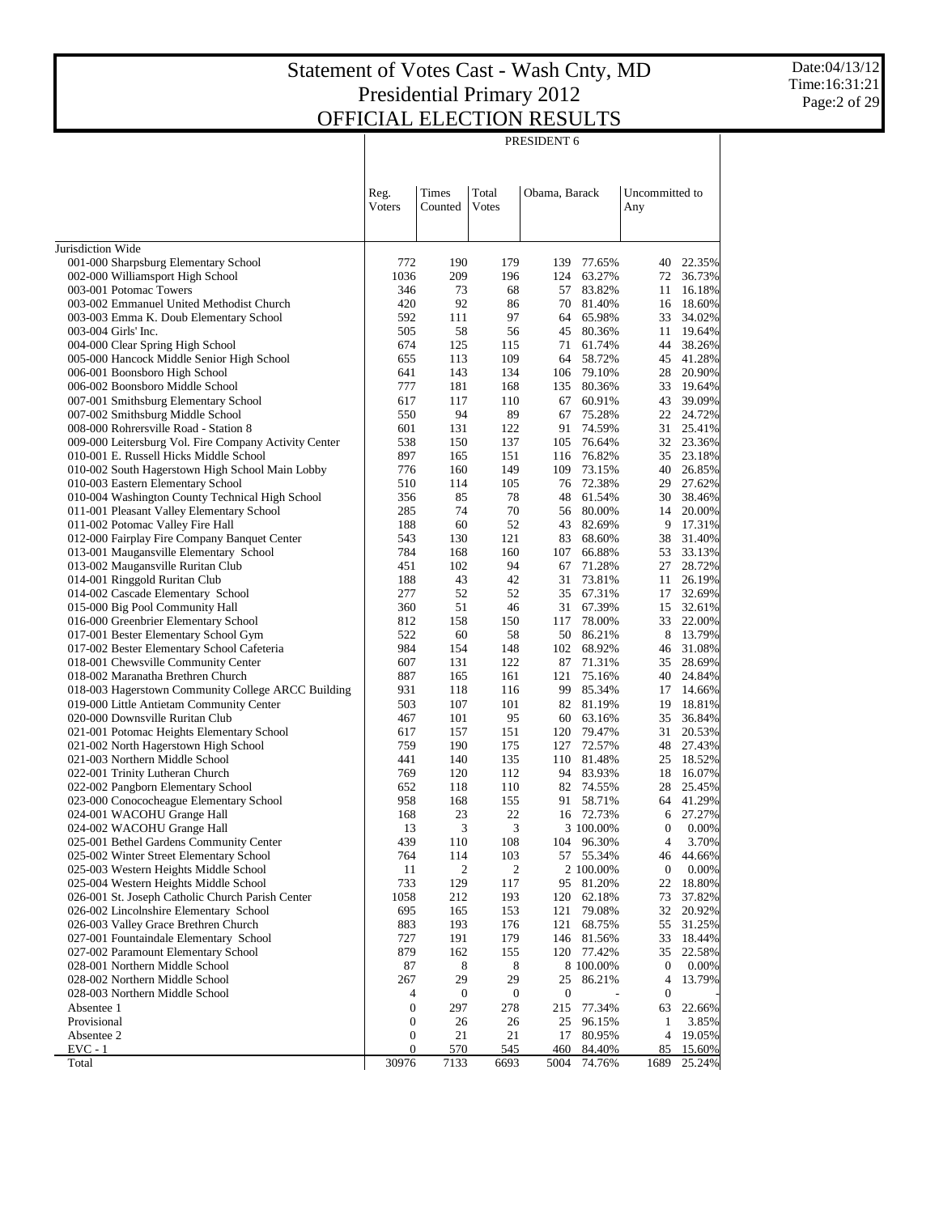|                                                                                                 |                       |                  |                  | PRESIDENT 6                     |                  |                  |
|-------------------------------------------------------------------------------------------------|-----------------------|------------------|------------------|---------------------------------|------------------|------------------|
|                                                                                                 |                       |                  |                  |                                 |                  |                  |
|                                                                                                 |                       |                  |                  |                                 |                  |                  |
|                                                                                                 | Reg.                  | Times            | Total            | Obama, Barack                   | Uncommitted to   |                  |
|                                                                                                 | Voters                | Counted          | Votes            |                                 | Any              |                  |
|                                                                                                 |                       |                  |                  |                                 |                  |                  |
| Jurisdiction Wide                                                                               |                       |                  |                  |                                 |                  |                  |
| 001-000 Sharpsburg Elementary School                                                            | 772                   | 190              | 179              | 139 77.65%                      | 40               | 22.35%           |
| 002-000 Williamsport High School                                                                | 1036                  | 209              | 196              | 124<br>63.27%                   | 72               | 36.73%           |
| 003-001 Potomac Towers                                                                          | 346                   | 73               | 68               | 83.82%<br>57                    | 11               | 16.18%           |
| 003-002 Emmanuel United Methodist Church                                                        | 420                   | 92               | 86               | 70<br>81.40%                    | 16               | 18.60%           |
| 003-003 Emma K. Doub Elementary School<br>003-004 Girls' Inc.                                   | 592<br>505            | 111<br>58        | 97<br>56         | 65.98%<br>64<br>80.36%          | 33<br>11         | 34.02%<br>19.64% |
| 004-000 Clear Spring High School                                                                | 674                   | 125              | 115              | 45<br>61.74%<br>71              | 44               | 38.26%           |
| 005-000 Hancock Middle Senior High School                                                       | 655                   | 113              | 109              | 64<br>58.72%                    | 45               | 41.28%           |
| 006-001 Boonsboro High School                                                                   | 641                   | 143              | 134              | 106 79.10%                      | 28               | 20.90%           |
| 006-002 Boonsboro Middle School                                                                 | 777                   | 181              | 168              | 135<br>80.36%                   | 33               | 19.64%           |
| 007-001 Smithsburg Elementary School                                                            | 617                   | 117              | 110              | 60.91%<br>67                    | 43               | 39.09%           |
| 007-002 Smithsburg Middle School                                                                | 550                   | 94               | 89               | 75.28%<br>67                    | 22               | 24.72%           |
| 008-000 Rohrersville Road - Station 8                                                           | 601                   | 131              | 122              | 91<br>74.59%                    | 31               | 25.41%           |
| 009-000 Leitersburg Vol. Fire Company Activity Center<br>010-001 E. Russell Hicks Middle School | 538<br>897            | 150<br>165       | 137<br>151       | 76.64%<br>105<br>116 76.82%     | 32<br>35         | 23.36%<br>23.18% |
| 010-002 South Hagerstown High School Main Lobby                                                 | 776                   | 160              | 149              | 109<br>73.15%                   | 40               | 26.85%           |
| 010-003 Eastern Elementary School                                                               | 510                   | 114              | 105              | 76 72.38%                       | 29               | 27.62%           |
| 010-004 Washington County Technical High School                                                 | 356                   | 85               | 78               | 61.54%<br>48                    | 30               | 38.46%           |
| 011-001 Pleasant Valley Elementary School                                                       | 285                   | 74               | 70               | 56 80.00%                       | 14               | 20.00%           |
| 011-002 Potomac Valley Fire Hall                                                                | 188                   | 60               | 52               | 43 82.69%                       | 9                | 17.31%           |
| 012-000 Fairplay Fire Company Banquet Center                                                    | 543                   | 130              | 121              | 83<br>68.60%                    | 38               | 31.40%           |
| 013-001 Maugansville Elementary School                                                          | 784<br>451            | 168<br>102       | 160<br>94        | 66.88%<br>107<br>71.28%         | 53<br>27         | 33.13%<br>28.72% |
| 013-002 Maugansville Ruritan Club<br>014-001 Ringgold Ruritan Club                              | 188                   | 43               | 42               | 67<br>73.81%<br>31              | 11               | 26.19%           |
| 014-002 Cascade Elementary School                                                               | 277                   | 52               | 52               | 35 67.31%                       | 17               | 32.69%           |
| 015-000 Big Pool Community Hall                                                                 | 360                   | 51               | 46               | 31 67.39%                       | 15               | 32.61%           |
| 016-000 Greenbrier Elementary School                                                            | 812                   | 158              | 150              | 78.00%<br>117                   | 33               | 22.00%           |
| 017-001 Bester Elementary School Gym                                                            | 522                   | 60               | 58               | 50 86.21%                       | 8                | 13.79%           |
| 017-002 Bester Elementary School Cafeteria                                                      | 984                   | 154              | 148              | 102 68.92%                      | 46               | 31.08%           |
| 018-001 Chewsville Community Center                                                             | 607                   | 131              | 122              | 87<br>71.31%                    | 35               | 28.69%           |
| 018-002 Maranatha Brethren Church<br>018-003 Hagerstown Community College ARCC Building         | 887<br>931            | 165<br>118       | 161<br>116       | 121<br>75.16%<br>99<br>85.34%   | 40<br>17         | 24.84%<br>14.66% |
| 019-000 Little Antietam Community Center                                                        | 503                   | 107              | 101              | 82 81.19%                       | 19               | 18.81%           |
| 020-000 Downsville Ruritan Club                                                                 | 467                   | 101              | 95               | 63.16%<br>60                    | 35               | 36.84%           |
| 021-001 Potomac Heights Elementary School                                                       | 617                   | 157              | 151              | 120 79.47%                      | 31               | 20.53%           |
| 021-002 North Hagerstown High School                                                            | 759                   | 190              | 175              | 127<br>72.57%                   | 48               | 27.43%           |
| 021-003 Northern Middle School                                                                  | 441                   | 140              | 135              | 110 81.48%                      | 25               | 18.52%           |
| 022-001 Trinity Lutheran Church                                                                 | 769                   | 120              | 112              | 94 83.93%                       | 18               | 16.07%           |
| 022-002 Pangborn Elementary School                                                              | 652<br>958            | 118<br>168       | 110<br>155       | 82 74.55%                       | 28               | 25.45%           |
| 023-000 Conococheague Elementary School<br>024-001 WACOHU Grange Hall                           | 168                   | 23               | 22               | 58.71%<br>91<br>16 72.73%       | 64<br>6          | 41.29%<br>27.27% |
| 024-002 WACOHU Grange Hall                                                                      | 13                    | 3                | 3                | 3 100.00%                       | $\boldsymbol{0}$ | $0.00\%$         |
| 025-001 Bethel Gardens Community Center                                                         | 439                   | 110              | 108              | 96.30%<br>104                   | $\overline{4}$   | 3.70%            |
| 025-002 Winter Street Elementary School                                                         | 764                   | 114              | 103              | 55.34%<br>57                    | 46               | 44.66%           |
| 025-003 Western Heights Middle School                                                           | 11                    | 2                | 2                | 2 100.00%                       | $\boldsymbol{0}$ | 0.00%            |
| 025-004 Western Heights Middle School                                                           | 733                   | 129              | 117              | 81.20%<br>95                    | 22               | 18.80%           |
| 026-001 St. Joseph Catholic Church Parish Center                                                | 1058                  | 212              | 193              | 62.18%<br>120                   | 73               | 37.82%           |
| 026-002 Lincolnshire Elementary School                                                          | 695                   | 165              | 153              | 121<br>79.08%                   | 32               | 20.92%<br>31.25% |
| 026-003 Valley Grace Brethren Church<br>027-001 Fountaindale Elementary School                  | 883<br>727            | 193<br>191       | 176<br>179       | 68.75%<br>121<br>81.56%<br>146  | 55<br>33         | 18.44%           |
| 027-002 Paramount Elementary School                                                             | 879                   | 162              | 155              | 120 77.42%                      | 35               | 22.58%           |
| 028-001 Northern Middle School                                                                  | 87                    | 8                | 8                | 8 100.00%                       | $\boldsymbol{0}$ | 0.00%            |
| 028-002 Northern Middle School                                                                  | 267                   | 29               | 29               | 86.21%<br>25                    | 4                | 13.79%           |
| 028-003 Northern Middle School                                                                  | 4                     | $\boldsymbol{0}$ | $\boldsymbol{0}$ | $\boldsymbol{0}$                | $\boldsymbol{0}$ |                  |
| Absentee 1                                                                                      | 0                     | 297              | 278              | 215<br>77.34%                   | 63               | 22.66%           |
| Provisional                                                                                     | 0                     | 26               | 26               | 96.15%<br>25                    | $\mathbf{1}$     | 3.85%            |
| Absentee 2                                                                                      | 0<br>$\boldsymbol{0}$ | 21               | 21               | 80.95%<br>17                    | 4                | 19.05%           |
| $EVC - 1$<br>Total                                                                              | 30976                 | 570<br>7133      | 545<br>6693      | 460<br>84.40%<br>5004<br>74.76% | 85<br>1689       | 15.60%<br>25.24% |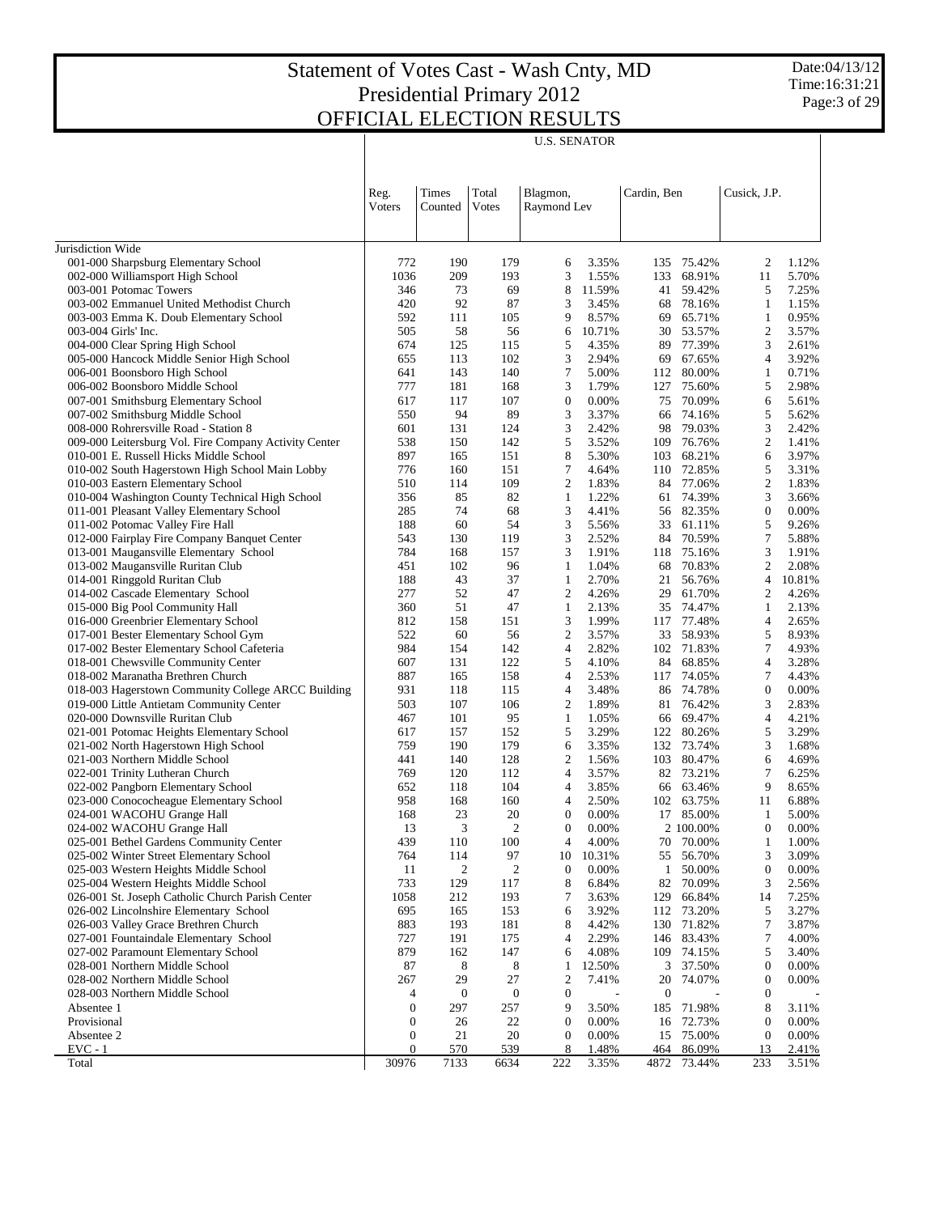Date:04/13/12 Time:16:31:21 Page:3 of 29

U.S. SENATOR

|                                                                              | Reg.<br>Voters        | Times<br>Counted | Total<br>Votes       | Blagmon,<br>Raymond Lev              |                | Cardin, Ben      |                        | Cusick, J.P.                     |                |
|------------------------------------------------------------------------------|-----------------------|------------------|----------------------|--------------------------------------|----------------|------------------|------------------------|----------------------------------|----------------|
|                                                                              |                       |                  |                      |                                      |                |                  |                        |                                  |                |
| Jurisdiction Wide                                                            |                       |                  |                      |                                      |                |                  |                        |                                  |                |
| 001-000 Sharpsburg Elementary School                                         | 772                   | 190              | 179                  | 6                                    | 3.35%          | 135              | 75.42%                 | 2                                | 1.12%          |
| 002-000 Williamsport High School                                             | 1036                  | 209              | 193                  | 3                                    | 1.55%          | 133              | 68.91%                 | 11                               | 5.70%          |
| 003-001 Potomac Towers                                                       | 346                   | 73               | 69                   | 8                                    | 11.59%         | 41               | 59.42%                 | 5                                | 7.25%          |
| 003-002 Emmanuel United Methodist Church                                     | 420                   | 92               | 87                   | 3                                    | 3.45%          | 68               | 78.16%                 | $\mathbf{1}$                     | 1.15%          |
| 003-003 Emma K. Doub Elementary School                                       | 592                   | 111              | 105                  | 9                                    | 8.57%          | 69               | 65.71%                 | $\mathbf{1}$                     | 0.95%          |
| 003-004 Girls' Inc.                                                          | 505                   | 58               | 56                   | 6                                    | 10.71%         | 30               | 53.57%                 | $\mathfrak{2}$                   | 3.57%          |
| 004-000 Clear Spring High School                                             | 674                   | 125              | 115                  | 5                                    | 4.35%          | 89               | 77.39%                 | 3                                | 2.61%          |
| 005-000 Hancock Middle Senior High School                                    | 655                   | 113              | 102                  | 3                                    | 2.94%          | 69               | 67.65%                 | $\overline{4}$                   | 3.92%          |
| 006-001 Boonsboro High School                                                | 641<br>777            | 143              | 140                  | 7                                    | 5.00%          | 112              | 80.00%                 | $\mathbf{1}$<br>5                | 0.71%          |
| 006-002 Boonsboro Middle School                                              | 617                   | 181<br>117       | 168<br>107           | 3<br>$\boldsymbol{0}$                | 1.79%<br>0.00% | 127<br>75        | 75.60%<br>70.09%       | 6                                | 2.98%<br>5.61% |
| 007-001 Smithsburg Elementary School<br>007-002 Smithsburg Middle School     | 550                   | 94               | 89                   | 3                                    | 3.37%          | 66               | 74.16%                 | 5                                | 5.62%          |
| 008-000 Rohrersville Road - Station 8                                        | 601                   | 131              | 124                  | 3                                    | 2.42%          | 98               | 79.03%                 | 3                                | 2.42%          |
| 009-000 Leitersburg Vol. Fire Company Activity Center                        | 538                   | 150              | 142                  | 5                                    | 3.52%          | 109              | 76.76%                 | $\overline{c}$                   | 1.41%          |
| 010-001 E. Russell Hicks Middle School                                       | 897                   | 165              | 151                  | 8                                    | 5.30%          | 103              | 68.21%                 | 6                                | 3.97%          |
| 010-002 South Hagerstown High School Main Lobby                              | 776                   | 160              | 151                  | $\tau$                               | 4.64%          | 110              | 72.85%                 | 5                                | 3.31%          |
| 010-003 Eastern Elementary School                                            | 510                   | 114              | 109                  | $\overline{2}$                       | 1.83%          | 84               | 77.06%                 | $\boldsymbol{2}$                 | 1.83%          |
| 010-004 Washington County Technical High School                              | 356                   | 85               | 82                   | 1                                    | 1.22%          | 61               | 74.39%                 | 3                                | 3.66%          |
| 011-001 Pleasant Valley Elementary School                                    | 285                   | 74               | 68                   | 3                                    | 4.41%          |                  | 56 82.35%              | $\boldsymbol{0}$                 | 0.00%          |
| 011-002 Potomac Valley Fire Hall                                             | 188                   | 60               | 54                   | 3                                    | 5.56%          | 33               | 61.11%                 | 5                                | 9.26%          |
| 012-000 Fairplay Fire Company Banquet Center                                 | 543                   | 130              | 119                  | 3                                    | 2.52%          | 84               | 70.59%                 | 7                                | 5.88%          |
| 013-001 Maugansville Elementary School                                       | 784                   | 168              | 157                  | 3                                    | 1.91%          | 118              | 75.16%                 | 3                                | 1.91%          |
| 013-002 Maugansville Ruritan Club                                            | 451                   | 102              | 96                   | 1                                    | 1.04%          | 68               | 70.83%                 | $\boldsymbol{2}$                 | 2.08%          |
| 014-001 Ringgold Ruritan Club                                                | 188                   | 43               | 37                   | 1                                    | 2.70%          | 21               | 56.76%                 | $\overline{4}$                   | 10.81%         |
| 014-002 Cascade Elementary School                                            | 277                   | 52               | 47                   | $\overline{2}$                       | 4.26%          | 29               | 61.70%                 | $\overline{2}$                   | 4.26%          |
| 015-000 Big Pool Community Hall                                              | 360                   | 51               | 47                   | 1                                    | 2.13%          | 35               | 74.47%                 | $\mathbf{1}$                     | 2.13%          |
| 016-000 Greenbrier Elementary School<br>017-001 Bester Elementary School Gym | 812<br>522            | 158<br>60        | 151<br>56            | 3<br>$\overline{2}$                  | 1.99%<br>3.57% | 117<br>33        | 77.48%<br>58.93%       | $\overline{4}$<br>5              | 2.65%<br>8.93% |
| 017-002 Bester Elementary School Cafeteria                                   | 984                   | 154              | 142                  | 4                                    | 2.82%          |                  | 102 71.83%             | 7                                | 4.93%          |
| 018-001 Chewsville Community Center                                          | 607                   | 131              | 122                  | 5                                    | 4.10%          | 84               | 68.85%                 | $\overline{4}$                   | 3.28%          |
| 018-002 Maranatha Brethren Church                                            | 887                   | 165              | 158                  | 4                                    | 2.53%          | 117              | 74.05%                 | 7                                | 4.43%          |
| 018-003 Hagerstown Community College ARCC Building                           | 931                   | 118              | 115                  | $\overline{4}$                       | 3.48%          | 86               | 74.78%                 | $\boldsymbol{0}$                 | 0.00%          |
| 019-000 Little Antietam Community Center                                     | 503                   | 107              | 106                  | $\overline{2}$                       | 1.89%          | 81               | 76.42%                 | 3                                | 2.83%          |
| 020-000 Downsville Ruritan Club                                              | 467                   | 101              | 95                   | 1                                    | 1.05%          | 66               | 69.47%                 | $\overline{4}$                   | 4.21%          |
| 021-001 Potomac Heights Elementary School                                    | 617                   | 157              | 152                  | 5                                    | 3.29%          | 122              | 80.26%                 | 5                                | 3.29%          |
| 021-002 North Hagerstown High School                                         | 759                   | 190              | 179                  | 6                                    | 3.35%          | 132              | 73.74%                 | 3                                | 1.68%          |
| 021-003 Northern Middle School                                               | 441                   | 140              | 128                  | $\overline{2}$                       | 1.56%          | 103              | 80.47%                 | 6                                | 4.69%          |
| 022-001 Trinity Lutheran Church                                              | 769                   | 120              | 112                  | $\overline{4}$                       | 3.57%          |                  | 82 73.21%              | 7                                | 6.25%          |
| 022-002 Pangborn Elementary School                                           | 652                   | 118              | 104                  | 4                                    | 3.85%          | 66               | 63.46%                 | 9                                | 8.65%          |
| 023-000 Conococheague Elementary School                                      | 958                   | 168              | 160                  | $\overline{4}$                       | 2.50%          | 102              | 63.75%                 | 11                               | 6.88%          |
| 024-001 WACOHU Grange Hall<br>024-002 WACOHU Grange Hall                     | 168<br>13             | 23<br>3          | 20<br>$\overline{c}$ | $\boldsymbol{0}$<br>$\boldsymbol{0}$ | 0.00%<br>0.00% |                  | 17 85.00%<br>2 100.00% | 1<br>$\boldsymbol{0}$            | 5.00%<br>0.00% |
| 025-001 Bethel Gardens Community Center                                      | 439                   | 110              | 100                  | $\overline{4}$                       | 4.00%          | 70               | 70.00%                 | 1                                | 1.00%          |
| 025-002 Winter Street Elementary School                                      | 764                   | 114              | 97                   | 10                                   | 10.31%         | 55               | 56.70%                 | 3                                | 3.09%          |
| 025-003 Western Heights Middle School                                        | 11                    | $\overline{c}$   | 2                    | $\boldsymbol{0}$                     | 0.00%          | $\mathbf{1}$     | 50.00%                 | $\boldsymbol{0}$                 | 0.00%          |
| 025-004 Western Heights Middle School                                        | 733                   | 129              | 117                  | 8                                    | 6.84%          | 82               | 70.09%                 | 3                                | 2.56%          |
| 026-001 St. Joseph Catholic Church Parish Center                             | 1058                  | 212              | 193                  | 7                                    | 3.63%          | 129              | 66.84%                 | 14                               | 7.25%          |
| 026-002 Lincolnshire Elementary School                                       | 695                   | 165              | 153                  | 6                                    | 3.92%          |                  | 112 73.20%             | 5                                | 3.27%          |
| 026-003 Valley Grace Brethren Church                                         | 883                   | 193              | 181                  | 8                                    | 4.42%          | 130              | 71.82%                 | 7                                | 3.87%          |
| 027-001 Fountaindale Elementary School                                       | 727                   | 191              | 175                  | $\overline{4}$                       | 2.29%          | 146              | 83.43%                 | 7                                | 4.00%          |
| 027-002 Paramount Elementary School                                          | 879                   | 162              | 147                  | 6                                    | 4.08%          | 109              | 74.15%                 | 5                                | 3.40%          |
| 028-001 Northern Middle School                                               | 87                    | 8                | 8                    | 1                                    | 12.50%         | 3                | 37.50%                 | $\boldsymbol{0}$                 | 0.00%          |
| 028-002 Northern Middle School                                               | 267                   | 29               | 27                   | $\overline{2}$                       | 7.41%          | 20               | 74.07%                 | $\boldsymbol{0}$                 | 0.00%          |
| 028-003 Northern Middle School                                               | 4                     | $\boldsymbol{0}$ | $\boldsymbol{0}$     | $\boldsymbol{0}$                     |                | $\boldsymbol{0}$ |                        | $\boldsymbol{0}$                 |                |
| Absentee 1                                                                   | $\boldsymbol{0}$      | 297              | 257                  | 9                                    | 3.50%          | 185              | 71.98%                 | 8                                | 3.11%          |
| Provisional<br>Absentee 2                                                    | $\boldsymbol{0}$<br>0 | 26<br>21         | 22<br>20             | $\boldsymbol{0}$<br>$\boldsymbol{0}$ | 0.00%<br>0.00% | 16<br>15         | 72.73%<br>75.00%       | $\boldsymbol{0}$<br>$\mathbf{0}$ | 0.00%<br>0.00% |
| $EVC - 1$                                                                    | 0                     | 570              | 539                  | 8                                    | 1.48%          | 464              | 86.09%                 | 13                               | 2.41%          |
| Total                                                                        | 30976                 | 7133             | 6634                 | 222                                  | 3.35%          | 4872             | 73.44%                 | 233                              | 3.51%          |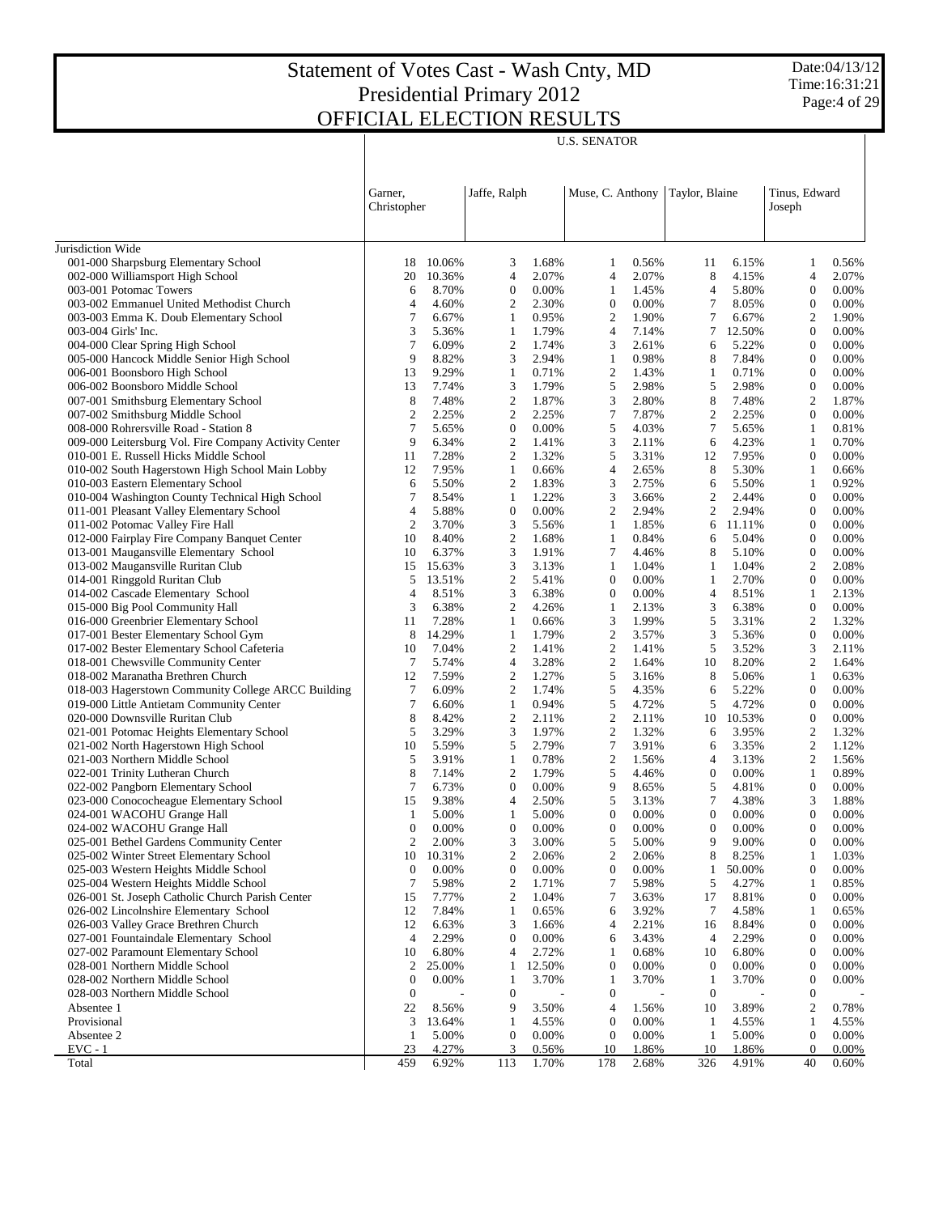$\overline{\phantom{a}}$ 

Date:04/13/12 Time:16:31:21 Page:4 of 29

 $\overline{1}$ 

|                                                                                   | Garner,<br>Christopher     |                | Jaffe, Ralph     |                | Muse, C. Anthony      |                | Taylor, Blaine   |                 | Tinus, Edward<br>Joseph        |                |
|-----------------------------------------------------------------------------------|----------------------------|----------------|------------------|----------------|-----------------------|----------------|------------------|-----------------|--------------------------------|----------------|
| Jurisdiction Wide                                                                 |                            |                |                  |                |                       |                |                  |                 |                                |                |
| 001-000 Sharpsburg Elementary School                                              | 18                         | 10.06%         | 3                | 1.68%          | 1                     | 0.56%          | 11               | 6.15%           | 1                              | 0.56%          |
| 002-000 Williamsport High School                                                  | 20                         | 10.36%         | $\overline{4}$   | 2.07%          | 4                     | 2.07%          | 8                | 4.15%           | $\overline{4}$                 | 2.07%          |
| 003-001 Potomac Towers                                                            | 6                          | 8.70%          | 0                | 0.00%          | 1                     | 1.45%          | 4                | 5.80%           | $\mathbf{0}$                   | 0.00%          |
| 003-002 Emmanuel United Methodist Church                                          | $\overline{4}$             | 4.60%          | 2                | 2.30%          | $\boldsymbol{0}$      | 0.00%          | $\tau$           | 8.05%           | $\mathbf{0}$                   | 0.00%          |
| 003-003 Emma K. Doub Elementary School                                            | 7                          | 6.67%          | 1                | 0.95%          | $\overline{2}$        | 1.90%          | $\tau$           | 6.67%           | $\overline{2}$                 | 1.90%          |
| 003-004 Girls' Inc.                                                               | 3                          | 5.36%          | 1                | 1.79%          | 4                     | 7.14%          | 7                | 12.50%          | $\mathbf{0}$                   | 0.00%          |
| 004-000 Clear Spring High School                                                  | $\overline{7}$             | 6.09%          | 2                | 1.74%          | 3                     | 2.61%          | 6                | 5.22%           | $\mathbf{0}$                   | 0.00%          |
| 005-000 Hancock Middle Senior High School                                         | 9                          | 8.82%          | 3                | 2.94%          | 1                     | 0.98%          | 8                | 7.84%           | $\mathbf{0}$                   | 0.00%          |
| 006-001 Boonsboro High School                                                     | 13                         | 9.29%          | 1                | 0.71%          | $\boldsymbol{2}$      | 1.43%          | -1               | 0.71%           | $\mathbf{0}$                   | 0.00%          |
| 006-002 Boonsboro Middle School                                                   | 13                         | 7.74%          | 3                | 1.79%          | 5                     | 2.98%          | 5                | 2.98%           | $\mathbf{0}$                   | 0.00%          |
| 007-001 Smithsburg Elementary School                                              | 8                          | 7.48%          | 2                | 1.87%          | 3                     | 2.80%          | 8                | 7.48%           | $\overline{2}$<br>$\mathbf{0}$ | 1.87%          |
| 007-002 Smithsburg Middle School<br>008-000 Rohrersville Road - Station 8         | $\boldsymbol{2}$<br>$\tau$ | 2.25%<br>5.65% | 2<br>0           | 2.25%<br>0.00% | 7<br>5                | 7.87%<br>4.03% | 2<br>$\tau$      | 2.25%<br>5.65%  | 1                              | 0.00%<br>0.81% |
| 009-000 Leitersburg Vol. Fire Company Activity Center                             | 9                          | 6.34%          | 2                | 1.41%          | 3                     | 2.11%          | 6                | 4.23%           | 1                              | 0.70%          |
| 010-001 E. Russell Hicks Middle School                                            | 11                         | 7.28%          | 2                | 1.32%          | 5                     | 3.31%          | 12               | 7.95%           | $\mathbf{0}$                   | 0.00%          |
| 010-002 South Hagerstown High School Main Lobby                                   | 12                         | 7.95%          | 1                | 0.66%          | 4                     | 2.65%          | 8                | 5.30%           | 1                              | 0.66%          |
| 010-003 Eastern Elementary School                                                 | 6                          | 5.50%          | 2                | 1.83%          | 3                     | 2.75%          | 6                | 5.50%           | 1                              | 0.92%          |
| 010-004 Washington County Technical High School                                   | 7                          | 8.54%          | 1                | 1.22%          | 3                     | 3.66%          | $\boldsymbol{2}$ | 2.44%           | $\mathbf{0}$                   | 0.00%          |
| 011-001 Pleasant Valley Elementary School                                         | $\overline{4}$             | 5.88%          | $\boldsymbol{0}$ | 0.00%          | 2                     | 2.94%          | 2                | 2.94%           | $\mathbf{0}$                   | 0.00%          |
| 011-002 Potomac Valley Fire Hall                                                  | $\mathfrak{2}$             | 3.70%          | 3                | 5.56%          | 1                     | 1.85%          | 6                | 11.11%          | $\mathbf{0}$                   | 0.00%          |
| 012-000 Fairplay Fire Company Banquet Center                                      | 10                         | 8.40%          | 2                | 1.68%          | 1                     | 0.84%          | 6                | 5.04%           | $\boldsymbol{0}$               | 0.00%          |
| 013-001 Maugansville Elementary School                                            | 10                         | 6.37%          | 3                | 1.91%          | 7                     | 4.46%          | 8                | 5.10%           | $\mathbf{0}$                   | 0.00%          |
| 013-002 Maugansville Ruritan Club                                                 | 15                         | 15.63%         | 3                | 3.13%          | 1                     | 1.04%          | 1                | 1.04%           | $\mathfrak{2}$                 | 2.08%          |
| 014-001 Ringgold Ruritan Club                                                     | 5                          | 13.51%         | 2                | 5.41%          | $\boldsymbol{0}$      | 0.00%          | 1                | 2.70%           | $\mathbf{0}$                   | 0.00%          |
| 014-002 Cascade Elementary School                                                 | $\overline{4}$             | 8.51%          | 3                | 6.38%          | $\boldsymbol{0}$      | 0.00%          | $\overline{4}$   | 8.51%           | 1                              | 2.13%          |
| 015-000 Big Pool Community Hall                                                   | 3                          | 6.38%          | 2                | 4.26%          | 1                     | 2.13%          | 3                | 6.38%           | $\mathbf{0}$                   | 0.00%          |
| 016-000 Greenbrier Elementary School                                              | 11                         | 7.28%          | 1                | 0.66%          | 3                     | 1.99%          | 5                | 3.31%           | $\overline{2}$                 | 1.32%          |
| 017-001 Bester Elementary School Gym                                              | 8                          | 14.29%         | 1                | 1.79%          | $\mathfrak{2}$        | 3.57%          | 3                | 5.36%           | $\mathbf{0}$                   | 0.00%          |
| 017-002 Bester Elementary School Cafeteria                                        | 10                         | 7.04%          | 2                | 1.41%          | 2                     | 1.41%          | 5                | 3.52%           | 3                              | 2.11%          |
| 018-001 Chewsville Community Center                                               | 7                          | 5.74%          | $\overline{4}$   | 3.28%          | $\overline{2}$        | 1.64%          | 10               | 8.20%           | 2                              | 1.64%          |
| 018-002 Maranatha Brethren Church                                                 | 12                         | 7.59%          | 2                | 1.27%          | 5                     | 3.16%          | 8                | 5.06%           | 1                              | 0.63%          |
| 018-003 Hagerstown Community College ARCC Building                                | 7                          | 6.09%          | 2                | 1.74%          | 5                     | 4.35%          | 6                | 5.22%           | $\mathbf{0}$                   | 0.00%          |
| 019-000 Little Antietam Community Center                                          | $\overline{7}$             | 6.60%          | 1                | 0.94%          | 5                     | 4.72%          | 5                | 4.72%           | $\mathbf{0}$                   | 0.00%          |
| 020-000 Downsville Ruritan Club                                                   | 8<br>5                     | 8.42%<br>3.29% | 2<br>3           | 2.11%<br>1.97% | $\boldsymbol{2}$<br>2 | 2.11%<br>1.32% | 10               | 10.53%<br>3.95% | $\mathbf{0}$<br>$\overline{2}$ | 0.00%<br>1.32% |
| 021-001 Potomac Heights Elementary School<br>021-002 North Hagerstown High School | 10                         | 5.59%          | 5                | 2.79%          | 7                     | 3.91%          | 6<br>6           | 3.35%           | 2                              | 1.12%          |
| 021-003 Northern Middle School                                                    | 5                          | 3.91%          | 1                | 0.78%          | $\overline{c}$        | 1.56%          | $\overline{4}$   | 3.13%           | 2                              | 1.56%          |
| 022-001 Trinity Lutheran Church                                                   | 8                          | 7.14%          | 2                | 1.79%          | 5                     | 4.46%          | $\boldsymbol{0}$ | 0.00%           | 1                              | 0.89%          |
| 022-002 Pangborn Elementary School                                                | $\overline{7}$             | 6.73%          | 0                | 0.00%          | 9                     | 8.65%          | 5                | 4.81%           | $\boldsymbol{0}$               | 0.00%          |
| 023-000 Conococheague Elementary School                                           | 15                         | 9.38%          | 4                | 2.50%          | 5                     | 3.13%          | 7                | 4.38%           | 3                              | 1.88%          |
| 024-001 WACOHU Grange Hall                                                        | $\mathbf{1}$               | 5.00%          | 1                | 5.00%          | $\boldsymbol{0}$      | 0.00%          | $\theta$         | 0.00%           | $\mathbf{0}$                   | 0.00%          |
| 024-002 WACOHU Grange Hall                                                        | $\mathbf{0}$               | 0.00%          | $\mathbf{0}$     | 0.00%          | $\mathbf{0}$          | 0.00%          | $\overline{0}$   | 0.00%           | $\mathbf{0}$                   | 0.00%          |
| 025-001 Bethel Gardens Community Center                                           | 2                          | 2.00%          | 3                | 3.00%          | 5                     | 5.00%          | 9                | 9.00%           | $\boldsymbol{0}$               | 0.00%          |
| 025-002 Winter Street Elementary School                                           | 10                         | 10.31%         | 2                | 2.06%          | 2                     | 2.06%          | 8                | 8.25%           | 1                              | 1.03%          |
| 025-003 Western Heights Middle School                                             | $\boldsymbol{0}$           | 0.00%          | 0                | 0.00%          | 0                     | 0.00%          | 1                | 50.00%          | $\boldsymbol{0}$               | 0.00%          |
| 025-004 Western Heights Middle School                                             | 7                          | 5.98%          | $\overline{c}$   | 1.71%          | 7                     | 5.98%          | 5                | 4.27%           | 1                              | 0.85%          |
| 026-001 St. Joseph Catholic Church Parish Center                                  | 15                         | 7.77%          | 2                | 1.04%          | 7                     | 3.63%          | 17               | 8.81%           | $\mathbf{0}$                   | 0.00%          |
| 026-002 Lincolnshire Elementary School                                            | 12                         | 7.84%          | 1                | 0.65%          | 6                     | 3.92%          | 7                | 4.58%           | 1                              | 0.65%          |
| 026-003 Valley Grace Brethren Church                                              | 12                         | 6.63%          | 3                | 1.66%          | 4                     | 2.21%          | 16               | 8.84%           | $\mathbf{0}$                   | 0.00%          |
| 027-001 Fountaindale Elementary School                                            | $\overline{4}$             | 2.29%          | $\boldsymbol{0}$ | 0.00%          | 6                     | 3.43%          | $\overline{4}$   | 2.29%           | $\bf{0}$                       | 0.00%          |
| 027-002 Paramount Elementary School                                               | 10                         | 6.80%          | 4                | 2.72%          | 1                     | 0.68%          | 10               | 6.80%           | $\bf{0}$                       | 0.00%          |
| 028-001 Northern Middle School                                                    | 2                          | 25.00%         | 1                | 12.50%         | $\boldsymbol{0}$      | 0.00%          | $\boldsymbol{0}$ | 0.00%           | $\mathbf{0}$                   | 0.00%          |
| 028-002 Northern Middle School                                                    | $\boldsymbol{0}$           | 0.00%          | 1                | 3.70%          | 1                     | 3.70%          | $\mathbf{1}$     | 3.70%           | $\mathbf{0}$                   | 0.00%          |
| 028-003 Northern Middle School                                                    | $\boldsymbol{0}$           |                | $\boldsymbol{0}$ |                | $\boldsymbol{0}$      | $\overline{a}$ | $\bf{0}$         |                 | $\mathbf{0}$                   |                |
| Absentee 1                                                                        | 22                         | 8.56%          | 9                | 3.50%          | 4                     | 1.56%          | 10               | 3.89%           | $\overline{2}$                 | 0.78%          |
| Provisional                                                                       | 3                          | 13.64%         | 1                | 4.55%          | $\boldsymbol{0}$      | 0.00%          | -1               | 4.55%           | 1                              | 4.55%          |
| Absentee 2                                                                        | 1                          | 5.00%          | 0<br>3           | 0.00%          | $\boldsymbol{0}$      | 0.00%          | -1               | 5.00%           | $\mathbf{0}$                   | 0.00%          |
| $EVC - 1$                                                                         | 23<br>459                  | 4.27%<br>6.92% |                  | 0.56%<br>1.70% | 10<br>178             | 1.86%<br>2.68% | 10<br>326        | 1.86%<br>4.91%  | $\mathbf{0}$<br>40             | 0.00%<br>0.60% |
| Total                                                                             |                            |                | 113              |                |                       |                |                  |                 |                                |                |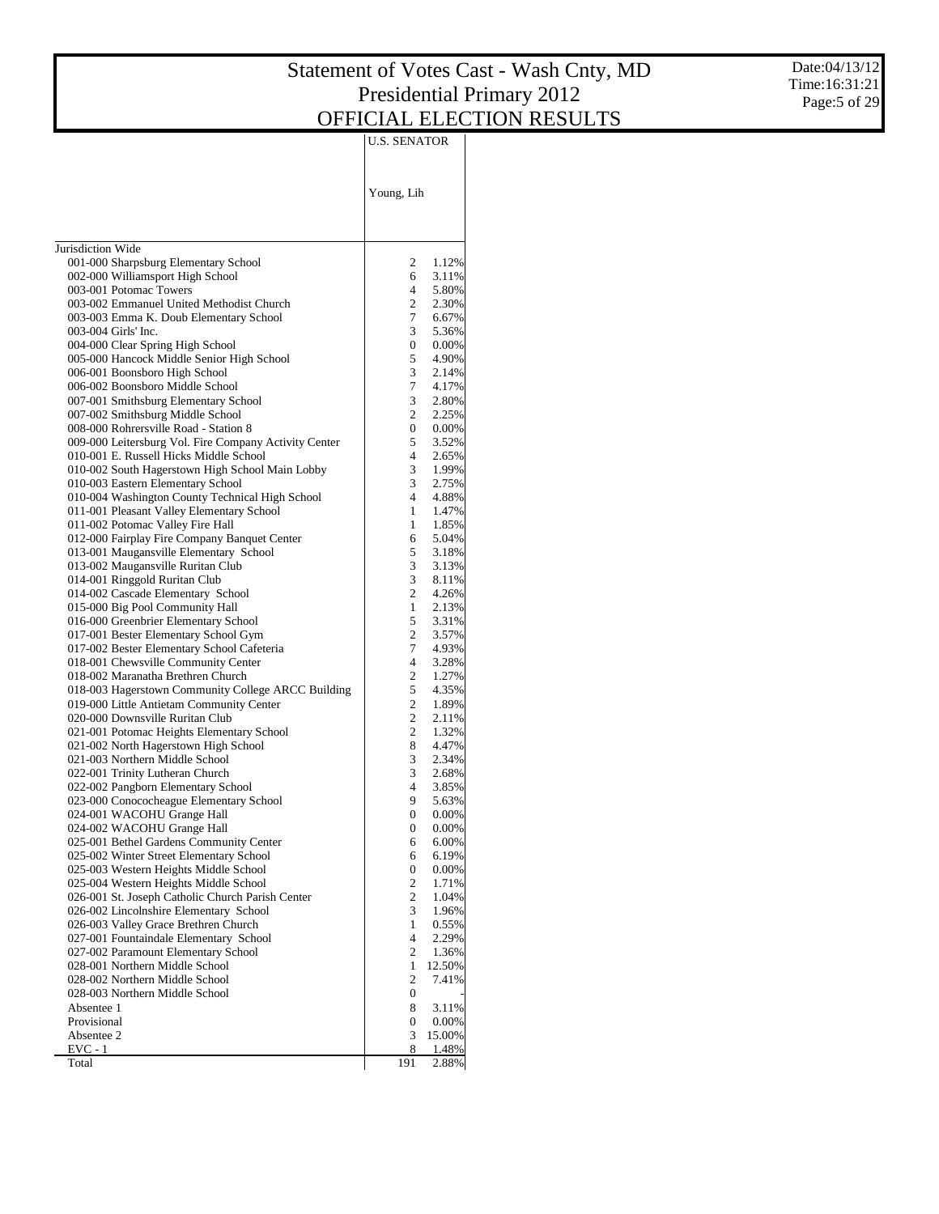Date:04/13/12 Time:16:31:21 Page:5 of 29

|                                                                                   | U.S. SENATOR          |                   |
|-----------------------------------------------------------------------------------|-----------------------|-------------------|
|                                                                                   | Young, Lih            |                   |
| Jurisdiction Wide                                                                 |                       |                   |
| 001-000 Sharpsburg Elementary School                                              | 2                     | 1.12%             |
| 002-000 Williamsport High School                                                  | 6                     | 3.11%             |
| 003-001 Potomac Towers                                                            | 4                     | 5.80%             |
| 003-002 Emmanuel United Methodist Church                                          | 2<br>7                | 2.30%             |
| 003-003 Emma K. Doub Elementary School<br>003-004 Girls' Inc.                     | 3                     | 6.67%<br>5.36%    |
| 004-000 Clear Spring High School                                                  | 0                     | $0.00\%$          |
| 005-000 Hancock Middle Senior High School                                         | 5                     | 4.90%             |
| 006-001 Boonsboro High School                                                     | 3                     | 2.14%             |
| 006-002 Boonsboro Middle School                                                   | 7                     | 4.17%             |
| 007-001 Smithsburg Elementary School                                              | 3                     | 2.80%             |
| 007-002 Smithsburg Middle School<br>008-000 Rohrersville Road - Station 8         | 2<br>$\overline{0}$   | 2.25%<br>$0.00\%$ |
| 009-000 Leitersburg Vol. Fire Company Activity Center                             | 5                     | 3.52%             |
| 010-001 E. Russell Hicks Middle School                                            | 4                     | 2.65%             |
| 010-002 South Hagerstown High School Main Lobby                                   | 3                     | 1.99%             |
| 010-003 Eastern Elementary School                                                 | 3                     | 2.75%             |
| 010-004 Washington County Technical High School                                   | $\overline{4}$        | 4.88%             |
| 011-001 Pleasant Valley Elementary School                                         | $\mathbf{1}$          | 1.47%             |
| 011-002 Potomac Valley Fire Hall<br>012-000 Fairplay Fire Company Banquet Center  | 1                     | 1.85%             |
| 013-001 Maugansville Elementary School                                            | 6<br>5                | 5.04%<br>3.18%    |
| 013-002 Maugansville Ruritan Club                                                 | 3                     | 3.13%             |
| 014-001 Ringgold Ruritan Club                                                     | 3                     | 8.11%             |
| 014-002 Cascade Elementary School                                                 | $\overline{c}$        | 4.26%             |
| 015-000 Big Pool Community Hall                                                   | $\mathbf{1}$          | 2.13%             |
| 016-000 Greenbrier Elementary School                                              | 5                     | 3.31%             |
| 017-001 Bester Elementary School Gym                                              | 2                     | 3.57%             |
| 017-002 Bester Elementary School Cafeteria<br>018-001 Chewsville Community Center | 7<br>$\overline{4}$   | 4.93%<br>3.28%    |
| 018-002 Maranatha Brethren Church                                                 | 2                     | 1.27%             |
| 018-003 Hagerstown Community College ARCC Building                                | 5                     | 4.35%             |
| 019-000 Little Antietam Community Center                                          | 2                     | 1.89%             |
| 020-000 Downsville Ruritan Club                                                   | 2                     | 2.11%             |
| 021-001 Potomac Heights Elementary School                                         | 2                     | 1.32%             |
| 021-002 North Hagerstown High School                                              | 8                     | 4.47%             |
| 021-003 Northern Middle School<br>022-001 Trinity Lutheran Church                 | 3<br>3                | 2.34%<br>2.68%    |
| 022-002 Pangborn Elementary School                                                | 4                     | 3.85%             |
| 023-000 Conococheague Elementary School                                           | 9                     | 5.63%             |
| 024-001 WACOHU Grange Hall                                                        | $\boldsymbol{0}$      | 0.00%             |
| 024-002 WACOHU Grange Hall                                                        | 0                     | $0.00\%$          |
| 025-001 Bethel Gardens Community Center                                           | 6                     | 6.00%             |
| 025-002 Winter Street Elementary School                                           | 6                     | 6.19%             |
| 025-003 Western Heights Middle School<br>025-004 Western Heights Middle School    | 0<br>2                | 0.00%<br>1.71%    |
| 026-001 St. Joseph Catholic Church Parish Center                                  | 2                     | 1.04%             |
| 026-002 Lincolnshire Elementary School                                            | 3                     | 1.96%             |
| 026-003 Valley Grace Brethren Church                                              | $\mathbf{1}$          | 0.55%             |
| 027-001 Fountaindale Elementary School                                            | 4                     | 2.29%             |
| 027-002 Paramount Elementary School                                               | 2                     | 1.36%             |
| 028-001 Northern Middle School                                                    | 1                     | 12.50%            |
| 028-002 Northern Middle School<br>028-003 Northern Middle School                  | 2<br>$\boldsymbol{0}$ | 7.41%             |
| Absentee 1                                                                        | 8                     | 3.11%             |
| Provisional                                                                       | 0                     | 0.00%             |
| Absentee 2                                                                        | 3                     | 15.00%            |
| $EVC - 1$                                                                         | 8                     | 1.48%             |
| Total                                                                             | 191                   | 2.88%             |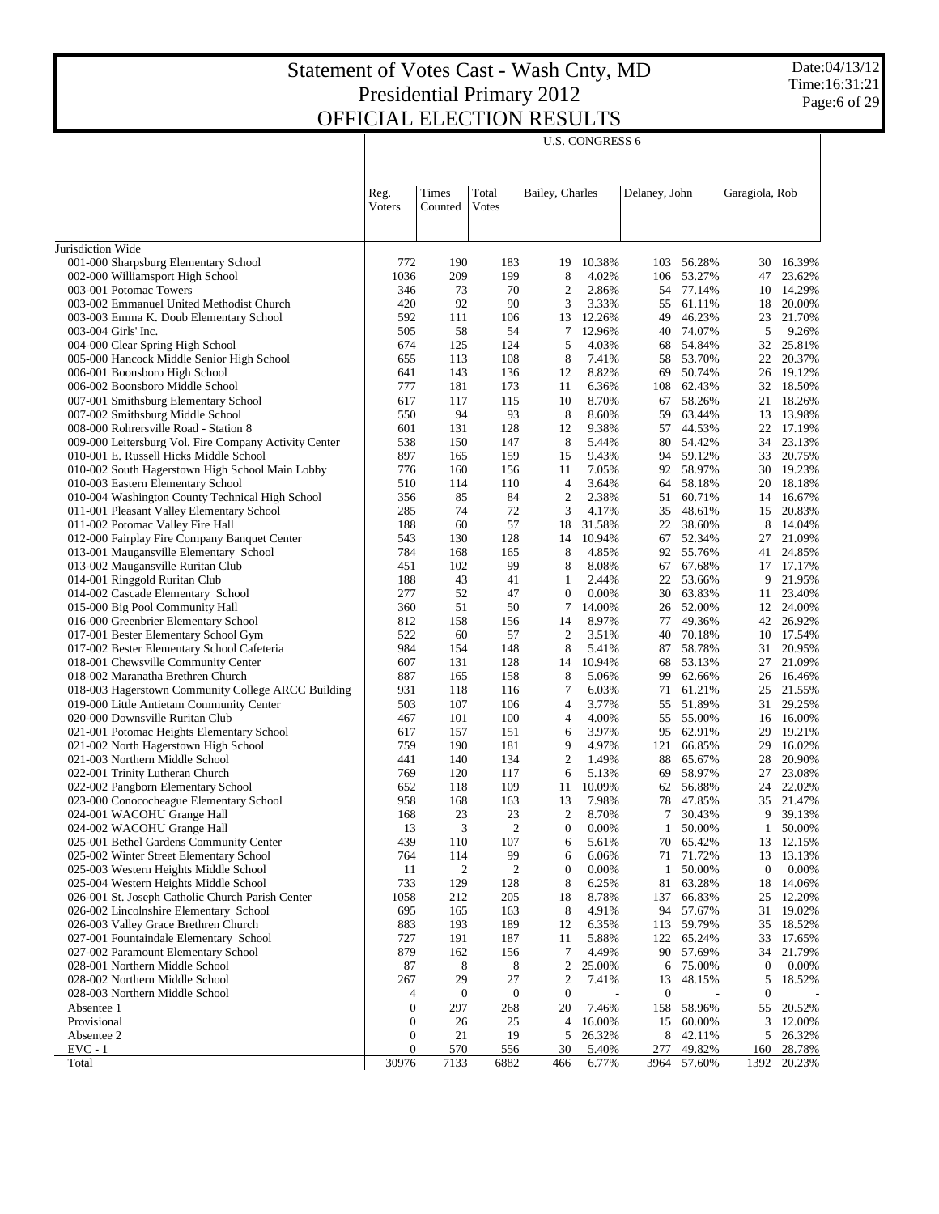|                                                                                                |                  |                  |                  |                         | <b>U.S. CONGRESS 6</b> |                  |                  |                  |                     |
|------------------------------------------------------------------------------------------------|------------------|------------------|------------------|-------------------------|------------------------|------------------|------------------|------------------|---------------------|
|                                                                                                | Reg.<br>Voters   | Times<br>Counted | Total<br>Votes   | Bailey, Charles         |                        | Delaney, John    |                  | Garagiola, Rob   |                     |
| Jurisdiction Wide                                                                              |                  |                  |                  |                         |                        |                  |                  |                  |                     |
| 001-000 Sharpsburg Elementary School                                                           | 772              | 190              | 183              | 19                      | 10.38%                 | 103              | 56.28%           | 30               | 16.39%              |
| 002-000 Williamsport High School                                                               | 1036             | 209              | 199              | 8                       | 4.02%                  | 106              | 53.27%           | 47               | 23.62%              |
| 003-001 Potomac Towers                                                                         | 346              | 73               | 70               | $\boldsymbol{2}$        | 2.86%                  | 54               | 77.14%           |                  | 10 14.29%           |
| 003-002 Emmanuel United Methodist Church                                                       | 420              | 92               | 90               | 3                       | 3.33%                  | 55               | 61.11%           | 18               | 20.00%              |
| 003-003 Emma K. Doub Elementary School                                                         | 592              | 111              | 106              | 13                      | 12.26%                 | 49               | 46.23%           |                  | 23 21.70%           |
| 003-004 Girls' Inc.                                                                            | 505              | 58               | 54               | 7                       | 12.96%                 | 40               | 74.07%           | 5                | 9.26%               |
| 004-000 Clear Spring High School                                                               | 674              | 125              | 124              | 5                       | 4.03%                  | 68               | 54.84%           | 32               | 25.81%              |
| 005-000 Hancock Middle Senior High School                                                      | 655<br>641       | 113<br>143       | 108<br>136       | 8<br>12                 | 7.41%<br>8.82%         | 58<br>69         | 53.70%<br>50.74% | 22               | 20.37%<br>26 19.12% |
| 006-001 Boonsboro High School<br>006-002 Boonsboro Middle School                               | 777              | 181              | 173              | 11                      | 6.36%                  | 108              | 62.43%           | 32               | 18.50%              |
| 007-001 Smithsburg Elementary School                                                           | 617              | 117              | 115              | 10                      | 8.70%                  | 67               | 58.26%           | 21               | 18.26%              |
| 007-002 Smithsburg Middle School                                                               | 550              | 94               | 93               | 8                       | 8.60%                  | 59               | 63.44%           | 13               | 13.98%              |
| 008-000 Rohrersville Road - Station 8                                                          | 601              | 131              | 128              | 12                      | 9.38%                  | 57               | 44.53%           |                  | 22 17.19%           |
| 009-000 Leitersburg Vol. Fire Company Activity Center                                          | 538              | 150              | 147              | 8                       | 5.44%                  | 80               | 54.42%           | 34               | 23.13%              |
| 010-001 E. Russell Hicks Middle School                                                         | 897              | 165              | 159              | 15                      | 9.43%                  | 94               | 59.12%           |                  | 33 20.75%           |
| 010-002 South Hagerstown High School Main Lobby                                                | 776              | 160              | 156              | 11                      | 7.05%                  | 92               | 58.97%           |                  | 30 19.23%           |
| 010-003 Eastern Elementary School                                                              | 510              | 114              | 110              | $\overline{4}$          | 3.64%                  | 64               | 58.18%           |                  | 20 18.18%           |
| 010-004 Washington County Technical High School                                                | 356              | 85               | 84               | $\overline{c}$          | 2.38%                  | 51               | 60.71%           | 14               | 16.67%              |
| 011-001 Pleasant Valley Elementary School                                                      | 285              | 74               | 72               | 3                       | 4.17%                  | 35               | 48.61%           |                  | 15 20.83%           |
| 011-002 Potomac Valley Fire Hall<br>012-000 Fairplay Fire Company Banquet Center               | 188<br>543       | 60<br>130        | 57<br>128        | 18<br>14                | 31.58%<br>10.94%       | 22<br>67         | 38.60%<br>52.34% | 8<br>27          | 14.04%<br>21.09%    |
| 013-001 Maugansville Elementary School                                                         | 784              | 168              | 165              | 8                       | 4.85%                  | 92               | 55.76%           | 41               | 24.85%              |
| 013-002 Maugansville Ruritan Club                                                              | 451              | 102              | 99               | 8                       | 8.08%                  | 67               | 67.68%           | 17               | 17.17%              |
| 014-001 Ringgold Ruritan Club                                                                  | 188              | 43               | 41               | 1                       | 2.44%                  | 22               | 53.66%           | 9                | 21.95%              |
| 014-002 Cascade Elementary School                                                              | 277              | 52               | 47               | $\boldsymbol{0}$        | 0.00%                  | 30               | 63.83%           | 11               | 23.40%              |
| 015-000 Big Pool Community Hall                                                                | 360              | 51               | 50               | 7                       | 14.00%                 | 26               | 52.00%           | 12               | 24.00%              |
| 016-000 Greenbrier Elementary School                                                           | 812              | 158              | 156              | 14                      | 8.97%                  | 77               | 49.36%           |                  | 42 26.92%           |
| 017-001 Bester Elementary School Gym                                                           | 522              | 60               | 57               | $\overline{c}$          | 3.51%                  | 40               | 70.18%           |                  | 10 17.54%           |
| 017-002 Bester Elementary School Cafeteria                                                     | 984              | 154              | 148              | 8                       | 5.41%                  | 87               | 58.78%           | 31               | 20.95%              |
| 018-001 Chewsville Community Center                                                            | 607              | 131              | 128              | 14                      | 10.94%                 | 68               | 53.13%           | 27               | 21.09%              |
| 018-002 Maranatha Brethren Church                                                              | 887              | 165              | 158              | 8                       | 5.06%                  | 99               | 62.66%           | 26               | 16.46%              |
| 018-003 Hagerstown Community College ARCC Building<br>019-000 Little Antietam Community Center | 931<br>503       | 118<br>107       | 116<br>106       | 7<br>4                  | 6.03%<br>3.77%         | 71<br>55         | 61.21%<br>51.89% | 25<br>31         | 21.55%<br>29.25%    |
| 020-000 Downsville Ruritan Club                                                                | 467              | 101              | 100              | 4                       | 4.00%                  | 55               | 55.00%           | 16               | 16.00%              |
| 021-001 Potomac Heights Elementary School                                                      | 617              | 157              | 151              | 6                       | 3.97%                  | 95               | 62.91%           | 29               | 19.21%              |
| 021-002 North Hagerstown High School                                                           | 759              | 190              | 181              | 9                       | 4.97%                  | 121              | 66.85%           | 29               | 16.02%              |
| 021-003 Northern Middle School                                                                 | 441              | 140              | 134              | $\overline{c}$          | 1.49%                  | 88               | 65.67%           | 28               | 20.90%              |
| 022-001 Trinity Lutheran Church                                                                | 769              | 120              | 117              | 6                       | 5.13%                  | 69               | 58.97%           | 27               | 23.08%              |
| 022-002 Pangborn Elementary School                                                             | 652              | 118              | 109              | 11                      | 10.09%                 | 62               | 56.88%           | 24               | 22.02%              |
| 023-000 Conococheague Elementary School                                                        | 958              | 168              | 163              | 13                      | 7.98%                  | 78               | 47.85%           | 35               | 21.47%              |
| 024-001 WACOHU Grange Hall                                                                     | 168              | 23               | 23               | $\overline{2}$          | 8.70%                  |                  | 7 30.43%         | 9                | 39.13%              |
| 024-002 WACOHU Grange Hall                                                                     | 13               | 3                | $\sqrt{2}$       | $\boldsymbol{0}$        | 0.00%                  | 1                | 50.00%           | 1                | 50.00%              |
| 025-001 Bethel Gardens Community Center<br>025-002 Winter Street Elementary School             | 439<br>764       | 110<br>114       | 107<br>99        | 6<br>6                  | 5.61%<br>6.06%         | 70<br>71         | 65.42%<br>71.72% | 13<br>13         | 12.15%<br>13.13%    |
| 025-003 Western Heights Middle School                                                          | 11               | 2                | $\overline{c}$   | $\mathbf{0}$            | 0.00%                  | 1                | 50.00%           | 0                | 0.00%               |
| 025-004 Western Heights Middle School                                                          | 733              | 129              | 128              | 8                       | 6.25%                  | 81               | 63.28%           | 18               | 14.06%              |
| 026-001 St. Joseph Catholic Church Parish Center                                               | 1058             | 212              | 205              | 18                      | 8.78%                  | 137              | 66.83%           | 25               | 12.20%              |
| 026-002 Lincolnshire Elementary School                                                         | 695              | 165              | 163              | 8                       | 4.91%                  | 94               | 57.67%           | 31               | 19.02%              |
| 026-003 Valley Grace Brethren Church                                                           | 883              | 193              | 189              | 12                      | 6.35%                  | 113              | 59.79%           | 35               | 18.52%              |
| 027-001 Fountaindale Elementary School                                                         | 727              | 191              | 187              | 11                      | 5.88%                  | 122              | 65.24%           | 33               | 17.65%              |
| 027-002 Paramount Elementary School                                                            | 879              | 162              | 156              | 7                       | 4.49%                  | 90               | 57.69%           | 34               | 21.79%              |
| 028-001 Northern Middle School                                                                 | 87               | 8                | 8                | $\overline{\mathbf{c}}$ | 25.00%                 | 6                | 75.00%           | 0                | 0.00%               |
| 028-002 Northern Middle School                                                                 | 267              | 29               | 27               | $\overline{c}$          | 7.41%                  | 13               | 48.15%           | 5                | 18.52%              |
| 028-003 Northern Middle School                                                                 | 4                | $\boldsymbol{0}$ | $\boldsymbol{0}$ | $\boldsymbol{0}$        |                        | $\boldsymbol{0}$ |                  | $\boldsymbol{0}$ |                     |
| Absentee 1<br>Provisional                                                                      | 0<br>0           | 297<br>26        | 268<br>25        | 20<br>4                 | 7.46%<br>16.00%        | 158<br>15        | 58.96%<br>60.00% | 55<br>3          | 20.52%<br>12.00%    |
| Absentee 2                                                                                     | 0                | 21               | 19               | 5                       | 26.32%                 | 8                | 42.11%           | 5                | 26.32%              |
| $EVC - 1$                                                                                      | $\boldsymbol{0}$ | 570              | 556              | 30                      | 5.40%                  | 277              | 49.82%           | 160              | 28.78%              |
| Total                                                                                          | 30976            | 7133             | 6882             | 466                     | 6.77%                  | 3964             | 57.60%           | 1392             | 20.23%              |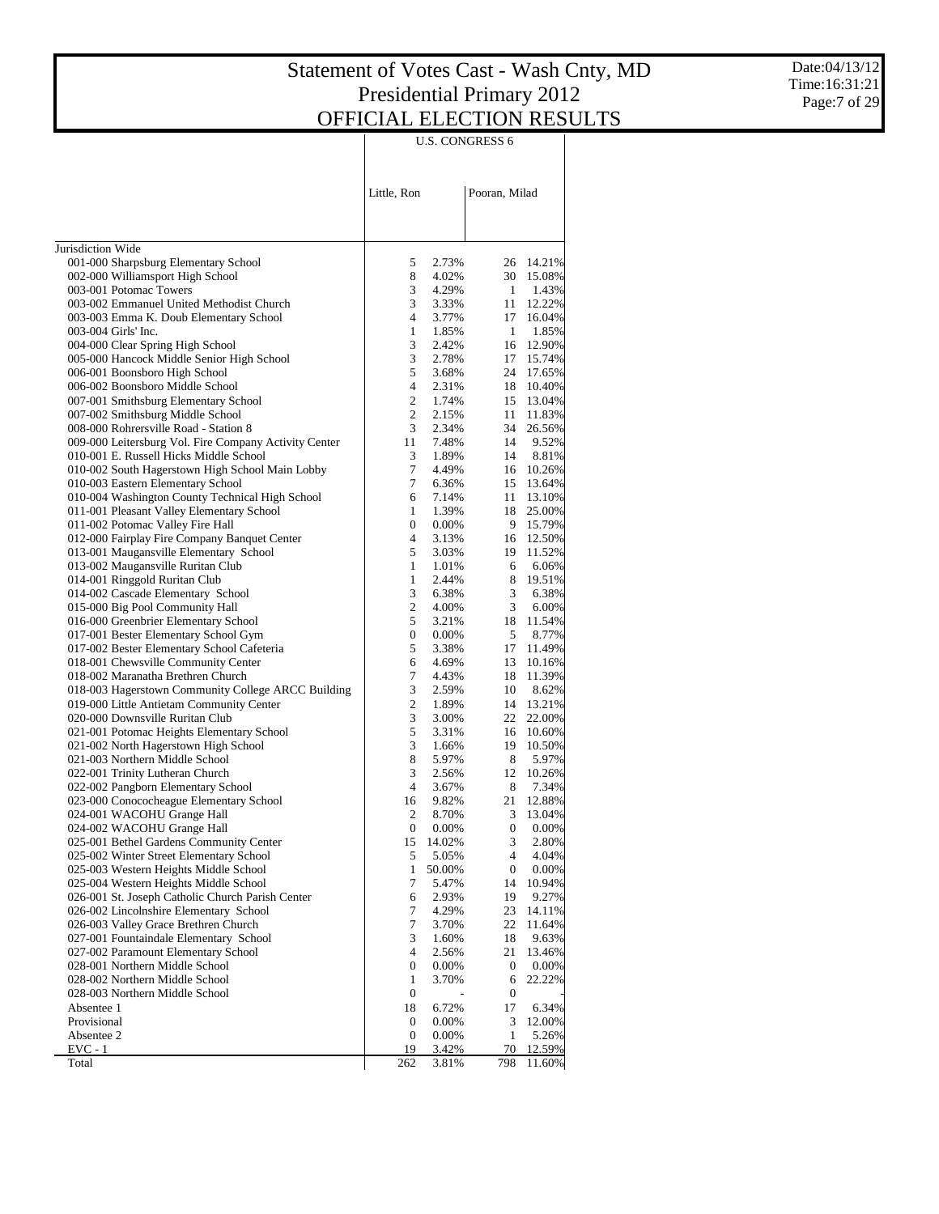Date:04/13/12 Time:16:31:21 Page:7 of 29

|                                                                                                |                     |                 | <b>U.S. CONGRESS 6</b> |                  |
|------------------------------------------------------------------------------------------------|---------------------|-----------------|------------------------|------------------|
|                                                                                                | Little, Ron         |                 | Pooran, Milad          |                  |
|                                                                                                |                     |                 |                        |                  |
| Jurisdiction Wide<br>001-000 Sharpsburg Elementary School                                      | 5                   | 2.73%           | 26                     | 14.21%           |
| 002-000 Williamsport High School                                                               | 8                   | 4.02%           | 30                     | 15.08%           |
| 003-001 Potomac Towers                                                                         | 3                   | 4.29%           | $\mathbf{1}$           | 1.43%            |
| 003-002 Emmanuel United Methodist Church                                                       | 3                   | 3.33%           | 11                     | 12.22%           |
| 003-003 Emma K. Doub Elementary School                                                         | $\overline{4}$      | 3.77%           | 17                     | 16.04%           |
| 003-004 Girls' Inc.                                                                            | $\mathbf{1}$        | 1.85%           | $\mathbf{1}$           | 1.85%            |
| 004-000 Clear Spring High School                                                               | 3                   | 2.42%           | 16                     | 12.90%           |
| 005-000 Hancock Middle Senior High School                                                      | 3                   | 2.78%           | 17                     | 15.74%           |
| 006-001 Boonsboro High School                                                                  | 5<br>$\overline{4}$ | 3.68%<br>2.31%  | 24<br>18               | 17.65%           |
| 006-002 Boonsboro Middle School<br>007-001 Smithsburg Elementary School                        | $\overline{2}$      | 1.74%           | 15                     | 10.40%<br>13.04% |
| 007-002 Smithsburg Middle School                                                               | $\overline{2}$      | 2.15%           | 11                     | 11.83%           |
| 008-000 Rohrersville Road - Station 8                                                          | 3                   | 2.34%           | 34                     | 26.56%           |
| 009-000 Leitersburg Vol. Fire Company Activity Center                                          | 11                  | 7.48%           | 14                     | 9.52%            |
| 010-001 E. Russell Hicks Middle School                                                         | 3                   | 1.89%           | 14                     | 8.81%            |
| 010-002 South Hagerstown High School Main Lobby                                                | 7                   | 4.49%           | 16                     | 10.26%           |
| 010-003 Eastern Elementary School                                                              | 7                   | 6.36%           | 15                     | 13.64%           |
| 010-004 Washington County Technical High School                                                | 6                   | 7.14%           | 11                     | 13.10%           |
| 011-001 Pleasant Valley Elementary School                                                      | 1                   | 1.39%           | 18                     | 25.00%           |
| 011-002 Potomac Valley Fire Hall                                                               | $\mathbf{0}$        | $0.00\%$        | 9                      | 15.79%           |
| 012-000 Fairplay Fire Company Banquet Center<br>013-001 Maugansville Elementary School         | $\overline{4}$<br>5 | 3.13%<br>3.03%  | 16<br>19               | 12.50%<br>11.52% |
| 013-002 Maugansville Ruritan Club                                                              | $\mathbf{1}$        | 1.01%           | 6                      | 6.06%            |
| 014-001 Ringgold Ruritan Club                                                                  | $\mathbf{1}$        | 2.44%           | 8                      | 19.51%           |
| 014-002 Cascade Elementary School                                                              | 3                   | 6.38%           | 3                      | 6.38%            |
| 015-000 Big Pool Community Hall                                                                | $\overline{c}$      | 4.00%           | 3                      | 6.00%            |
| 016-000 Greenbrier Elementary School                                                           | 5                   | 3.21%           | 18                     | 11.54%           |
| 017-001 Bester Elementary School Gym                                                           | $\boldsymbol{0}$    | 0.00%           | 5                      | 8.77%            |
| 017-002 Bester Elementary School Cafeteria                                                     | 5                   | 3.38%           | 17                     | 11.49%           |
| 018-001 Chewsville Community Center                                                            | 6                   | 4.69%           | 13                     | 10.16%           |
| 018-002 Maranatha Brethren Church                                                              | 7                   | 4.43%           | 18                     | 11.39%           |
| 018-003 Hagerstown Community College ARCC Building<br>019-000 Little Antietam Community Center | 3<br>$\overline{c}$ | 2.59%<br>1.89%  | 10<br>14               | 8.62%<br>13.21%  |
| 020-000 Downsville Ruritan Club                                                                | 3                   | 3.00%           | 22                     | 22.00%           |
| 021-001 Potomac Heights Elementary School                                                      | 5                   | 3.31%           | 16                     | 10.60%           |
| 021-002 North Hagerstown High School                                                           | 3                   | 1.66%           | 19                     | 10.50%           |
| 021-003 Northern Middle School                                                                 | 8                   | 5.97%           | 8                      | 5.97%            |
| 022-001 Trinity Lutheran Church                                                                | 3                   | 2.56%           | 12                     | 10.26%           |
| 022-002 Pangborn Elementary School                                                             | $\overline{4}$      | 3.67%           | 8                      | 7.34%            |
| 023-000 Conococheague Elementary School                                                        | 16                  | 9.82%           | 21                     | 12.88%           |
| 024-001 WACOHU Grange Hall                                                                     | 2                   | 8.70%           | 3                      | 13.04%           |
| 024-002 WACOHU Grange Hall                                                                     | $\boldsymbol{0}$    | 0.00%           | $\boldsymbol{0}$       | 0.00%            |
| 025-001 Bethel Gardens Community Center<br>025-002 Winter Street Elementary School             | 15<br>5             | 14.02%<br>5.05% | 3<br>4                 | 2.80%<br>4.04%   |
| 025-003 Western Heights Middle School                                                          | $\mathbf{1}$        | 50.00%          | $\boldsymbol{0}$       | 0.00%            |
| 025-004 Western Heights Middle School                                                          | 7                   | 5.47%           | 14                     | 10.94%           |
| 026-001 St. Joseph Catholic Church Parish Center                                               | 6                   | 2.93%           | 19                     | 9.27%            |
| 026-002 Lincolnshire Elementary School                                                         | 7                   | 4.29%           | 23                     | 14.11%           |
| 026-003 Valley Grace Brethren Church                                                           | 7                   | 3.70%           | 22                     | 11.64%           |
| 027-001 Fountaindale Elementary School                                                         | 3                   | 1.60%           | 18                     | 9.63%            |
| 027-002 Paramount Elementary School                                                            | 4                   | 2.56%           | 21                     | 13.46%           |
| 028-001 Northern Middle School                                                                 | 0                   | 0.00%           | $\boldsymbol{0}$       | 0.00%            |
| 028-002 Northern Middle School                                                                 | $\mathbf{1}$        | 3.70%           | 6                      | 22.22%           |
| 028-003 Northern Middle School                                                                 | $\boldsymbol{0}$    |                 | $\boldsymbol{0}$       |                  |
| Absentee 1<br>Provisional                                                                      | 18<br>0             | 6.72%<br>0.00%  | 17<br>3                | 6.34%<br>12.00%  |
| Absentee 2                                                                                     | $\boldsymbol{0}$    | 0.00%           | $\mathbf{1}$           | 5.26%            |
| $EVC - 1$                                                                                      | 19                  | 3.42%           | 70                     | 12.59%           |
| Total                                                                                          | 262                 | 3.81%           | 798                    | 11.60%           |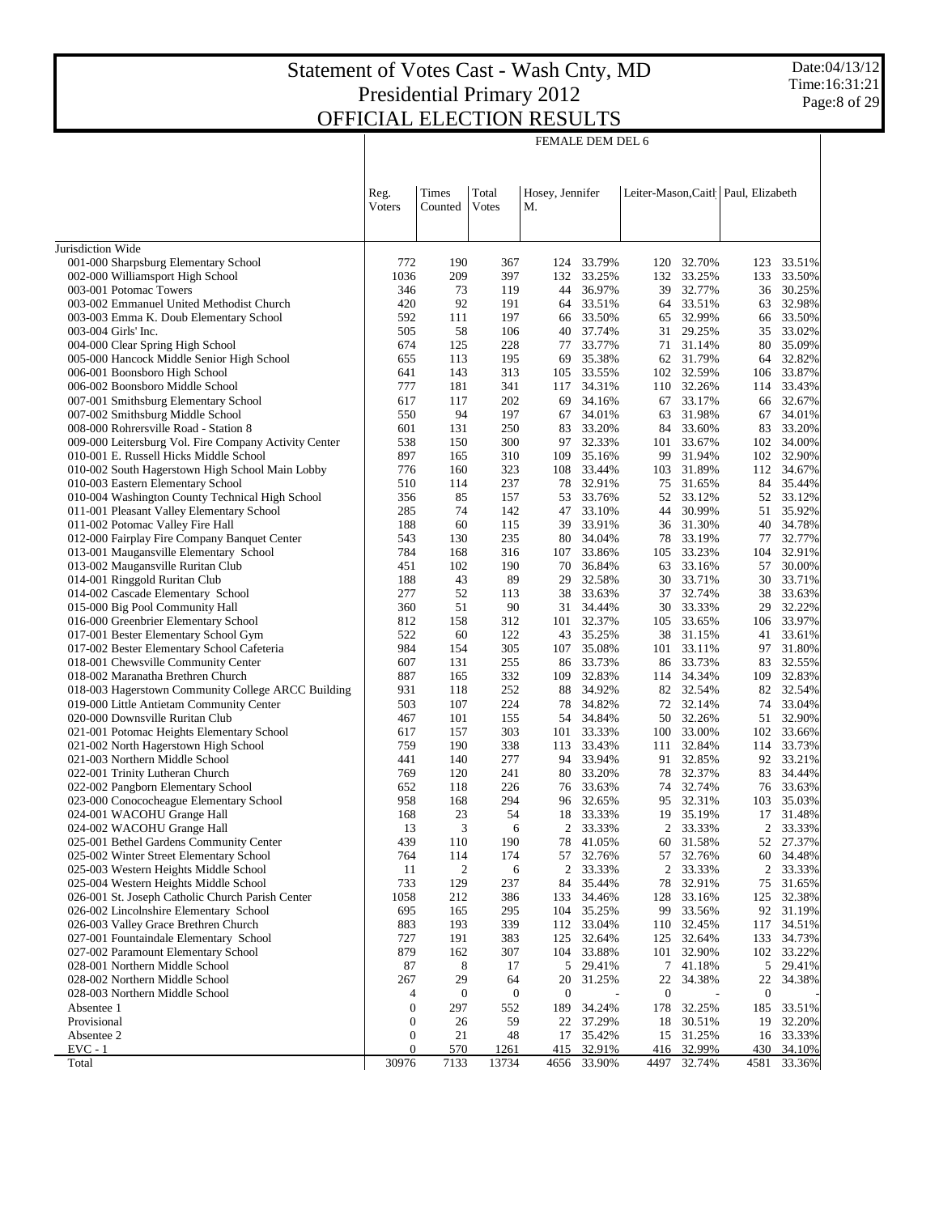FEMALE DEM DEL 6

|                                                                                    | Reg.<br><b>V</b> oters | Times<br>Counted | Total<br>Votes          | Hosey, Jennifer<br>М. |                     |                         |                  | Leiter-Mason, Caitl   Paul, Elizabeth |                  |
|------------------------------------------------------------------------------------|------------------------|------------------|-------------------------|-----------------------|---------------------|-------------------------|------------------|---------------------------------------|------------------|
|                                                                                    |                        |                  |                         |                       |                     |                         |                  |                                       |                  |
| Jurisdiction Wide<br>001-000 Sharpsburg Elementary School                          | 772                    | 190              | 367                     | 124                   | 33.79%              | 120                     | 32.70%           | 123                                   | 33.51%           |
| 002-000 Williamsport High School                                                   | 1036                   | 209              | 397                     | 132                   | 33.25%              | 132                     | 33.25%           | 133                                   | 33.50%           |
| 003-001 Potomac Towers                                                             | 346                    | 73               | 119                     | 44                    | 36.97%              | 39                      | 32.77%           | 36                                    | 30.25%           |
| 003-002 Emmanuel United Methodist Church                                           | 420                    | 92               | 191                     | 64                    | 33.51%              | 64                      | 33.51%           | 63                                    | 32.98%           |
| 003-003 Emma K. Doub Elementary School                                             | 592                    | 111              | 197                     | 66                    | 33.50%              | 65                      | 32.99%           | 66                                    | 33.50%           |
| 003-004 Girls' Inc.                                                                | 505                    | 58               | 106                     | 40                    | 37.74%              | 31                      | 29.25%           | 35                                    | 33.02%           |
| 004-000 Clear Spring High School                                                   | 674                    | 125              | 228                     | 77                    | 33.77%              | 71                      | 31.14%           | 80                                    | 35.09%           |
| 005-000 Hancock Middle Senior High School                                          | 655                    | 113              | 195                     | 69                    | 35.38%              | 62                      | 31.79%           |                                       | 64 32.82%        |
| 006-001 Boonsboro High School                                                      | 641                    | 143              | 313                     | 105                   | 33.55%              | 102                     | 32.59%           | 106                                   | 33.87%           |
| 006-002 Boonsboro Middle School                                                    | 777                    | 181              | 341                     | 117                   | 34.31%              | 110                     | 32.26%           | 114                                   | 33.43%           |
| 007-001 Smithsburg Elementary School                                               | 617                    | 117              | 202                     | 69                    | 34.16%              | 67                      | 33.17%           | 66                                    | 32.67%           |
| 007-002 Smithsburg Middle School<br>008-000 Rohrersville Road - Station 8          | 550<br>601             | 94<br>131        | 197<br>250              | 67<br>83              | 34.01%<br>33.20%    | 63<br>84                | 31.98%<br>33.60% | 67<br>83                              | 34.01%<br>33.20% |
| 009-000 Leitersburg Vol. Fire Company Activity Center                              | 538                    | 150              | 300                     | 97                    | 32.33%              | 101                     | 33.67%           |                                       | 102 34.00%       |
| 010-001 E. Russell Hicks Middle School                                             | 897                    | 165              | 310                     | 109                   | 35.16%              | 99                      | 31.94%           | 102                                   | 32.90%           |
| 010-002 South Hagerstown High School Main Lobby                                    | 776                    | 160              | 323                     | 108                   | 33.44%              | 103                     | 31.89%           |                                       | 112 34.67%       |
| 010-003 Eastern Elementary School                                                  | 510                    | 114              | 237                     | 78                    | 32.91%              | 75                      | 31.65%           |                                       | 84 35.44%        |
| 010-004 Washington County Technical High School                                    | 356                    | 85               | 157                     | 53                    | 33.76%              | 52                      | 33.12%           |                                       | 52 33.12%        |
| 011-001 Pleasant Valley Elementary School                                          | 285                    | 74               | 142                     | 47                    | 33.10%              | 44                      | 30.99%           | 51                                    | 35.92%           |
| 011-002 Potomac Valley Fire Hall                                                   | 188                    | 60               | 115                     | 39                    | 33.91%              | 36                      | 31.30%           |                                       | 40 34.78%        |
| 012-000 Fairplay Fire Company Banquet Center                                       | 543                    | 130              | 235                     | 80                    | 34.04%              | 78                      | 33.19%           | 77                                    | 32.77%           |
| 013-001 Maugansville Elementary School                                             | 784                    | 168              | 316                     | 107                   | 33.86%              | 105                     | 33.23%           | 104                                   | 32.91%           |
| 013-002 Maugansville Ruritan Club                                                  | 451                    | 102              | 190                     | 70                    | 36.84%              | 63                      | 33.16%           | 57                                    | 30.00%           |
| 014-001 Ringgold Ruritan Club                                                      | 188                    | 43               | 89                      | 29                    | 32.58%              | 30                      | 33.71%           | 30                                    | 33.71%           |
| 014-002 Cascade Elementary School                                                  | 277                    | 52               | 113                     | 38                    | 33.63%              | 37                      | 32.74%           | 38                                    | 33.63%           |
| 015-000 Big Pool Community Hall                                                    | 360                    | 51               | 90                      |                       | 31 34.44%           | 30                      | 33.33%           | 29                                    | 32.22%           |
| 016-000 Greenbrier Elementary School                                               | 812                    | 158              | 312                     |                       | 101 32.37%          | 105                     | 33.65%           | 106                                   | 33.97%           |
| 017-001 Bester Elementary School Gym<br>017-002 Bester Elementary School Cafeteria | 522<br>984             | 60<br>154        | 122<br>305              | 43<br>107             | 35.25%<br>35.08%    | 38<br>101               | 31.15%<br>33.11% | 41<br>97                              | 33.61%<br>31.80% |
| 018-001 Chewsville Community Center                                                | 607                    | 131              | 255                     | 86                    | 33.73%              | 86                      | 33.73%           | 83                                    | 32.55%           |
| 018-002 Maranatha Brethren Church                                                  | 887                    | 165              | 332                     | 109                   | 32.83%              | 114                     | 34.34%           | 109                                   | 32.83%           |
| 018-003 Hagerstown Community College ARCC Building                                 | 931                    | 118              | 252                     | 88                    | 34.92%              | 82                      | 32.54%           |                                       | 82 32.54%        |
| 019-000 Little Antietam Community Center                                           | 503                    | 107              | 224                     | 78                    | 34.82%              | 72                      | 32.14%           |                                       | 74 33.04%        |
| 020-000 Downsville Ruritan Club                                                    | 467                    | 101              | 155                     |                       | 54 34.84%           | 50                      | 32.26%           | 51                                    | 32.90%           |
| 021-001 Potomac Heights Elementary School                                          | 617                    | 157              | 303                     | 101                   | 33.33%              | 100                     | 33.00%           | 102                                   | 33.66%           |
| 021-002 North Hagerstown High School                                               | 759                    | 190              | 338                     | 113                   | 33.43%              | 111                     | 32.84%           |                                       | 114 33.73%       |
| 021-003 Northern Middle School                                                     | 441                    | 140              | 277                     |                       | 94 33.94%           | 91                      | 32.85%           |                                       | 92 33.21%        |
| 022-001 Trinity Lutheran Church                                                    | 769                    | 120              | 241                     | 80                    | 33.20%              | 78                      | 32.37%           | 83                                    | 34.44%           |
| 022-002 Pangborn Elementary School                                                 | 652                    | 118              | 226                     |                       | 76 33.63%           | 74                      | 32.74%           |                                       | 76 33.63%        |
| 023-000 Conococheague Elementary School<br>024-001 WACOHU Grange Hall              | 958<br>168             | 168<br>23        | 294<br>54               | 18                    | 96 32.65%<br>33.33% | 95<br>19                | 32.31%<br>35.19% | 103<br>17                             | 35.03%<br>31.48% |
| 024-002 WACOHU Grange Hall                                                         | 13                     | 3                | 6                       | 2                     | 33.33%              | 2                       | 33.33%           | $\overline{c}$                        | 33.33%           |
| 025-001 Bethel Gardens Community Center                                            | 439                    | 110              | 190                     | 78                    | 41.05%              | 60                      | 31.58%           |                                       | 52 27.37%        |
| 025-002 Winter Street Elementary School                                            | 764                    | 114              | 174                     | 57                    | 32.76%              | 57                      | 32.76%           | 60                                    | 34.48%           |
| 025-003 Western Heights Middle School                                              | 11                     | 2                | 6                       | $\overline{2}$        | 33.33%              | $\overline{c}$          | 33.33%           | $\overline{c}$                        | 33.33%           |
| 025-004 Western Heights Middle School                                              | 733                    | 129              | 237                     | 84                    | 35.44%              | 78                      | 32.91%           | 75                                    | 31.65%           |
| 026-001 St. Joseph Catholic Church Parish Center                                   | 1058                   | 212              | 386                     | 133                   | 34.46%              | 128                     | 33.16%           | 125                                   | 32.38%           |
| 026-002 Lincolnshire Elementary School                                             | 695                    | 165              | 295                     | 104                   | 35.25%              | 99                      | 33.56%           | 92                                    | 31.19%           |
| 026-003 Valley Grace Brethren Church                                               | 883                    | 193              | 339                     | 112                   | 33.04%              | 110                     | 32.45%           | 117                                   | 34.51%           |
| 027-001 Fountaindale Elementary School                                             | 727                    | 191              | 383                     | 125                   | 32.64%              | 125                     | 32.64%           | 133                                   | 34.73%           |
| 027-002 Paramount Elementary School                                                | 879                    | 162              | 307                     |                       | 104 33.88%          | 101                     | 32.90%           | 102                                   | 33.22%           |
| 028-001 Northern Middle School                                                     | 87                     | 8                | 17                      | 5                     | 29.41%              | 7                       | 41.18%           | 5                                     | 29.41%           |
| 028-002 Northern Middle School                                                     | 267                    | 29               | 64                      | 20                    | 31.25%              | 22                      | 34.38%           | 22                                    | 34.38%           |
| 028-003 Northern Middle School<br>Absentee 1                                       | 4<br>0                 | 0<br>297         | $\boldsymbol{0}$<br>552 | $\boldsymbol{0}$      | 34.24%              | $\boldsymbol{0}$<br>178 | 32.25%           | $\mathbf{0}$<br>185                   |                  |
| Provisional                                                                        | 0                      | 26               | 59                      | 189                   | 22 37.29%           | 18                      | 30.51%           | 19                                    | 33.51%<br>32.20% |
| Absentee 2                                                                         | 0                      | 21               | 48                      | 17                    | 35.42%              | 15                      | 31.25%           |                                       | 16 33.33%        |
| $EVC - 1$                                                                          | $\boldsymbol{0}$       | 570              | 1261                    | 415                   | 32.91%              | 416                     | 32.99%           | 430                                   | 34.10%           |
| Total                                                                              | 30976                  | 7133             | 13734                   | 4656                  | 33.90%              | 4497                    | 32.74%           | 4581                                  | 33.36%           |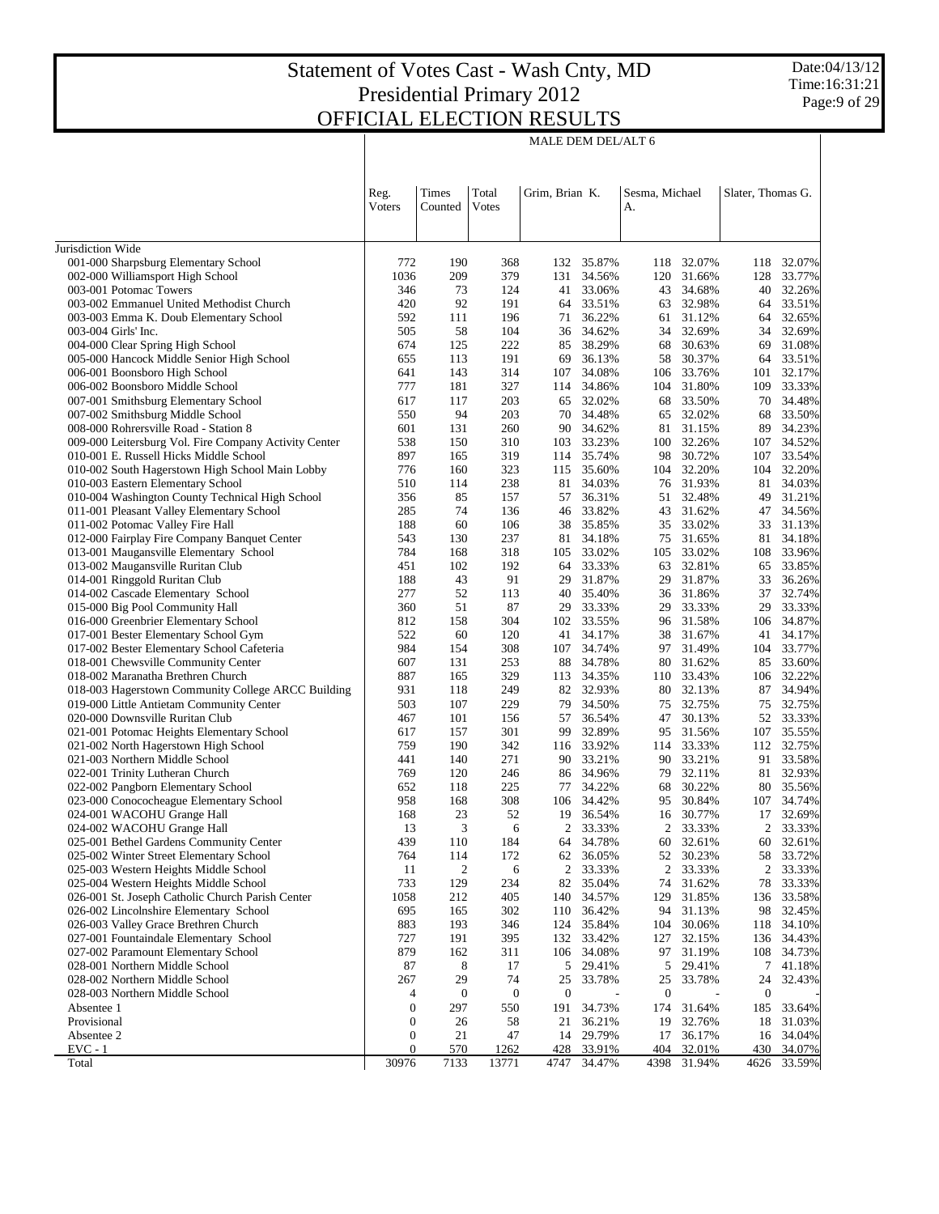## Statement of Votes Cast - Wash Cnty, MD Presidential Primary 2012 **OFFICIAL**

| <b>ELECTION RESULTS</b> |                    |
|-------------------------|--------------------|
|                         | MALE DEM DEL/ALT 6 |

|                                                                                         | Reg.<br>Voters   | Times<br>Counted | Total<br>Votes   |                  | Grim, Brian K.      |                  | Sesma, Michael<br>А. |                  | Slater, Thomas G. |  |
|-----------------------------------------------------------------------------------------|------------------|------------------|------------------|------------------|---------------------|------------------|----------------------|------------------|-------------------|--|
| Jurisdiction Wide                                                                       |                  |                  |                  |                  |                     |                  |                      |                  |                   |  |
| 001-000 Sharpsburg Elementary School                                                    | 772              | 190              | 368              | 132              | 35.87%              | 118              | 32.07%               | 118              | 32.07%            |  |
| 002-000 Williamsport High School                                                        | 1036             | 209              | 379              | 131              | 34.56%              | 120              | 31.66%               | 128              | 33.77%            |  |
| 003-001 Potomac Towers                                                                  | 346              | 73               | 124              | 41               | 33.06%              | 43               | 34.68%               | 40               | 32.26%            |  |
| 003-002 Emmanuel United Methodist Church                                                | 420              | 92               | 191              | 64               | 33.51%              | 63               | 32.98%               | 64               | 33.51%            |  |
| 003-003 Emma K. Doub Elementary School                                                  | 592              | 111              | 196              | 71               | 36.22%              | 61               | 31.12%               | 64               | 32.65%            |  |
| 003-004 Girls' Inc.                                                                     | 505              | 58               | 104              |                  | 36 34.62%           | 34               | 32.69%               | 34               | 32.69%            |  |
| 004-000 Clear Spring High School                                                        | 674              | 125              | 222              | 85               | 38.29%              | 68               | 30.63%               | 69               | 31.08%            |  |
| 005-000 Hancock Middle Senior High School                                               | 655              | 113              | 191              | 69               | 36.13%              | 58               | 30.37%               | 64               | 33.51%            |  |
| 006-001 Boonsboro High School                                                           | 641              | 143              | 314              | 107              | 34.08%              | 106              | 33.76%               | 101              | 32.17%<br>33.33%  |  |
| 006-002 Boonsboro Middle School<br>007-001 Smithsburg Elementary School                 | 777<br>617       | 181<br>117       | 327<br>203       | 114<br>65        | 34.86%<br>32.02%    | 104<br>68        | 31.80%<br>33.50%     | 109<br>70        | 34.48%            |  |
| 007-002 Smithsburg Middle School                                                        | 550              | 94               | 203              |                  | 70 34.48%           | 65               | 32.02%               | 68               | 33.50%            |  |
| 008-000 Rohrersville Road - Station 8                                                   | 601              | 131              | 260              | 90               | 34.62%              | 81               | 31.15%               | 89               | 34.23%            |  |
| 009-000 Leitersburg Vol. Fire Company Activity Center                                   | 538              | 150              | 310              | 103              | 33.23%              | 100              | 32.26%               | 107              | 34.52%            |  |
| 010-001 E. Russell Hicks Middle School                                                  | 897              | 165              | 319              | 114              | 35.74%              | 98               | 30.72%               | 107              | 33.54%            |  |
| 010-002 South Hagerstown High School Main Lobby                                         | 776              | 160              | 323              | 115              | 35.60%              | 104              | 32.20%               | 104              | 32.20%            |  |
| 010-003 Eastern Elementary School                                                       | 510              | 114              | 238              | 81               | 34.03%              | 76               | 31.93%               | 81               | 34.03%            |  |
| 010-004 Washington County Technical High School                                         | 356              | 85               | 157              | 57               | 36.31%              | 51               | 32.48%               | 49               | 31.21%            |  |
| 011-001 Pleasant Valley Elementary School                                               | 285              | 74               | 136              | 46               | 33.82%              | 43               | 31.62%               | 47               | 34.56%            |  |
| 011-002 Potomac Valley Fire Hall                                                        | 188              | 60               | 106              | 38               | 35.85%              | 35               | 33.02%               | 33               | 31.13%            |  |
| 012-000 Fairplay Fire Company Banquet Center                                            | 543              | 130              | 237              | 81               | 34.18%              | 75               | 31.65%               | 81               | 34.18%            |  |
| 013-001 Maugansville Elementary School                                                  | 784              | 168              | 318              | 105              | 33.02%              | 105              | 33.02%               |                  | 108 33.96%        |  |
| 013-002 Maugansville Ruritan Club                                                       | 451              | 102              | 192              | 64               | 33.33%              | 63               | 32.81%               | 65               | 33.85%            |  |
| 014-001 Ringgold Ruritan Club                                                           | 188              | 43               | 91               | 29               | 31.87%              | 29               | 31.87%               | 33               | 36.26%            |  |
| 014-002 Cascade Elementary School                                                       | 277              | 52               | 113              | 40               | 35.40%              | 36               | 31.86%               | 37               | 32.74%            |  |
| 015-000 Big Pool Community Hall                                                         | 360              | 51               | 87               | 29               | 33.33%              | 29               | 33.33%               | 29               | 33.33%            |  |
| 016-000 Greenbrier Elementary School                                                    | 812              | 158              | 304              | 102              | 33.55%              | 96               | 31.58%               | 106              | 34.87%            |  |
| 017-001 Bester Elementary School Gym                                                    | 522              | 60               | 120              | 41               | 34.17%              | 38               | 31.67%               | 41               | 34.17%            |  |
| 017-002 Bester Elementary School Cafeteria                                              | 984              | 154              | 308              | 107              | 34.74%              | 97               | 31.49%               | 104              | 33.77%            |  |
| 018-001 Chewsville Community Center                                                     | 607              | 131              | 253              | 88               | 34.78%              | 80               | 31.62%               | 85               | 33.60%            |  |
| 018-002 Maranatha Brethren Church<br>018-003 Hagerstown Community College ARCC Building | 887<br>931       | 165<br>118       | 329<br>249       | 113              | 34.35%<br>82 32.93% | 110<br>80        | 33.43%<br>32.13%     | 106<br>87        | 32.22%<br>34.94%  |  |
| 019-000 Little Antietam Community Center                                                | 503              | 107              | 229              | 79               | 34.50%              | 75               | 32.75%               | 75               | 32.75%            |  |
| 020-000 Downsville Ruritan Club                                                         | 467              | 101              | 156              | 57               | 36.54%              | 47               | 30.13%               |                  | 52 33.33%         |  |
| 021-001 Potomac Heights Elementary School                                               | 617              | 157              | 301              | 99               | 32.89%              | 95               | 31.56%               | 107              | 35.55%            |  |
| 021-002 North Hagerstown High School                                                    | 759              | 190              | 342              |                  | 116 33.92%          | 114              | 33.33%               |                  | 112 32.75%        |  |
| 021-003 Northern Middle School                                                          | 441              | 140              | 271              | 90               | 33.21%              | 90               | 33.21%               | 91               | 33.58%            |  |
| 022-001 Trinity Lutheran Church                                                         | 769              | 120              | 246              |                  | 86 34.96%           | 79               | 32.11%               | 81               | 32.93%            |  |
| 022-002 Pangborn Elementary School                                                      | 652              | 118              | 225              | 77               | 34.22%              | 68               | 30.22%               | 80               | 35.56%            |  |
| 023-000 Conococheague Elementary School                                                 | 958              | 168              | 308              |                  | 106 34.42%          | 95               | 30.84%               | 107              | 34.74%            |  |
| 024-001 WACOHU Grange Hall                                                              | 168              | 23               | 52               | 19               | 36.54%              | 16               | 30.77%               | 17               | 32.69%            |  |
| 024-002 WACOHU Grange Hall                                                              | 13               | 3                | 6                | 2                | 33.33%              | 2                | 33.33%               | 2                | 33.33%            |  |
| 025-001 Bethel Gardens Community Center                                                 | 439              | 110              | 184              | 64               | 34.78%              | 60               | 32.61%               |                  | 60 32.61%         |  |
| 025-002 Winter Street Elementary School                                                 | 764              | 114              | 172              | 62               | 36.05%              | 52               | 30.23%               | 58               | 33.72%            |  |
| 025-003 Western Heights Middle School                                                   | 11               | $\mathfrak{2}$   | 6                | $\boldsymbol{2}$ | 33.33%              | $\overline{c}$   | 33.33%               | $\overline{c}$   | 33.33%            |  |
| 025-004 Western Heights Middle School                                                   | 733              | 129              | 234              | 82               | 35.04%              | 74               | 31.62%               | 78               | 33.33%            |  |
| 026-001 St. Joseph Catholic Church Parish Center                                        | 1058             | 212              | 405              | 140              | 34.57%              | 129              | 31.85%               | 136              | 33.58%            |  |
| 026-002 Lincolnshire Elementary School                                                  | 695              | 165              | 302              | 110              | 36.42%              | 94               | 31.13%               | 98               | 32.45%            |  |
| 026-003 Valley Grace Brethren Church                                                    | 883              | 193              | 346              | 124              | 35.84%              | 104              | 30.06%               | 118              | 34.10%            |  |
| 027-001 Fountaindale Elementary School<br>027-002 Paramount Elementary School           | 727<br>879       | 191<br>162       | 395<br>311       | 132<br>106       | 33.42%<br>34.08%    | 127<br>97        | 32.15%<br>31.19%     | 136<br>108       | 34.43%<br>34.73%  |  |
| 028-001 Northern Middle School                                                          | 87               | 8                | 17               | 5                | 29.41%              | 5                | 29.41%               | 7                | 41.18%            |  |
| 028-002 Northern Middle School                                                          | 267              | 29               | 74               | 25               | 33.78%              | 25               | 33.78%               | 24               | 32.43%            |  |
| 028-003 Northern Middle School                                                          | 4                | $\mathbf{0}$     | $\boldsymbol{0}$ | $\boldsymbol{0}$ |                     | $\boldsymbol{0}$ |                      | $\boldsymbol{0}$ |                   |  |
| Absentee 1                                                                              | $\boldsymbol{0}$ | 297              | 550              | 191              | 34.73%              | 174              | 31.64%               | 185              | 33.64%            |  |
| Provisional                                                                             | $\mathbf{0}$     | 26               | 58               | 21               | 36.21%              | 19               | 32.76%               | 18               | 31.03%            |  |
| Absentee 2                                                                              | $\boldsymbol{0}$ | 21               | 47               | 14               | 29.79%              | 17               | 36.17%               | 16               | 34.04%            |  |
| $EVC - 1$                                                                               | $\boldsymbol{0}$ | 570              | 1262             | <u>428 </u>      | 33.91%              | 404              | 32.01%               | 430              | 34.07%            |  |
| Total                                                                                   | 30976            | 7133             | 13771            | 4747             | 34.47%              | 4398             | 31.94%               | 4626             | 33.59%            |  |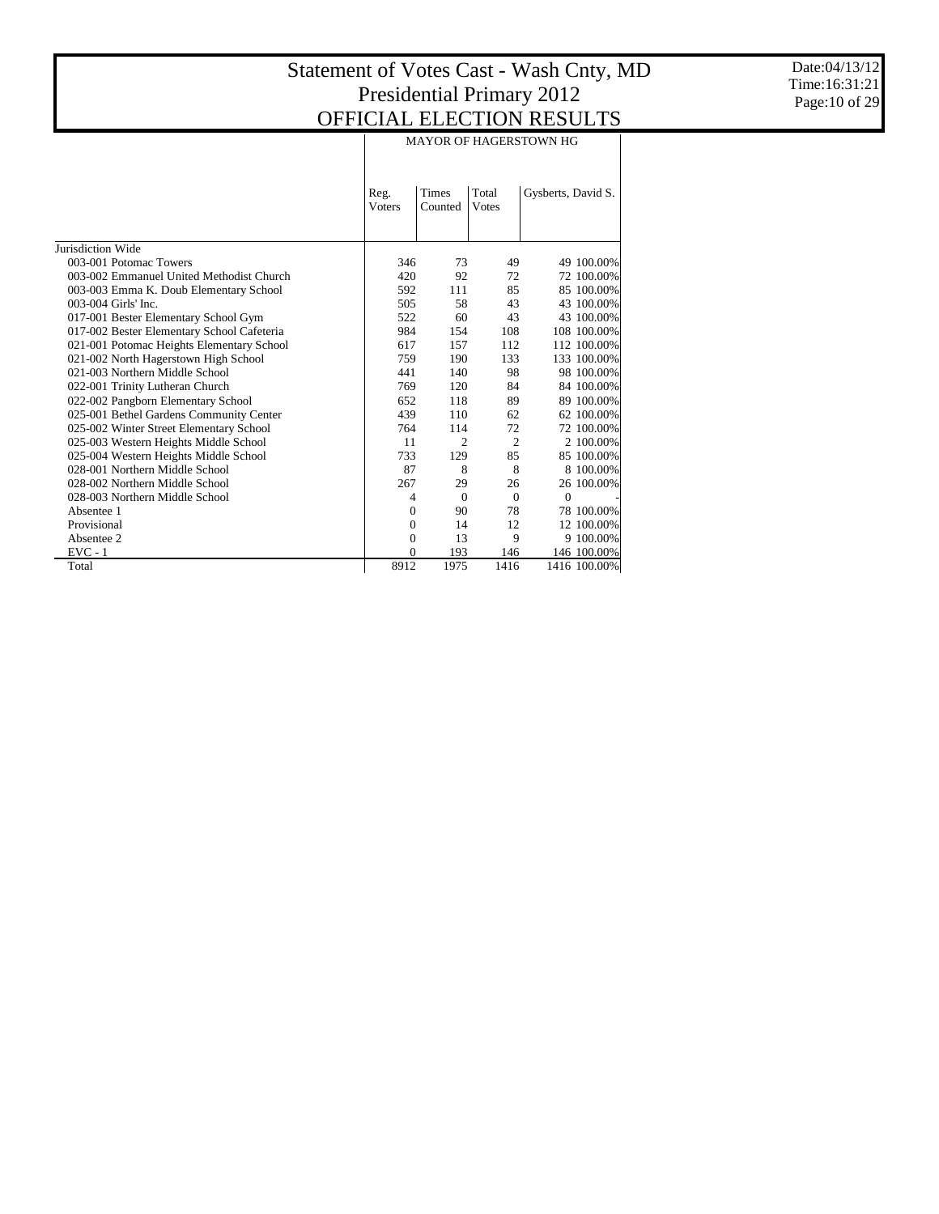Date:04/13/12 Time:16:31:21 Page:10 of 29

|                                            |                        | <b>MAYOR OF HAGERSTOWN HG</b> |                |                    |  |  |  |  |  |  |  |
|--------------------------------------------|------------------------|-------------------------------|----------------|--------------------|--|--|--|--|--|--|--|
|                                            | Reg.<br><b>V</b> oters | <b>Times</b><br>Counted       | Total<br>Votes | Gysberts, David S. |  |  |  |  |  |  |  |
| Jurisdiction Wide                          |                        |                               |                |                    |  |  |  |  |  |  |  |
| 003-001 Potomac Towers                     | 346                    | 73                            | 49             | 49 100.00%         |  |  |  |  |  |  |  |
| 003-002 Emmanuel United Methodist Church   | 420                    | 92                            | 72             | 72 100.00%         |  |  |  |  |  |  |  |
| 003-003 Emma K. Doub Elementary School     | 592                    | 111                           | 85             | 85 100.00%         |  |  |  |  |  |  |  |
| 003-004 Girls' Inc.                        | 505                    | 58                            | 43             | 43 100.00%         |  |  |  |  |  |  |  |
| 017-001 Bester Elementary School Gym       | 522                    | 60                            | 43             | 43 100.00%         |  |  |  |  |  |  |  |
| 017-002 Bester Elementary School Cafeteria | 984                    | 154                           | 108            | 108 100.00%        |  |  |  |  |  |  |  |
| 021-001 Potomac Heights Elementary School  | 617                    | 157                           | 112            | 112 100.00%        |  |  |  |  |  |  |  |
| 021-002 North Hagerstown High School       | 759                    | 190                           | 133            | 133 100.00%        |  |  |  |  |  |  |  |
| 021-003 Northern Middle School             | 441                    | 140                           | 98             | 98 100.00%         |  |  |  |  |  |  |  |
| 022-001 Trinity Lutheran Church            | 769                    | 120                           | 84             | 84 100.00%         |  |  |  |  |  |  |  |
| 022-002 Pangborn Elementary School         | 652                    | 118                           | 89             | 89 100.00%         |  |  |  |  |  |  |  |
| 025-001 Bethel Gardens Community Center    | 439                    | 110                           | 62             | 62 100.00%         |  |  |  |  |  |  |  |
| 025-002 Winter Street Elementary School    | 764                    | 114                           | 72             | 72 100.00%         |  |  |  |  |  |  |  |
| 025-003 Western Heights Middle School      | 11                     | $\overline{2}$                | $\overline{c}$ | 2 100,00%          |  |  |  |  |  |  |  |
| 025-004 Western Heights Middle School      | 733                    | 129                           | 85             | 85 100.00%         |  |  |  |  |  |  |  |
| 028-001 Northern Middle School             | 87                     | 8                             | 8              | 8 100,00%          |  |  |  |  |  |  |  |
| 028-002 Northern Middle School             | 267                    | 29                            | 26             | 26 100.00%         |  |  |  |  |  |  |  |
| 028-003 Northern Middle School             | 4                      | $\theta$                      | $\mathbf{0}$   | $\overline{0}$     |  |  |  |  |  |  |  |
| Absentee 1                                 | $\Omega$               | 90                            | 78             | 78 100.00%         |  |  |  |  |  |  |  |
| Provisional                                | $\mathbf{0}$           | 14                            | 12             | 12 100.00%         |  |  |  |  |  |  |  |
| Absentee 2                                 | $\Omega$               | 13                            | 9              | 9 100.00%          |  |  |  |  |  |  |  |
| $EVC - 1$                                  | $\Omega$               | 193                           | 146            | 146 100.00%        |  |  |  |  |  |  |  |
| Total                                      | 8912                   | 1975                          | 1416           | 1416 100.00%       |  |  |  |  |  |  |  |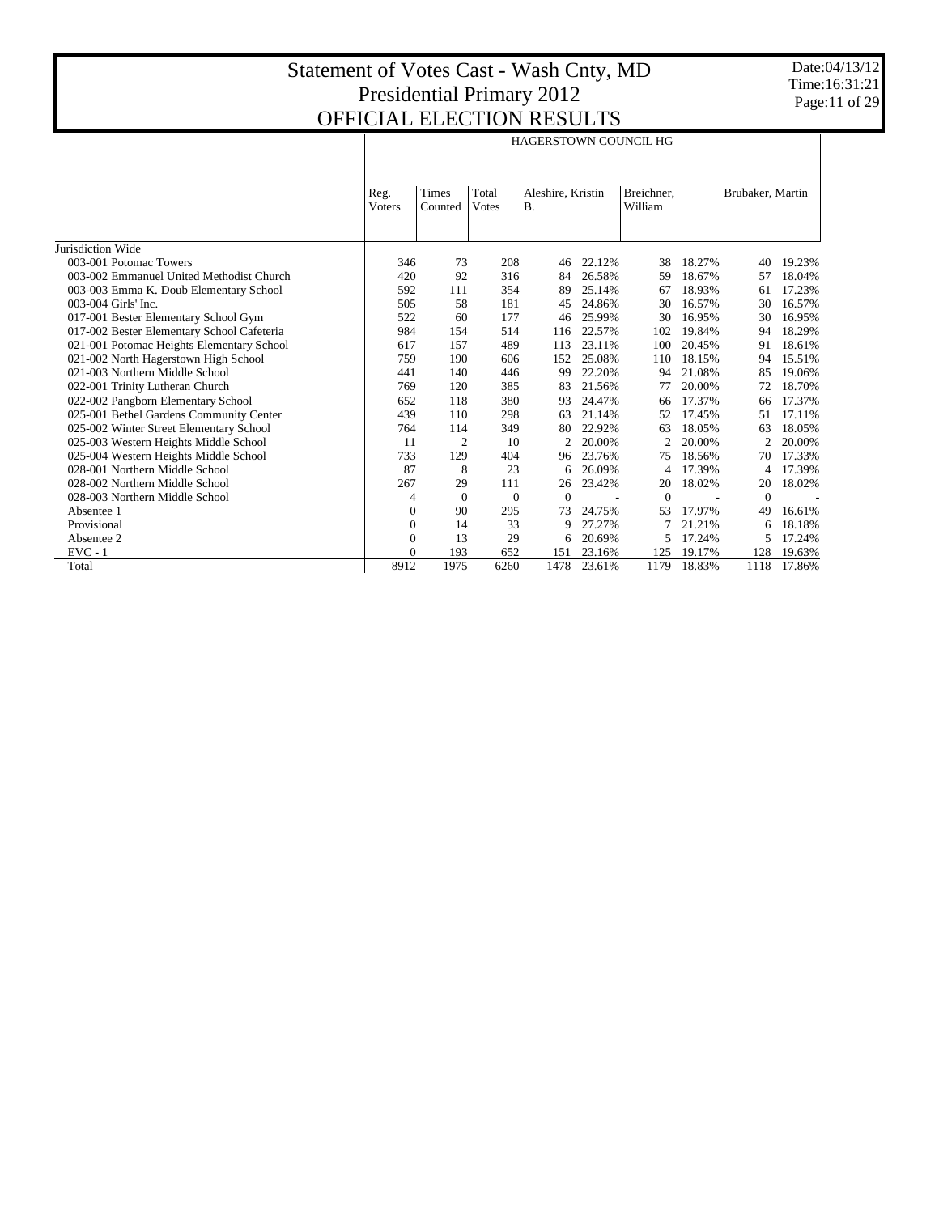|                                            |                        |                  |                |                                |        | <b>HAGERSTOWN COUNCIL HG</b> |        |                  |        |
|--------------------------------------------|------------------------|------------------|----------------|--------------------------------|--------|------------------------------|--------|------------------|--------|
|                                            | Reg.<br><b>V</b> oters | Times<br>Counted | Total<br>Votes | Aleshire, Kristin<br><b>B.</b> |        | Breichner,<br>William        |        | Brubaker, Martin |        |
| Jurisdiction Wide                          |                        |                  |                |                                |        |                              |        |                  |        |
| 003-001 Potomac Towers                     | 346                    | 73               | 208            | 46                             | 22.12% | 38                           | 18.27% | 40               | 19.23% |
| 003-002 Emmanuel United Methodist Church   | 420                    | 92               | 316            | 84                             | 26.58% | 59                           | 18.67% | 57               | 18.04% |
| 003-003 Emma K. Doub Elementary School     | 592                    | 111              | 354            | 89                             | 25.14% | 67                           | 18.93% | 61               | 17.23% |
| 003-004 Girls' Inc.                        | 505                    | 58               | 181            | 45                             | 24.86% | 30                           | 16.57% | 30               | 16.57% |
| 017-001 Bester Elementary School Gym       | 522                    | 60               | 177            | 46                             | 25.99% | 30                           | 16.95% | 30               | 16.95% |
| 017-002 Bester Elementary School Cafeteria | 984                    | 154              | 514            | 116                            | 22.57% | 102                          | 19.84% | 94               | 18.29% |
| 021-001 Potomac Heights Elementary School  | 617                    | 157              | 489            | 113                            | 23.11% | 100                          | 20.45% | 91               | 18.61% |
| 021-002 North Hagerstown High School       | 759                    | 190              | 606            | 152                            | 25.08% | 110                          | 18.15% | 94               | 15.51% |
| 021-003 Northern Middle School             | 441                    | 140              | 446            | 99                             | 22.20% | 94                           | 21.08% | 85               | 19.06% |
| 022-001 Trinity Lutheran Church            | 769                    | 120              | 385            | 83                             | 21.56% | 77                           | 20.00% | 72               | 18.70% |
| 022-002 Pangborn Elementary School         | 652                    | 118              | 380            | 93                             | 24.47% | 66                           | 17.37% | 66               | 17.37% |
| 025-001 Bethel Gardens Community Center    | 439                    | 110              | 298            | 63                             | 21.14% | 52                           | 17.45% | 51               | 17.11% |
| 025-002 Winter Street Elementary School    | 764                    | 114              | 349            | 80                             | 22.92% | 63                           | 18.05% | 63               | 18.05% |
| 025-003 Western Heights Middle School      | 11                     | 2                | 10             | 2                              | 20.00% | 2                            | 20.00% | 2                | 20.00% |
| 025-004 Western Heights Middle School      | 733                    | 129              | 404            | 96                             | 23.76% | 75                           | 18.56% | 70               | 17.33% |
| 028-001 Northern Middle School             | 87                     | 8                | 23             | 6                              | 26.09% |                              | 17.39% |                  | 17.39% |
| 028-002 Northern Middle School             | 267                    | 29               | 111            | 26                             | 23.42% | 20                           | 18.02% | 20               | 18.02% |
| 028-003 Northern Middle School             | 4                      | $\Omega$         | $\mathbf{0}$   | $\mathbf{0}$                   |        | $\Omega$                     |        | $\Omega$         |        |
| Absentee 1                                 | $\Omega$               | 90               | 295            | 73                             | 24.75% | 53                           | 17.97% | 49               | 16.61% |
| Provisional                                | $\mathbf{0}$           | 14               | 33             | 9                              | 27.27% |                              | 21.21% | 6                | 18.18% |
| Absentee 2                                 | $\Omega$               | 13               | 29             | 6                              | 20.69% |                              | 17.24% |                  | 17.24% |
| $EVC - 1$                                  | $\Omega$               | 193              | 652            | 151                            | 23.16% | 125                          | 19.17% | 128              | 19.63% |
| Total                                      | 8912                   | 1975             | 6260           | 1478                           | 23.61% | 1179                         | 18.83% | 1118             | 17.86% |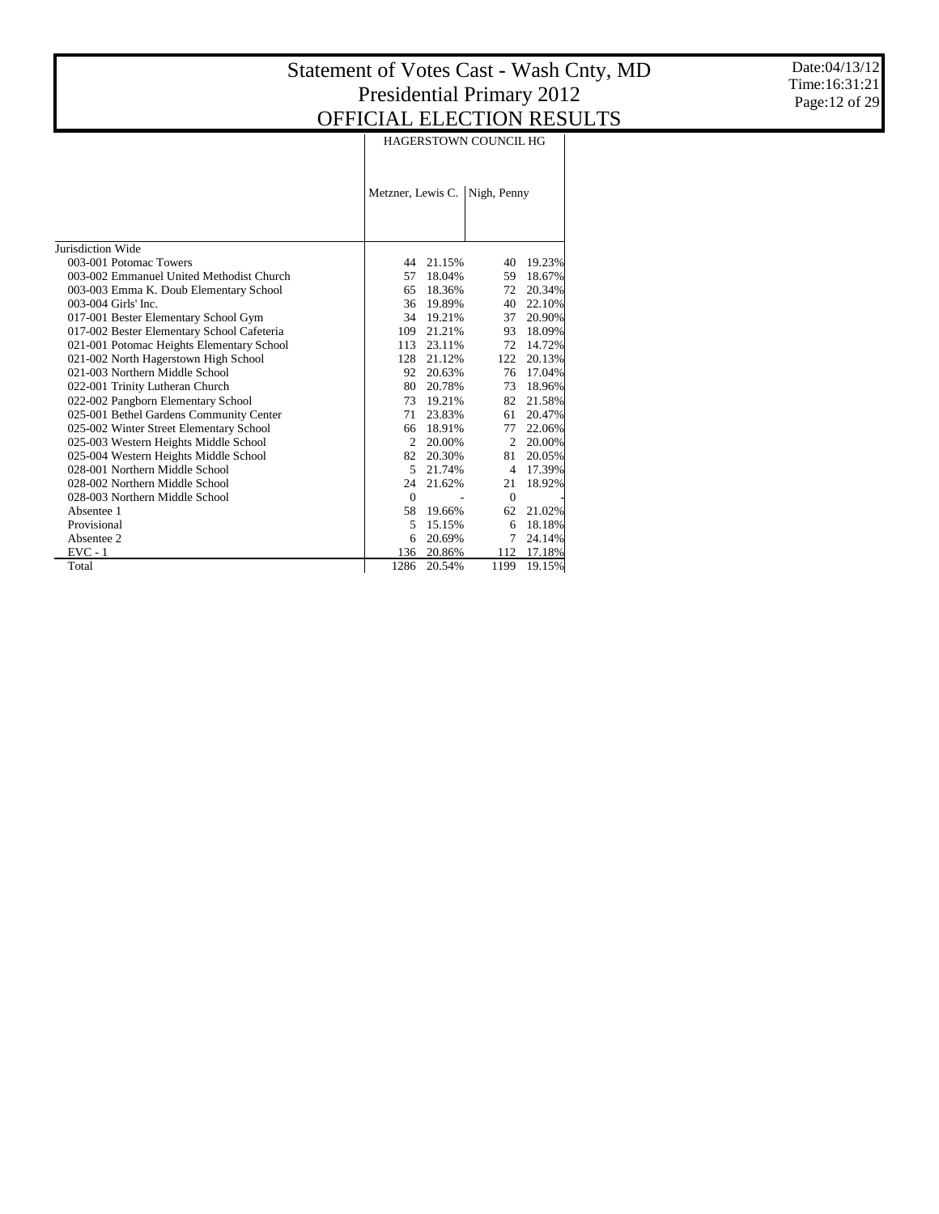Date:04/13/12 Time:16:31:21 Page:12 of 29

|                                            |                   | <b>HAGERSTOWN COUNCIL HG</b> |                |        |  |  |  |  |  |  |
|--------------------------------------------|-------------------|------------------------------|----------------|--------|--|--|--|--|--|--|
|                                            | Metzner, Lewis C. |                              | Nigh, Penny    |        |  |  |  |  |  |  |
| Jurisdiction Wide                          |                   |                              |                |        |  |  |  |  |  |  |
| 003-001 Potomac Towers                     | 44                | 21.15%                       | 40             | 19.23% |  |  |  |  |  |  |
| 003-002 Emmanuel United Methodist Church   | 57                | 18.04%                       | 59             | 18.67% |  |  |  |  |  |  |
| 003-003 Emma K. Doub Elementary School     | 65                | 18.36%                       | 72             | 20.34% |  |  |  |  |  |  |
| 003-004 Girls' Inc.                        |                   | 36 19.89%                    | 40             | 22.10% |  |  |  |  |  |  |
| 017-001 Bester Elementary School Gym       |                   | 34 19.21%                    | 37             | 20.90% |  |  |  |  |  |  |
| 017-002 Bester Elementary School Cafeteria | 109               | 21.21%                       | 93             | 18.09% |  |  |  |  |  |  |
| 021-001 Potomac Heights Elementary School  | 113               | 23.11%                       | 72             | 14.72% |  |  |  |  |  |  |
| 021-002 North Hagerstown High School       | 128               | 21.12%                       | 122            | 20.13% |  |  |  |  |  |  |
| 021-003 Northern Middle School             | 92                | 20.63%                       | 76             | 17.04% |  |  |  |  |  |  |
| 022-001 Trinity Lutheran Church            | 80                | 20.78%                       | 73             | 18.96% |  |  |  |  |  |  |
| 022-002 Pangborn Elementary School         |                   | 73 19.21%                    | 82             | 21.58% |  |  |  |  |  |  |
| 025-001 Bethel Gardens Community Center    | 71                | 23.83%                       | 61             | 20.47% |  |  |  |  |  |  |
| 025-002 Winter Street Elementary School    | 66                | 18.91%                       | 77             | 22.06% |  |  |  |  |  |  |
| 025-003 Western Heights Middle School      | 2                 | 20.00%                       | $\overline{c}$ | 20.00% |  |  |  |  |  |  |
| 025-004 Western Heights Middle School      | 82                | 20.30%                       | 81             | 20.05% |  |  |  |  |  |  |
| 028-001 Northern Middle School             | 5                 | 21.74%                       | 4              | 17.39% |  |  |  |  |  |  |
| 028-002 Northern Middle School             | 24                | 21.62%                       | 21             | 18.92% |  |  |  |  |  |  |
| 028-003 Northern Middle School             | $\mathbf{0}$      |                              | $\mathbf{0}$   |        |  |  |  |  |  |  |
| Absentee 1                                 | 58                | 19.66%                       | 62             | 21.02% |  |  |  |  |  |  |
| Provisional                                | 5                 | 15.15%                       | 6              | 18.18% |  |  |  |  |  |  |
| Absentee 2                                 | 6                 | 20.69%                       | 7              | 24.14% |  |  |  |  |  |  |
| $EVC - 1$                                  | 136               | 20.86%                       | 112            | 17.18% |  |  |  |  |  |  |
| Total                                      | 1286              | 20.54%                       | 1199           | 19.15% |  |  |  |  |  |  |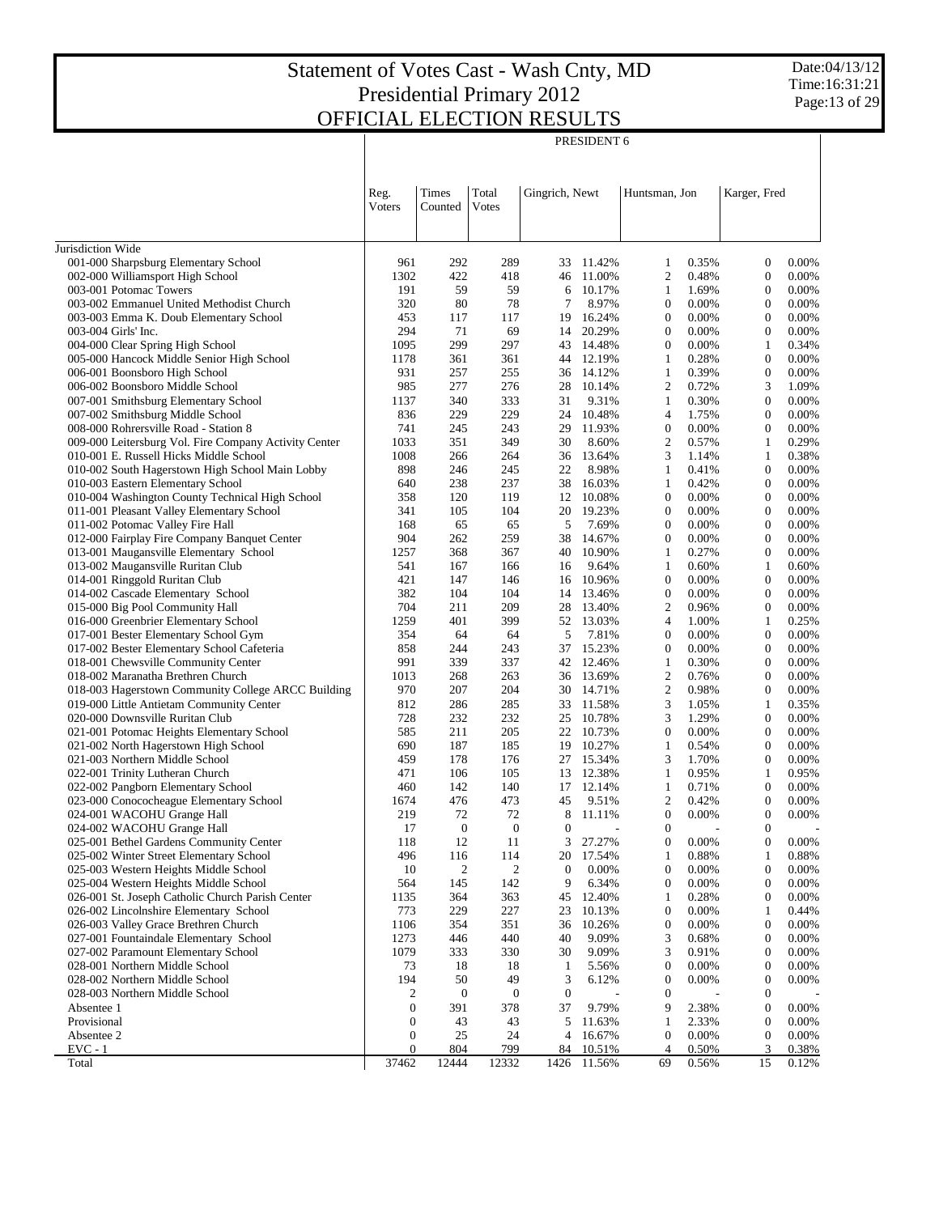PRESIDENT 6

|                                                                                      | Reg.<br>Voters   | Times<br>Counted | Total<br><b>V</b> otes | Gingrich, Newt   |                  | Huntsman, Jon                |                | Karger, Fred                         |                |
|--------------------------------------------------------------------------------------|------------------|------------------|------------------------|------------------|------------------|------------------------------|----------------|--------------------------------------|----------------|
| Jurisdiction Wide                                                                    |                  |                  |                        |                  |                  |                              |                |                                      |                |
| 001-000 Sharpsburg Elementary School                                                 | 961              | 292              | 289                    | 33               | 11.42%           | 1                            | 0.35%          | $\mathbf{0}$                         | 0.00%          |
| 002-000 Williamsport High School                                                     | 1302             | 422              | 418                    | 46               | 11.00%           | 2                            | 0.48%          | $\boldsymbol{0}$                     | 0.00%          |
| 003-001 Potomac Towers                                                               | 191              | 59               | 59                     | 6                | 10.17%           | $\mathbf{1}$                 | 1.69%          | $\mathbf{0}$                         | 0.00%          |
| 003-002 Emmanuel United Methodist Church                                             | 320              | 80               | 78                     | 7                | 8.97%            | $\boldsymbol{0}$             | 0.00%          | $\mathbf{0}$                         | 0.00%          |
| 003-003 Emma K. Doub Elementary School                                               | 453              | 117              | 117                    | 19               | 16.24%           | $\boldsymbol{0}$             | 0.00%          | $\mathbf{0}$                         | 0.00%          |
| 003-004 Girls' Inc.                                                                  | 294              | 71               | 69                     | 14               | 20.29%           | $\boldsymbol{0}$             | 0.00%          | $\mathbf{0}$                         | 0.00%          |
| 004-000 Clear Spring High School                                                     | 1095             | 299              | 297                    | 43               | 14.48%           | $\boldsymbol{0}$             | 0.00%          | $\mathbf{1}$                         | 0.34%          |
| 005-000 Hancock Middle Senior High School                                            | 1178             | 361              | 361                    |                  | 44 12.19%        | 1                            | 0.28%          | $\mathbf{0}$                         | 0.00%          |
| 006-001 Boonsboro High School                                                        | 931              | 257              | 255                    |                  | 36 14.12%        | $\mathbf{1}$                 | 0.39%          | $\boldsymbol{0}$                     | 0.00%          |
| 006-002 Boonsboro Middle School                                                      | 985              | 277              | 276                    | 28               | 10.14%           | 2                            | 0.72%          | 3                                    | 1.09%          |
| 007-001 Smithsburg Elementary School                                                 | 1137             | 340              | 333                    | 31               | 9.31%            | $\mathbf{1}$                 | 0.30%          | $\mathbf{0}$                         | 0.00%          |
| 007-002 Smithsburg Middle School                                                     | 836              | 229              | 229                    | 24               | 10.48%           | $\overline{4}$               | 1.75%          | $\mathbf{0}$                         | 0.00%          |
| 008-000 Rohrersville Road - Station 8                                                | 741              | 245              | 243                    | 29               | 11.93%           | $\boldsymbol{0}$             | 0.00%          | $\mathbf{0}$                         | 0.00%          |
| 009-000 Leitersburg Vol. Fire Company Activity Center                                | 1033             | 351              | 349                    | 30               | 8.60%            | 2                            | 0.57%          | $\mathbf{1}$                         | 0.29%          |
| 010-001 E. Russell Hicks Middle School                                               | 1008             | 266              | 264                    | 36               | 13.64%           | 3                            | 1.14%          | $\mathbf{1}$                         | 0.38%          |
| 010-002 South Hagerstown High School Main Lobby<br>010-003 Eastern Elementary School | 898              | 246<br>238       | 245<br>237             | 22               | 8.98%<br>16.03%  | $\mathbf{1}$<br>$\mathbf{1}$ | 0.41%<br>0.42% | $\mathbf{0}$<br>$\mathbf{0}$         | 0.00%<br>0.00% |
| 010-004 Washington County Technical High School                                      | 640<br>358       | 120              | 119                    | 38<br>12         | 10.08%           | $\boldsymbol{0}$             | 0.00%          | $\boldsymbol{0}$                     | 0.00%          |
| 011-001 Pleasant Valley Elementary School                                            | 341              | 105              | 104                    | 20               | 19.23%           | $\boldsymbol{0}$             | 0.00%          | $\mathbf{0}$                         | 0.00%          |
| 011-002 Potomac Valley Fire Hall                                                     | 168              | 65               | 65                     | 5                | 7.69%            | $\boldsymbol{0}$             | 0.00%          | $\mathbf{0}$                         | 0.00%          |
| 012-000 Fairplay Fire Company Banquet Center                                         | 904              | 262              | 259                    | 38               | 14.67%           | $\boldsymbol{0}$             | 0.00%          | $\mathbf{0}$                         | 0.00%          |
| 013-001 Maugansville Elementary School                                               | 1257             | 368              | 367                    | 40               | 10.90%           | 1                            | 0.27%          | $\mathbf{0}$                         | 0.00%          |
| 013-002 Maugansville Ruritan Club                                                    | 541              | 167              | 166                    | 16               | 9.64%            | $\mathbf{1}$                 | 0.60%          | $\mathbf{1}$                         | 0.60%          |
| 014-001 Ringgold Ruritan Club                                                        | 421              | 147              | 146                    | 16               | 10.96%           | $\boldsymbol{0}$             | 0.00%          | $\mathbf{0}$                         | 0.00%          |
| 014-002 Cascade Elementary School                                                    | 382              | 104              | 104                    | 14               | 13.46%           | $\boldsymbol{0}$             | 0.00%          | $\mathbf{0}$                         | 0.00%          |
| 015-000 Big Pool Community Hall                                                      | 704              | 211              | 209                    | 28               | 13.40%           | 2                            | 0.96%          | $\mathbf{0}$                         | 0.00%          |
| 016-000 Greenbrier Elementary School                                                 | 1259             | 401              | 399                    | 52               | 13.03%           | $\overline{4}$               | 1.00%          | $\mathbf{1}$                         | 0.25%          |
| 017-001 Bester Elementary School Gym                                                 | 354              | 64               | 64                     | 5                | 7.81%            | $\boldsymbol{0}$             | 0.00%          | $\mathbf{0}$                         | 0.00%          |
| 017-002 Bester Elementary School Cafeteria                                           | 858              | 244              | 243                    | 37               | 15.23%           | $\boldsymbol{0}$             | 0.00%          | $\mathbf{0}$                         | 0.00%          |
| 018-001 Chewsville Community Center                                                  | 991              | 339              | 337                    |                  | 42 12.46%        | 1                            | 0.30%          | $\boldsymbol{0}$                     | 0.00%          |
| 018-002 Maranatha Brethren Church                                                    | 1013             | 268              | 263                    |                  | 36 13.69%        | $\mathfrak{2}$               | 0.76%          | $\mathbf{0}$                         | 0.00%          |
| 018-003 Hagerstown Community College ARCC Building                                   | 970              | 207              | 204                    |                  | 30 14.71%        | 2                            | 0.98%          | $\mathbf{0}$                         | 0.00%          |
| 019-000 Little Antietam Community Center                                             | 812              | 286              | 285                    | 33               | 11.58%           | 3                            | 1.05%          | $\mathbf{1}$<br>$\mathbf{0}$         | 0.35%          |
| 020-000 Downsville Ruritan Club<br>021-001 Potomac Heights Elementary School         | 728<br>585       | 232<br>211       | 232<br>205             | 25<br>22         | 10.78%<br>10.73% | 3<br>$\boldsymbol{0}$        | 1.29%<br>0.00% | $\mathbf{0}$                         | 0.00%<br>0.00% |
| 021-002 North Hagerstown High School                                                 | 690              | 187              | 185                    | 19               | 10.27%           | 1                            | 0.54%          | $\boldsymbol{0}$                     | 0.00%          |
| 021-003 Northern Middle School                                                       | 459              | 178              | 176                    | 27               | 15.34%           | 3                            | 1.70%          | $\boldsymbol{0}$                     | 0.00%          |
| 022-001 Trinity Lutheran Church                                                      | 471              | 106              | 105                    |                  | 13 12.38%        | 1                            | 0.95%          | $\mathbf{1}$                         | 0.95%          |
| 022-002 Pangborn Elementary School                                                   | 460              | 142              | 140                    | 17               | 12.14%           | $\mathbf{1}$                 | 0.71%          | $\mathbf{0}$                         | 0.00%          |
| 023-000 Conococheague Elementary School                                              | 1674             | 476              | 473                    | 45               | 9.51%            | 2                            | 0.42%          | $\boldsymbol{0}$                     | 0.00%          |
| 024-001 WACOHU Grange Hall                                                           | 219              | 72               | 72                     | 8                | 11.11%           | $\boldsymbol{0}$             | 0.00%          | $\boldsymbol{0}$                     | 0.00%          |
| 024-002 WACOHU Grange Hall                                                           | 17               | $\mathbf{0}$     | $\mathbf{0}$           | $\mathbf{0}$     | $\overline{a}$   | $\boldsymbol{0}$             |                | $\boldsymbol{0}$                     |                |
| 025-001 Bethel Gardens Community Center                                              | 118              | 12               | 11                     | 3                | 27.27%           | $\boldsymbol{0}$             | 0.00%          | $\mathbf{0}$                         | 0.00%          |
| 025-002 Winter Street Elementary School                                              | 496              | 116              | 114                    | 20               | 17.54%           | 1                            | 0.88%          | 1                                    | 0.88%          |
| 025-003 Western Heights Middle School                                                | 10               | 2                | 2                      | $\boldsymbol{0}$ | 0.00%            | $\boldsymbol{0}$             | 0.00%          | $\boldsymbol{0}$                     | 0.00%          |
| 025-004 Western Heights Middle School                                                | 564              | 145              | 142                    | 9                | 6.34%            | 0                            | 0.00%          | $\boldsymbol{0}$                     | 0.00%          |
| 026-001 St. Joseph Catholic Church Parish Center                                     | 1135             | 364              | 363                    | 45               | 12.40%           | 1                            | 0.28%          | $\boldsymbol{0}$                     | 0.00%          |
| 026-002 Lincolnshire Elementary School                                               | 773              | 229              | 227                    | 23               | 10.13%           | 0                            | 0.00%          | 1                                    | 0.44%          |
| 026-003 Valley Grace Brethren Church                                                 | 1106             | 354              | 351                    | 36               | 10.26%           | $\boldsymbol{0}$             | 0.00%          | $\boldsymbol{0}$                     | 0.00%          |
| 027-001 Fountaindale Elementary School                                               | 1273             | 446              | 440                    | 40               | 9.09%            | 3                            | 0.68%          | $\boldsymbol{0}$                     | 0.00%          |
| 027-002 Paramount Elementary School<br>028-001 Northern Middle School                | 1079<br>73       | 333              | 330                    | 30               | 9.09%<br>5.56%   | 3<br>0                       | 0.91%<br>0.00% | $\boldsymbol{0}$<br>$\boldsymbol{0}$ | 0.00%<br>0.00% |
| 028-002 Northern Middle School                                                       | 194              | 18<br>50         | 18<br>49               | 1<br>3           | 6.12%            | $\boldsymbol{0}$             | 0.00%          | $\boldsymbol{0}$                     | 0.00%          |
| 028-003 Northern Middle School                                                       | 2                | $\boldsymbol{0}$ | $\boldsymbol{0}$       | $\boldsymbol{0}$ |                  | 0                            |                | $\boldsymbol{0}$                     |                |
| Absentee 1                                                                           | $\boldsymbol{0}$ | 391              | 378                    | 37               | 9.79%            | 9                            | 2.38%          | $\boldsymbol{0}$                     | 0.00%          |
| Provisional                                                                          | $\boldsymbol{0}$ | 43               | 43                     | 5                | 11.63%           | 1                            | 2.33%          | $\boldsymbol{0}$                     | 0.00%          |
| Absentee 2                                                                           | $\boldsymbol{0}$ | 25               | 24                     | $\overline{4}$   | 16.67%           | $\boldsymbol{0}$             | 0.00%          | $\boldsymbol{0}$                     | 0.00%          |
| $EVC - 1$                                                                            | 0                | 804              | 799                    | 84               | 10.51%           | 4                            | 0.50%          | 3                                    | 0.38%          |
| Total                                                                                | 37462            | 12444            | 12332                  |                  | 1426 11.56%      | 69                           | 0.56%          | 15                                   | 0.12%          |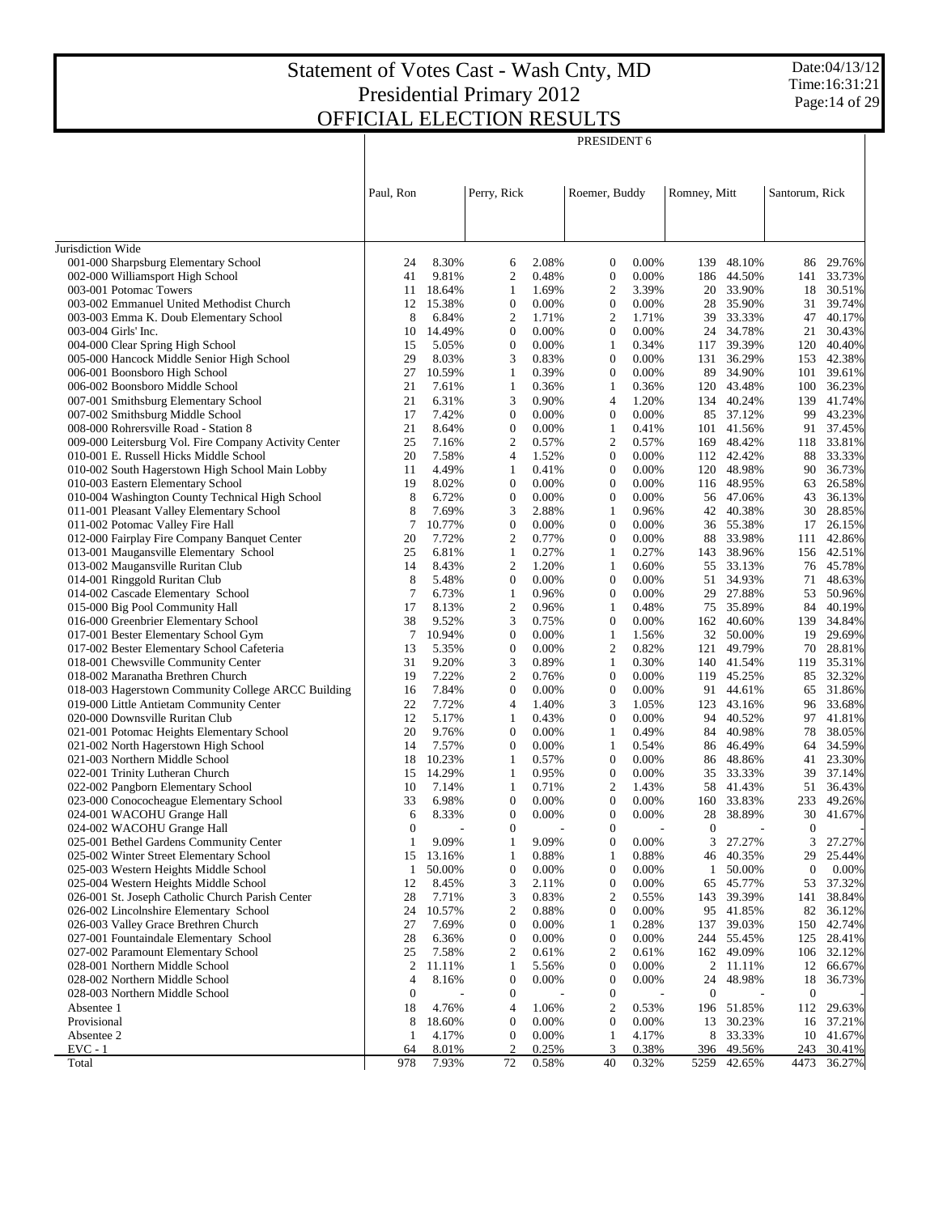Τ

PRESIDENT 6

Date:04/13/12 Time:16:31:21 Page:14 of 29

 $\top$ 

|                                                                         | Paul, Ron             |                 | Perry, Rick                      |                | Roemer, Buddy                      |                | Romney, Mitt       |                  | Santorum, Rick         |                  |
|-------------------------------------------------------------------------|-----------------------|-----------------|----------------------------------|----------------|------------------------------------|----------------|--------------------|------------------|------------------------|------------------|
|                                                                         |                       |                 |                                  |                |                                    |                |                    |                  |                        |                  |
| Jurisdiction Wide                                                       |                       |                 |                                  |                |                                    |                |                    |                  |                        |                  |
| 001-000 Sharpsburg Elementary School                                    | 24                    | 8.30%           | 6                                | 2.08%          | $\boldsymbol{0}$                   | 0.00%          | 139                | 48.10%           | 86                     | 29.76%           |
| 002-000 Williamsport High School                                        | 41                    | 9.81%           | $\mathfrak{2}$                   | 0.48%          | $\boldsymbol{0}$                   | 0.00%          | 186                | 44.50%           | 141                    | 33.73%           |
| 003-001 Potomac Towers                                                  | 11                    | 18.64%          | 1                                | 1.69%          | $\overline{c}$                     | 3.39%          | 20                 | 33.90%           | 18                     | 30.51%           |
| 003-002 Emmanuel United Methodist Church                                | 12                    | 15.38%          | $\mathbf{0}$                     | 0.00%          | $\boldsymbol{0}$                   | 0.00%          | 28                 | 35.90%           | 31                     | 39.74%           |
| 003-003 Emma K. Doub Elementary School                                  | 8                     | 6.84%           | $\mathfrak{2}$                   | 1.71%          | $\overline{2}$                     | 1.71%          | 39                 | 33.33%           | 47                     | 40.17%           |
| 003-004 Girls' Inc.                                                     | 10                    | 14.49%          | $\mathbf{0}$                     | 0.00%          | $\boldsymbol{0}$                   | 0.00%          | 24                 | 34.78%           | 21                     | 30.43%           |
| 004-000 Clear Spring High School                                        | 15                    | 5.05%           | $\mathbf{0}$                     | 0.00%          | $\mathbf{1}$                       | 0.34%          | 117                | 39.39%           | 120                    | 40.40%           |
| 005-000 Hancock Middle Senior High School                               | 29                    | 8.03%           | 3                                | 0.83%          | $\mathbf{0}$                       | 0.00%          | 131                | 36.29%           | 153                    | 42.38%           |
| 006-001 Boonsboro High School                                           | 27                    | 10.59%          | 1<br>$\mathbf{1}$                | 0.39%          | $\overline{0}$                     | 0.00%<br>0.36% | 89                 | 34.90%           | 101                    | 39.61%<br>36.23% |
| 006-002 Boonsboro Middle School<br>007-001 Smithsburg Elementary School | 21<br>21              | 7.61%<br>6.31%  | 3                                | 0.36%<br>0.90% | $\mathbf{1}$<br>$\overline{4}$     | 1.20%          | 120<br>134         | 43.48%<br>40.24% | 100<br>139             | 41.74%           |
| 007-002 Smithsburg Middle School                                        | 17                    | 7.42%           | $\overline{0}$                   | 0.00%          | $\mathbf{0}$                       | 0.00%          | 85                 | 37.12%           | 99                     | 43.23%           |
| 008-000 Rohrersville Road - Station 8                                   | 21                    | 8.64%           | $\overline{0}$                   | 0.00%          | 1                                  | 0.41%          | 101                | 41.56%           | 91                     | 37.45%           |
| 009-000 Leitersburg Vol. Fire Company Activity Center                   | 25                    | 7.16%           | $\mathfrak{2}$                   | 0.57%          | $\mathfrak{2}$                     | 0.57%          | 169                | 48.42%           | 118                    | 33.81%           |
| 010-001 E. Russell Hicks Middle School                                  | 20                    | 7.58%           | $\overline{4}$                   | 1.52%          | $\mathbf{0}$                       | 0.00%          |                    | 112 42.42%       | 88                     | 33.33%           |
| 010-002 South Hagerstown High School Main Lobby                         | 11                    | 4.49%           | 1                                | 0.41%          | $\mathbf{0}$                       | 0.00%          | 120                | 48.98%           | 90                     | 36.73%           |
| 010-003 Eastern Elementary School                                       | 19                    | 8.02%           | $\mathbf{0}$                     | 0.00%          | $\overline{0}$                     | 0.00%          |                    | 116 48.95%       | 63                     | 26.58%           |
| 010-004 Washington County Technical High School                         | 8                     | 6.72%           | $\overline{0}$                   | 0.00%          | $\overline{0}$                     | 0.00%          | 56                 | 47.06%           | 43                     | 36.13%           |
| 011-001 Pleasant Valley Elementary School                               | 8                     | 7.69%           | 3                                | 2.88%          | 1                                  | 0.96%          | 42                 | 40.38%           | 30                     | 28.85%           |
| 011-002 Potomac Valley Fire Hall                                        | 7                     | 10.77%          | $\boldsymbol{0}$                 | 0.00%          | $\boldsymbol{0}$                   | $0.00\%$       | 36                 | 55.38%           | 17                     | 26.15%           |
| 012-000 Fairplay Fire Company Banquet Center                            | 20                    | 7.72%           | $\mathfrak{2}$                   | 0.77%          | $\overline{0}$                     | 0.00%          | 88                 | 33.98%           | 111                    | 42.86%           |
| 013-001 Maugansville Elementary School                                  | 25                    | 6.81%           | $\mathbf{1}$                     | 0.27%          | 1                                  | 0.27%          | 143                | 38.96%           | 156                    | 42.51%           |
| 013-002 Maugansville Ruritan Club                                       | 14                    | 8.43%           | $\overline{2}$                   | 1.20%          | 1                                  | 0.60%          | 55                 | 33.13%           |                        | 76 45.78%        |
| 014-001 Ringgold Ruritan Club                                           | 8<br>7                | 5.48%           | $\overline{0}$<br>1              | 0.00%          | $\boldsymbol{0}$<br>$\overline{0}$ | $0.00\%$       | 51<br>29           | 34.93%           | 71                     | 48.63%           |
| 014-002 Cascade Elementary School<br>015-000 Big Pool Community Hall    | 17                    | 6.73%<br>8.13%  | $\mathfrak{2}$                   | 0.96%<br>0.96% | $\mathbf{1}$                       | 0.00%<br>0.48% | 75                 | 27.88%<br>35.89% | 53<br>84               | 50.96%<br>40.19% |
| 016-000 Greenbrier Elementary School                                    | 38                    | 9.52%           | 3                                | 0.75%          | $\overline{0}$                     | 0.00%          | 162                | 40.60%           | 139                    | 34.84%           |
| 017-001 Bester Elementary School Gym                                    | 7                     | 10.94%          | $\boldsymbol{0}$                 | 0.00%          | $\mathbf{1}$                       | 1.56%          | 32                 | 50.00%           | 19                     | 29.69%           |
| 017-002 Bester Elementary School Cafeteria                              | 13                    | 5.35%           | $\overline{0}$                   | 0.00%          | $\mathfrak{2}$                     | 0.82%          | 121                | 49.79%           | 70                     | 28.81%           |
| 018-001 Chewsville Community Center                                     | 31                    | 9.20%           | 3                                | 0.89%          | $\mathbf{1}$                       | 0.30%          | 140                | 41.54%           | 119                    | 35.31%           |
| 018-002 Maranatha Brethren Church                                       | 19                    | 7.22%           | $\overline{2}$                   | 0.76%          | $\mathbf{0}$                       | 0.00%          | 119                | 45.25%           |                        | 85 32.32%        |
| 018-003 Hagerstown Community College ARCC Building                      | 16                    | 7.84%           | $\overline{0}$                   | 0.00%          | $\overline{0}$                     | 0.00%          | 91                 | 44.61%           | 65                     | 31.86%           |
| 019-000 Little Antietam Community Center                                | 22                    | 7.72%           | $\overline{4}$                   | 1.40%          | 3                                  | 1.05%          | 123                | 43.16%           | 96                     | 33.68%           |
| 020-000 Downsville Ruritan Club                                         | 12                    | 5.17%           | $\mathbf{1}$                     | 0.43%          | $\boldsymbol{0}$                   | 0.00%          | 94                 | 40.52%           | 97                     | 41.81%           |
| 021-001 Potomac Heights Elementary School                               | 20                    | 9.76%           | $\mathbf{0}$                     | 0.00%          | 1                                  | 0.49%          | 84                 | 40.98%           | 78                     | 38.05%           |
| 021-002 North Hagerstown High School                                    | 14                    | 7.57%           | $\overline{0}$                   | 0.00%          | $\mathbf{1}$                       | 0.54%          | 86                 | 46.49%           | 64                     | 34.59%           |
| 021-003 Northern Middle School                                          | 18                    | 10.23%          | 1                                | 0.57%          | $\mathbf{0}$                       | 0.00%          | 86                 | 48.86%           | 41                     | 23.30%           |
| 022-001 Trinity Lutheran Church<br>022-002 Pangborn Elementary School   | 15<br>10              | 14.29%<br>7.14% | 1<br>1                           | 0.95%<br>0.71% | $\boldsymbol{0}$<br>$\overline{c}$ | 0.00%<br>1.43% | 35<br>58           | 33.33%<br>41.43% | 39<br>51               | 37.14%           |
| 023-000 Conococheague Elementary School                                 | 33                    | 6.98%           | $\boldsymbol{0}$                 | 0.00%          | $\mathbf{0}$                       | 0.00%          | 160                | 33.83%           | 233                    | 36.43%<br>49.26% |
| 024-001 WACOHU Grange Hall                                              | 6                     | 8.33%           | $\overline{0}$                   | $0.00\%$       | $\mathbf{0}$                       | 0.00%          | 28                 | 38.89%           | 30                     | 41.67%           |
| 024-002 WACOHU Grange Hall                                              | $\theta$              |                 | $\Omega$                         |                | $\Omega$                           |                | $\mathbf{0}$       |                  | $\overline{0}$         |                  |
| 025-001 Bethel Gardens Community Center                                 | 1                     | 9.09%           | 1                                | 9.09%          | $\boldsymbol{0}$                   | $0.00\%$       | 3                  | 27.27%           | 3                      | 27.27%           |
| 025-002 Winter Street Elementary School                                 | 15                    | 13.16%          | $\mathbf{1}$                     | 0.88%          | $\mathbf{1}$                       | 0.88%          | 46                 | 40.35%           | 29                     | 25.44%           |
| 025-003 Western Heights Middle School                                   | $\mathbf{1}$          | 50.00%          | $\boldsymbol{0}$                 | 0.00%          | $\mathbf{0}$                       | 0.00%          | $\mathbf{1}$       | 50.00%           | $\boldsymbol{0}$       | 0.00%            |
| 025-004 Western Heights Middle School                                   | 12                    | 8.45%           | 3                                | 2.11%          | $\boldsymbol{0}$                   | 0.00%          | 65                 | 45.77%           | 53                     | 37.32%           |
| 026-001 St. Joseph Catholic Church Parish Center                        | 28                    | 7.71%           | 3                                | 0.83%          | $\overline{c}$                     | 0.55%          | 143                | 39.39%           | 141                    | 38.84%           |
| 026-002 Lincolnshire Elementary School                                  | 24                    | 10.57%          | $\boldsymbol{2}$                 | 0.88%          | $\boldsymbol{0}$                   | 0.00%          | 95                 | 41.85%           | 82                     | 36.12%           |
| 026-003 Valley Grace Brethren Church                                    | 27                    | 7.69%           | $\boldsymbol{0}$                 | 0.00%          | $\mathbf{1}$                       | 0.28%          | 137                | 39.03%           | 150                    | 42.74%           |
| 027-001 Fountaindale Elementary School                                  | 28                    | 6.36%           | $\boldsymbol{0}$                 | 0.00%          | $\boldsymbol{0}$                   | 0.00%          | 244                | 55.45%           | 125                    | 28.41%           |
| 027-002 Paramount Elementary School                                     | 25                    | 7.58%           | $\boldsymbol{2}$                 | 0.61%          | $\overline{c}$                     | 0.61%          |                    | 162 49.09%       | 106                    | 32.12%           |
| 028-001 Northern Middle School                                          | $\overline{c}$        | 11.11%          | $\mathbf{1}$<br>$\boldsymbol{0}$ | 5.56%          | $\boldsymbol{0}$                   | 0.00%          | $\mathfrak{2}$     | 11.11%           | 12                     | 66.67%           |
| 028-002 Northern Middle School<br>028-003 Northern Middle School        | 4<br>$\boldsymbol{0}$ | 8.16%           | $\boldsymbol{0}$                 | 0.00%          | $\mathbf{0}$<br>$\mathbf{0}$       | 0.00%          | 24<br>$\mathbf{0}$ | 48.98%           | 18<br>$\boldsymbol{0}$ | 36.73%           |
| Absentee 1                                                              | 18                    | 4.76%           | $\overline{4}$                   | 1.06%          | $\overline{c}$                     | 0.53%          | 196                | 51.85%           | 112                    | 29.63%           |
| Provisional                                                             | 8                     | 18.60%          | $\boldsymbol{0}$                 | 0.00%          | $\boldsymbol{0}$                   | 0.00%          | 13                 | 30.23%           | 16                     | 37.21%           |
| Absentee 2                                                              | 1                     | 4.17%           | $\boldsymbol{0}$                 | 0.00%          | $\mathbf{1}$                       | 4.17%          | 8                  | 33.33%           | 10                     | 41.67%           |
| $EVC - 1$                                                               | 64                    | 8.01%           | $\overline{2}$                   | 0.25%          | 3                                  | 0.38%          | 396                | 49.56%           | 243                    | 30.41%           |
| Total                                                                   | 978                   | 7.93%           | 72                               | 0.58%          | 40                                 | 0.32%          | 5259               | 42.65%           | 4473                   | 36.27%           |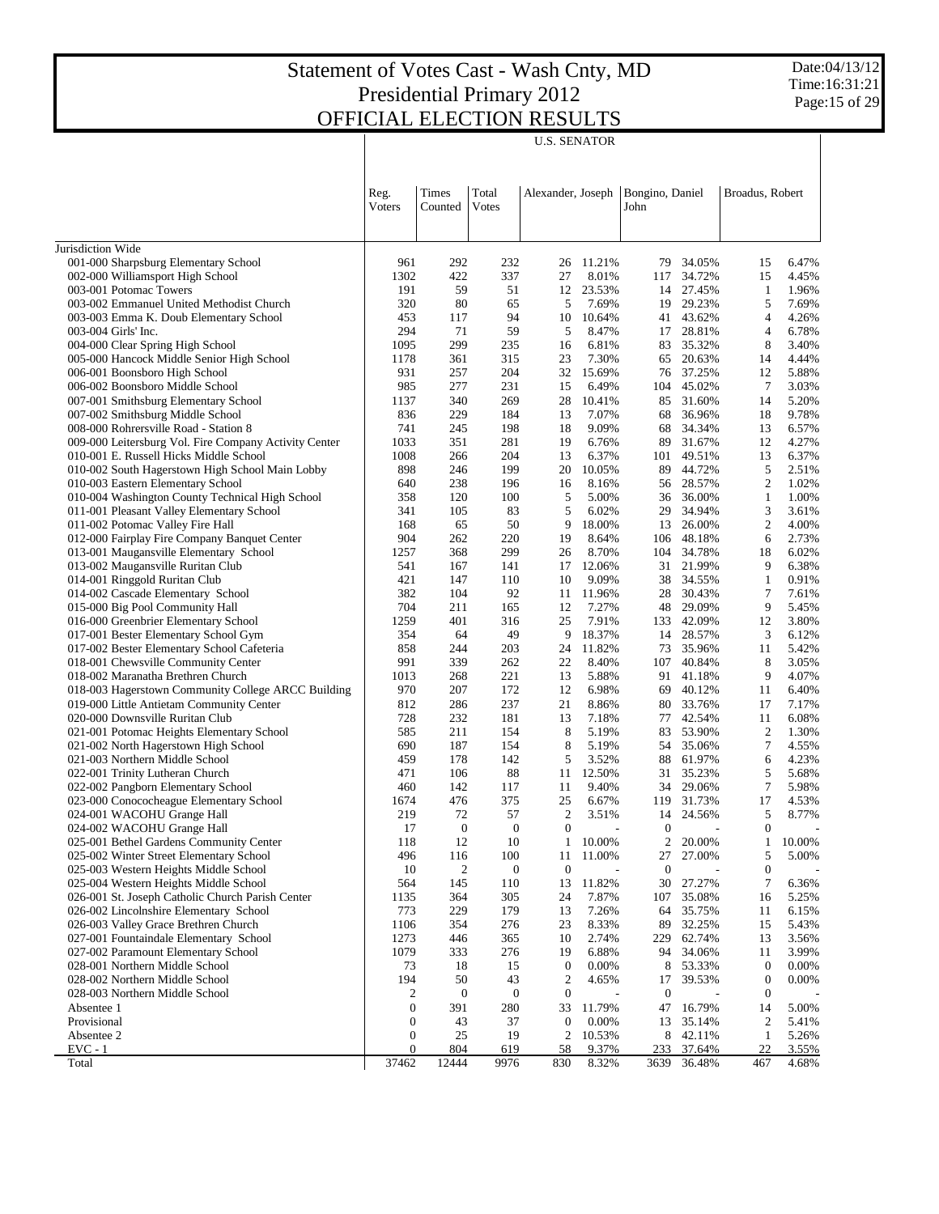Date:04/13/12 Time:16:31:21 Page:15 of 29

U.S. SENATOR

|                                                                                   | Reg.<br>Voters   | Times<br>Counted | Total<br><b>Votes</b> |                  | Bongino, Daniel<br>Alexander, Joseph<br>John |                  |                     | Broadus, Robert                  |                |
|-----------------------------------------------------------------------------------|------------------|------------------|-----------------------|------------------|----------------------------------------------|------------------|---------------------|----------------------------------|----------------|
| Jurisdiction Wide                                                                 |                  |                  |                       |                  |                                              |                  |                     |                                  |                |
| 001-000 Sharpsburg Elementary School                                              | 961              | 292              | 232                   | 26               | 11.21%                                       | 79               | 34.05%              | 15                               | 6.47%          |
| 002-000 Williamsport High School                                                  | 1302             | 422              | 337                   | 27               | 8.01%                                        | 117              | 34.72%              | 15                               | 4.45%          |
| 003-001 Potomac Towers                                                            | 191              | 59               | 51                    | 12               | 23.53%                                       | 14               | 27.45%              | 1                                | 1.96%          |
| 003-002 Emmanuel United Methodist Church                                          | 320              | 80               | 65                    | 5                | 7.69%                                        | 19               | 29.23%              | 5                                | 7.69%          |
| 003-003 Emma K. Doub Elementary School<br>003-004 Girls' Inc.                     | 453<br>294       | 117<br>71        | 94<br>59              | 10<br>5          | 10.64%<br>8.47%                              | 41               | 43.62%<br>28.81%    | $\overline{4}$<br>$\overline{4}$ | 4.26%          |
| 004-000 Clear Spring High School                                                  | 1095             | 299              | 235                   | 16               | 6.81%                                        | 17<br>83         | 35.32%              | 8                                | 6.78%<br>3.40% |
| 005-000 Hancock Middle Senior High School                                         | 1178             | 361              | 315                   | 23               | 7.30%                                        | 65               | 20.63%              | 14                               | 4.44%          |
| 006-001 Boonsboro High School                                                     | 931              | 257              | 204                   | 32               | 15.69%                                       | 76               | 37.25%              | 12                               | 5.88%          |
| 006-002 Boonsboro Middle School                                                   | 985              | 277              | 231                   | 15               | 6.49%                                        | 104              | 45.02%              | 7                                | 3.03%          |
| 007-001 Smithsburg Elementary School                                              | 1137             | 340              | 269                   | 28               | 10.41%                                       | 85               | 31.60%              | 14                               | 5.20%          |
| 007-002 Smithsburg Middle School                                                  | 836              | 229              | 184                   | 13               | 7.07%                                        | 68               | 36.96%              | 18                               | 9.78%          |
| 008-000 Rohrersville Road - Station 8                                             | 741              | 245              | 198                   | 18               | 9.09%                                        | 68               | 34.34%              | 13                               | 6.57%          |
| 009-000 Leitersburg Vol. Fire Company Activity Center                             | 1033             | 351              | 281                   | 19               | 6.76%                                        | 89               | 31.67%              | 12                               | 4.27%          |
| 010-001 E. Russell Hicks Middle School                                            | 1008             | 266              | 204                   | 13               | 6.37%                                        | 101              | 49.51%              | 13                               | 6.37%          |
| 010-002 South Hagerstown High School Main Lobby                                   | 898              | 246              | 199                   | 20               | 10.05%                                       | 89               | 44.72%              | 5                                | 2.51%          |
| 010-003 Eastern Elementary School                                                 | 640              | 238              | 196                   | 16               | 8.16%                                        | 56               | 28.57%              | $\overline{2}$                   | 1.02%          |
| 010-004 Washington County Technical High School                                   | 358              | 120              | 100                   | 5                | 5.00%                                        | 36               | 36.00%              | $\mathbf{1}$                     | 1.00%          |
| 011-001 Pleasant Valley Elementary School<br>011-002 Potomac Valley Fire Hall     | 341<br>168       | 105<br>65        | 83<br>50              | 5<br>9           | 6.02%<br>18.00%                              | 29<br>13         | 34.94%<br>26.00%    | 3<br>$\overline{2}$              | 3.61%<br>4.00% |
| 012-000 Fairplay Fire Company Banquet Center                                      | 904              | 262              | 220                   | 19               | 8.64%                                        | 106              | 48.18%              | 6                                | 2.73%          |
| 013-001 Maugansville Elementary School                                            | 1257             | 368              | 299                   | 26               | 8.70%                                        |                  | 104 34.78%          | 18                               | 6.02%          |
| 013-002 Maugansville Ruritan Club                                                 | 541              | 167              | 141                   | 17               | 12.06%                                       | 31               | 21.99%              | 9                                | 6.38%          |
| 014-001 Ringgold Ruritan Club                                                     | 421              | 147              | 110                   | 10               | 9.09%                                        | 38               | 34.55%              | $\mathbf{1}$                     | 0.91%          |
| 014-002 Cascade Elementary School                                                 | 382              | 104              | 92                    | 11               | 11.96%                                       | 28               | 30.43%              | 7                                | 7.61%          |
| 015-000 Big Pool Community Hall                                                   | 704              | 211              | 165                   | 12               | 7.27%                                        | 48               | 29.09%              | 9                                | 5.45%          |
| 016-000 Greenbrier Elementary School                                              | 1259             | 401              | 316                   | 25               | 7.91%                                        | 133              | 42.09%              | 12                               | 3.80%          |
| 017-001 Bester Elementary School Gym                                              | 354              | 64               | 49                    | 9                | 18.37%                                       |                  | 14 28.57%           | 3                                | 6.12%          |
| 017-002 Bester Elementary School Cafeteria                                        | 858              | 244              | 203                   | 24               | 11.82%                                       | 73               | 35.96%              | 11                               | 5.42%          |
| 018-001 Chewsville Community Center                                               | 991              | 339              | 262                   | 22               | 8.40%                                        | 107              | 40.84%              | 8                                | 3.05%          |
| 018-002 Maranatha Brethren Church                                                 | 1013             | 268              | 221                   | 13               | 5.88%                                        | 91               | 41.18%              | 9                                | 4.07%          |
| 018-003 Hagerstown Community College ARCC Building                                | 970              | 207              | 172                   | 12               | 6.98%                                        | 69               | 40.12%              | 11                               | 6.40%          |
| 019-000 Little Antietam Community Center                                          | 812              | 286              | 237                   | 21               | 8.86%                                        | 80               | 33.76%              | 17                               | 7.17%          |
| 020-000 Downsville Ruritan Club                                                   | 728              | 232              | 181                   | 13<br>8          | 7.18%                                        | 77               | 42.54%              | 11                               | 6.08%          |
| 021-001 Potomac Heights Elementary School<br>021-002 North Hagerstown High School | 585<br>690       | 211<br>187       | 154<br>154            | 8                | 5.19%<br>5.19%                               | 83               | 53.90%<br>54 35.06% | $\overline{c}$<br>$\tau$         | 1.30%<br>4.55% |
| 021-003 Northern Middle School                                                    | 459              | 178              | 142                   | 5                | 3.52%                                        | 88               | 61.97%              | 6                                | 4.23%          |
| 022-001 Trinity Lutheran Church                                                   | 471              | 106              | 88                    | 11               | 12.50%                                       | 31               | 35.23%              | 5                                | 5.68%          |
| 022-002 Pangborn Elementary School                                                | 460              | 142              | 117                   | 11               | 9.40%                                        | 34               | 29.06%              | 7                                | 5.98%          |
| 023-000 Conococheague Elementary School                                           | 1674             | 476              | 375                   | 25               | 6.67%                                        | 119              | 31.73%              | 17                               | 4.53%          |
| 024-001 WACOHU Grange Hall                                                        | 219              | 72               | 57                    | $\overline{2}$   | 3.51%                                        | 14               | 24.56%              | 5                                | 8.77%          |
| 024-002 WACOHU Grange Hall                                                        | 17               | $\mathbf{0}$     | $\mathbf{0}$          | $\mathbf{0}$     |                                              | $\mathbf{0}$     |                     | $\mathbf{0}$                     |                |
| 025-001 Bethel Gardens Community Center                                           | 118              | 12               | 10                    | $\mathbf{1}$     | 10.00%                                       | $\overline{2}$   | 20.00%              | $\mathbf{1}$                     | 10.00%         |
| 025-002 Winter Street Elementary School                                           | 496              | 116              | 100                   | 11               | 11.00%                                       | 27               | 27.00%              | 5                                | 5.00%          |
| 025-003 Western Heights Middle School                                             | 10               | $\overline{c}$   | $\boldsymbol{0}$      | $\boldsymbol{0}$ |                                              | $\boldsymbol{0}$ |                     | $\boldsymbol{0}$                 |                |
| 025-004 Western Heights Middle School                                             | 564              | 145              | 110                   | 13               | 11.82%                                       | 30               | 27.27%              | 7                                | 6.36%          |
| 026-001 St. Joseph Catholic Church Parish Center                                  | 1135             | 364              | 305                   | 24               | 7.87%                                        | 107              | 35.08%              | 16                               | 5.25%          |
| 026-002 Lincolnshire Elementary School                                            | 773              | 229              | 179                   | 13               | 7.26%                                        | 64               | 35.75%              | 11                               | 6.15%          |
| 026-003 Valley Grace Brethren Church                                              | 1106             | 354              | 276                   | 23               | 8.33%                                        | 89               | 32.25%              | 15                               | 5.43%          |
| 027-001 Fountaindale Elementary School<br>027-002 Paramount Elementary School     | 1273<br>1079     | 446<br>333       | 365<br>276            | 10<br>19         | 2.74%<br>6.88%                               | 229<br>94        | 62.74%<br>34.06%    | 13<br>11                         | 3.56%<br>3.99% |
| 028-001 Northern Middle School                                                    | 73               | 18               | 15                    | $\boldsymbol{0}$ | 0.00%                                        | 8                | 53.33%              | $\boldsymbol{0}$                 | 0.00%          |
| 028-002 Northern Middle School                                                    | 194              | 50               | 43                    | $\overline{2}$   | 4.65%                                        | 17               | 39.53%              | $\boldsymbol{0}$                 | 0.00%          |
| 028-003 Northern Middle School                                                    | 2                | $\boldsymbol{0}$ | $\boldsymbol{0}$      | $\boldsymbol{0}$ |                                              | $\mathbf{0}$     |                     | $\boldsymbol{0}$                 |                |
| Absentee 1                                                                        | $\boldsymbol{0}$ | 391              | 280                   | 33               | 11.79%                                       | 47               | 16.79%              | 14                               | 5.00%          |
| Provisional                                                                       | $\boldsymbol{0}$ | 43               | 37                    | $\boldsymbol{0}$ | 0.00%                                        | 13               | 35.14%              | 2                                | 5.41%          |
| Absentee 2                                                                        | $\boldsymbol{0}$ | 25               | 19                    | $\overline{c}$   | 10.53%                                       | 8                | 42.11%              | $\mathbf{1}$                     | 5.26%          |
| $EVC - 1$                                                                         | $\boldsymbol{0}$ | 804              | 619                   | 58               | 9.37%                                        | 233              | 37.64%              | 22                               | 3.55%          |
| Total                                                                             | 37462            | 12444            | 9976                  | 830              | 8.32%                                        | 3639             | 36.48%              | 467                              | 4.68%          |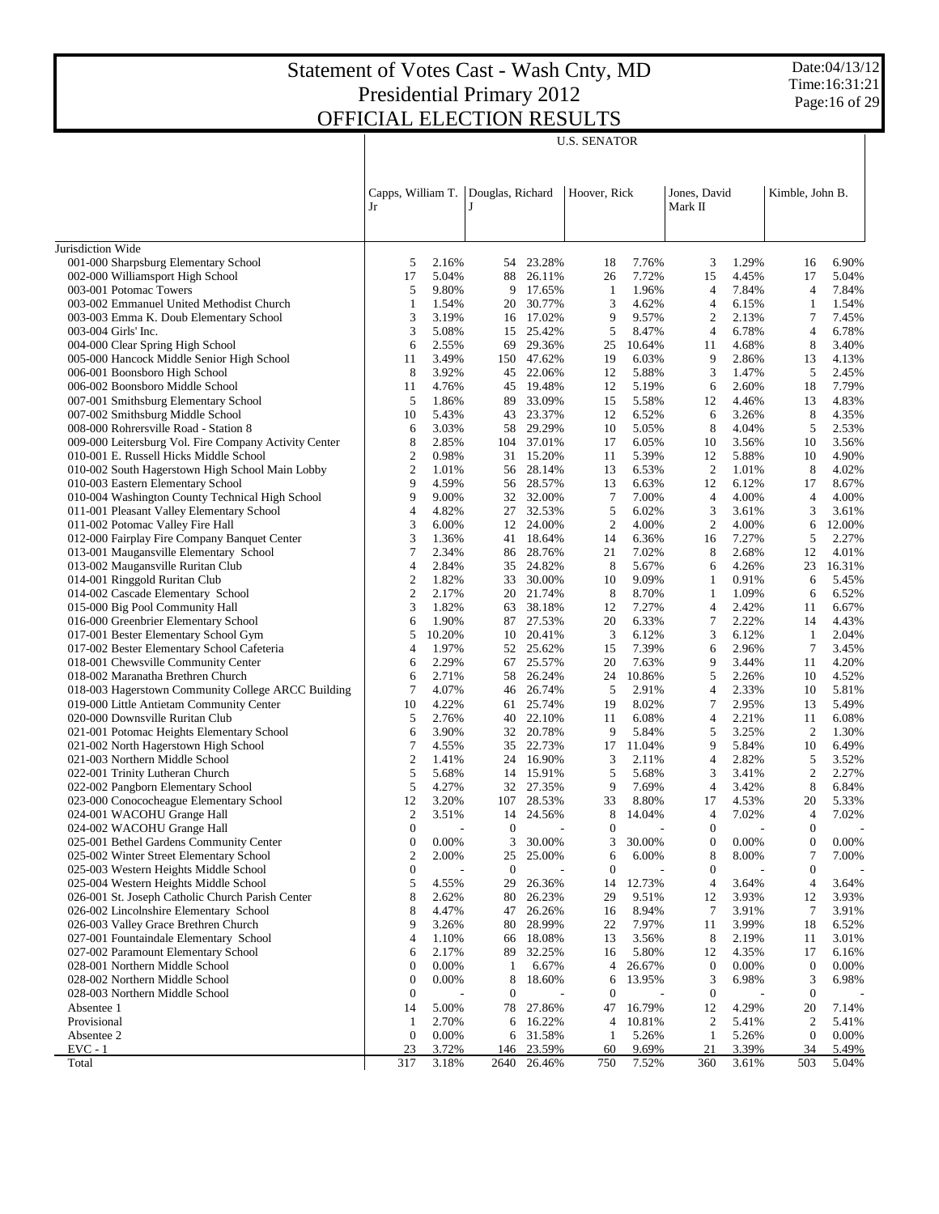U.S. SENATOR

Date:04/13/12 Time:16:31:21 Page:16 of 29

|                                                                                           | Jr |                                  |                | Capps, William T. Douglas, Richard |                  | Hoover, Rick     |                | Jones, David<br>Mark II |                | Kimble, John B.  |                |
|-------------------------------------------------------------------------------------------|----|----------------------------------|----------------|------------------------------------|------------------|------------------|----------------|-------------------------|----------------|------------------|----------------|
| Jurisdiction Wide                                                                         |    |                                  |                |                                    |                  |                  |                |                         |                |                  |                |
| 001-000 Sharpsburg Elementary School                                                      |    | 5                                | 2.16%          | 54                                 | 23.28%           | 18               | 7.76%          | 3                       | 1.29%          | 16               | 6.90%          |
| 002-000 Williamsport High School                                                          |    | 17                               | 5.04%          | 88                                 | 26.11%           | 26               | 7.72%          | 15                      | 4.45%          | 17               | 5.04%          |
| 003-001 Potomac Towers                                                                    |    | 5                                | 9.80%          | 9                                  | 17.65%           | -1               | 1.96%          | $\overline{4}$          | 7.84%          | $\overline{4}$   | 7.84%          |
| 003-002 Emmanuel United Methodist Church                                                  |    | 1                                | 1.54%          | 20                                 | 30.77%           | 3                | 4.62%          | $\overline{4}$          | 6.15%          | 1                | 1.54%          |
| 003-003 Emma K. Doub Elementary School                                                    |    | 3                                | 3.19%          |                                    | 16 17.02%        | 9                | 9.57%          | 2                       | 2.13%          | 7                | 7.45%          |
| 003-004 Girls' Inc.                                                                       |    | 3                                | 5.08%          | 15                                 | 25.42%           | 5                | 8.47%          | $\overline{4}$          | 6.78%          | $\overline{4}$   | 6.78%          |
| 004-000 Clear Spring High School                                                          |    | 6                                | 2.55%          | 69                                 | 29.36%           | 25               | 10.64%         | 11                      | 4.68%          | 8                | 3.40%          |
| 005-000 Hancock Middle Senior High School                                                 |    | 11                               | 3.49%          |                                    | 150 47.62%       | 19               | 6.03%          | 9                       | 2.86%          | 13               | 4.13%          |
| 006-001 Boonsboro High School                                                             |    | 8                                | 3.92%          | 45                                 | 22.06%           | 12               | 5.88%          | 3                       | 1.47%          | 5                | 2.45%          |
| 006-002 Boonsboro Middle School                                                           |    | 11                               | 4.76%          | 45                                 | 19.48%           | 12               | 5.19%          | 6                       | 2.60%          | 18               | 7.79%          |
| 007-001 Smithsburg Elementary School                                                      |    | 5                                | 1.86%          | 89                                 | 33.09%           | 15               | 5.58%          | 12                      | 4.46%          | 13               | 4.83%          |
| 007-002 Smithsburg Middle School                                                          |    | 10                               | 5.43%          | 43                                 | 23.37%           | 12               | 6.52%          | 6                       | 3.26%          | 8                | 4.35%          |
| 008-000 Rohrersville Road - Station 8                                                     |    | 6                                | 3.03%          | 58                                 | 29.29%           | 10               | 5.05%          | 8                       | 4.04%          | 5                | 2.53%          |
| 009-000 Leitersburg Vol. Fire Company Activity Center                                     |    | 8                                | 2.85%          |                                    | 104 37.01%       | 17               | 6.05%          | 10                      | 3.56%          | 10               | 3.56%          |
| 010-001 E. Russell Hicks Middle School                                                    |    | $\overline{c}$<br>$\overline{c}$ | 0.98%          | 31                                 | 15.20%           | 11               | 5.39%          | 12<br>$\overline{c}$    | 5.88%          | 10<br>8          | 4.90%          |
| 010-002 South Hagerstown High School Main Lobby                                           |    | 9                                | 1.01%<br>4.59% | 56                                 | 28.14%<br>28.57% | 13<br>13         | 6.53%<br>6.63% | 12                      | 1.01%<br>6.12% | 17               | 4.02%          |
| 010-003 Eastern Elementary School<br>010-004 Washington County Technical High School      |    | 9                                | 9.00%          | 56<br>32                           | 32.00%           | 7                | 7.00%          | $\overline{4}$          | 4.00%          | $\overline{4}$   | 8.67%<br>4.00% |
| 011-001 Pleasant Valley Elementary School                                                 |    | 4                                | 4.82%          | 27                                 | 32.53%           | 5                | 6.02%          | 3                       | 3.61%          | 3                | 3.61%          |
| 011-002 Potomac Valley Fire Hall                                                          |    | 3                                | 6.00%          | 12                                 | 24.00%           | $\overline{2}$   | 4.00%          | $\overline{c}$          | 4.00%          | 6                | 12.00%         |
| 012-000 Fairplay Fire Company Banquet Center                                              |    | 3                                | 1.36%          |                                    | 41 18.64%        | 14               | 6.36%          | 16                      | 7.27%          | 5                | 2.27%          |
| 013-001 Maugansville Elementary School                                                    |    | $\overline{7}$                   | 2.34%          | 86                                 | 28.76%           | 21               | 7.02%          | 8                       | 2.68%          | 12               | 4.01%          |
| 013-002 Maugansville Ruritan Club                                                         |    | 4                                | 2.84%          | 35                                 | 24.82%           | 8                | 5.67%          | 6                       | 4.26%          | 23               | 16.31%         |
| 014-001 Ringgold Ruritan Club                                                             |    | $\overline{2}$                   | 1.82%          | 33                                 | 30.00%           | 10               | 9.09%          | 1                       | 0.91%          | 6                | 5.45%          |
| 014-002 Cascade Elementary School                                                         |    | $\overline{c}$                   | 2.17%          | 20                                 | 21.74%           | 8                | 8.70%          | $\mathbf{1}$            | 1.09%          | 6                | 6.52%          |
| 015-000 Big Pool Community Hall                                                           |    | 3                                | 1.82%          | 63                                 | 38.18%           | 12               | 7.27%          | $\overline{4}$          | 2.42%          | 11               | 6.67%          |
| 016-000 Greenbrier Elementary School                                                      |    | 6                                | 1.90%          | 87                                 | 27.53%           | 20               | 6.33%          | $\tau$                  | 2.22%          | 14               | 4.43%          |
| 017-001 Bester Elementary School Gym                                                      |    | 5                                | 10.20%         | 10                                 | 20.41%           | 3                | 6.12%          | 3                       | 6.12%          | 1                | 2.04%          |
| 017-002 Bester Elementary School Cafeteria                                                |    | 4                                | 1.97%          | 52                                 | 25.62%           | 15               | 7.39%          | 6                       | 2.96%          | 7                | 3.45%          |
| 018-001 Chewsville Community Center                                                       |    | 6                                | 2.29%          | 67                                 | 25.57%           | 20               | 7.63%          | 9                       | 3.44%          | 11               | 4.20%          |
| 018-002 Maranatha Brethren Church                                                         |    | 6                                | 2.71%          | 58                                 | 26.24%           | 24               | 10.86%         | 5                       | 2.26%          | 10               | 4.52%          |
| 018-003 Hagerstown Community College ARCC Building                                        |    | 7                                | 4.07%          | 46                                 | 26.74%           | 5                | 2.91%          | $\overline{4}$          | 2.33%          | 10               | 5.81%          |
| 019-000 Little Antietam Community Center                                                  |    | 10                               | 4.22%          | 61                                 | 25.74%           | 19               | 8.02%          | $\tau$                  | 2.95%          | 13               | 5.49%          |
| 020-000 Downsville Ruritan Club                                                           |    | 5                                | 2.76%          | 40                                 | 22.10%           | 11               | 6.08%          | $\overline{4}$          | 2.21%          | 11               | 6.08%          |
| 021-001 Potomac Heights Elementary School                                                 |    | 6                                | 3.90%          | 32                                 | 20.78%           | 9                | 5.84%          | 5                       | 3.25%          | $\mathfrak{2}$   | 1.30%          |
| 021-002 North Hagerstown High School                                                      |    | $\overline{7}$                   | 4.55%          | 35                                 | 22.73%           | 17               | 11.04%         | 9                       | 5.84%          | 10               | 6.49%          |
| 021-003 Northern Middle School                                                            |    | $\mathbf{2}$                     | 1.41%          | 24                                 | 16.90%           | 3                | 2.11%          | $\overline{4}$          | 2.82%          | 5                | 3.52%          |
| 022-001 Trinity Lutheran Church                                                           |    | 5                                | 5.68%          |                                    | 14 15.91%        | 5                | 5.68%          | 3                       | 3.41%          | $\mathfrak{2}$   | 2.27%          |
| 022-002 Pangborn Elementary School                                                        |    | 5                                | 4.27%          | 32                                 | 27.35%           | 9                | 7.69%          | $\overline{4}$          | 3.42%          | 8                | 6.84%          |
| 023-000 Conococheague Elementary School                                                   |    | 12                               | 3.20%          | 107                                | 28.53%           | 33               | 8.80%          | 17                      | 4.53%          | 20               | 5.33%          |
| 024-001 WACOHU Grange Hall                                                                |    | $\overline{2}$                   | 3.51%          | 14                                 | 24.56%           | 8                | 14.04%         | $\overline{4}$          | 7.02%          | $\overline{4}$   | 7.02%          |
| 024-002 WACOHU Grange Hall                                                                |    | $\boldsymbol{0}$                 |                | $\mathbf{0}$                       |                  | $\boldsymbol{0}$ |                | $\boldsymbol{0}$        |                | $\mathbf 0$      |                |
| 025-001 Bethel Gardens Community Center                                                   |    | $\mathbf{0}$                     | 0.00%          | 3                                  | 30.00%           | 3                | 30.00%         | $\boldsymbol{0}$        | 0.00%          | $\boldsymbol{0}$ | 0.00%          |
| 025-002 Winter Street Elementary School                                                   |    | 2                                | 2.00%          | 25                                 | 25.00%           | 6                | 6.00%          | 8                       | 8.00%          |                  | 7.00%          |
| 025-003 Western Heights Middle School                                                     |    | $\boldsymbol{0}$                 |                | $\mathbf{0}$                       |                  | $\boldsymbol{0}$ |                | $\boldsymbol{0}$        |                | $\boldsymbol{0}$ |                |
| 025-004 Western Heights Middle School<br>026-001 St. Joseph Catholic Church Parish Center |    | 5<br>8                           | 4.55%          | 29                                 | 26.36%           | 14<br>29         | 12.73%         | $\overline{4}$          | 3.64%          | $\overline{4}$   | 3.64%          |
| 026-002 Lincolnshire Elementary School                                                    |    | 8                                | 2.62%          | 80<br>47                           | 26.23%<br>26.26% |                  | 9.51%          | 12<br>7                 | 3.93%          | 12<br>7          | 3.93%<br>3.91% |
| 026-003 Valley Grace Brethren Church                                                      |    | 9                                | 4.47%<br>3.26% | 80                                 | 28.99%           | 16<br>22         | 8.94%<br>7.97% | 11                      | 3.91%<br>3.99% | 18               | 6.52%          |
| 027-001 Fountaindale Elementary School                                                    |    | 4                                |                |                                    | 18.08%           |                  |                | 8                       |                |                  | 3.01%          |
| 027-002 Paramount Elementary School                                                       |    | 6                                | 1.10%<br>2.17% | 66<br>89                           | 32.25%           | 13<br>16         | 3.56%<br>5.80% | 12                      | 2.19%<br>4.35% | 11<br>17         | 6.16%          |
| 028-001 Northern Middle School                                                            |    | $\boldsymbol{0}$                 | 0.00%          | 1                                  | 6.67%            | 4                | 26.67%         | $\boldsymbol{0}$        | 0.00%          | $\boldsymbol{0}$ | 0.00%          |
| 028-002 Northern Middle School                                                            |    | $\boldsymbol{0}$                 | 0.00%          | 8                                  | 18.60%           | 6                | 13.95%         | 3                       | 6.98%          | 3                | 6.98%          |
| 028-003 Northern Middle School                                                            |    | $\boldsymbol{0}$                 |                | $\boldsymbol{0}$                   |                  | $\mathbf{0}$     |                | $\boldsymbol{0}$        |                | $\boldsymbol{0}$ |                |
| Absentee 1                                                                                |    | 14                               | 5.00%          | 78                                 | 27.86%           | 47               | 16.79%         | 12                      | 4.29%          | 20               | 7.14%          |
| Provisional                                                                               |    | 1                                | 2.70%          | 6                                  | 16.22%           | 4                | 10.81%         | $\overline{c}$          | 5.41%          | $\overline{c}$   | 5.41%          |
| Absentee 2                                                                                |    | $\boldsymbol{0}$                 | 0.00%          | 6                                  | 31.58%           | $\mathbf{1}$     | 5.26%          | $\mathbf{1}$            | 5.26%          | $\boldsymbol{0}$ | 0.00%          |
| $EVC - 1$                                                                                 |    | 23                               | 3.72%          | 146                                | 23.59%           | 60               | 9.69%          | 21                      | 3.39%          | 34               | 5.49%          |
| Total                                                                                     |    | 317                              | 3.18%          | 2640                               | 26.46%           | 750              | 7.52%          | 360                     | 3.61%          | 503              | 5.04%          |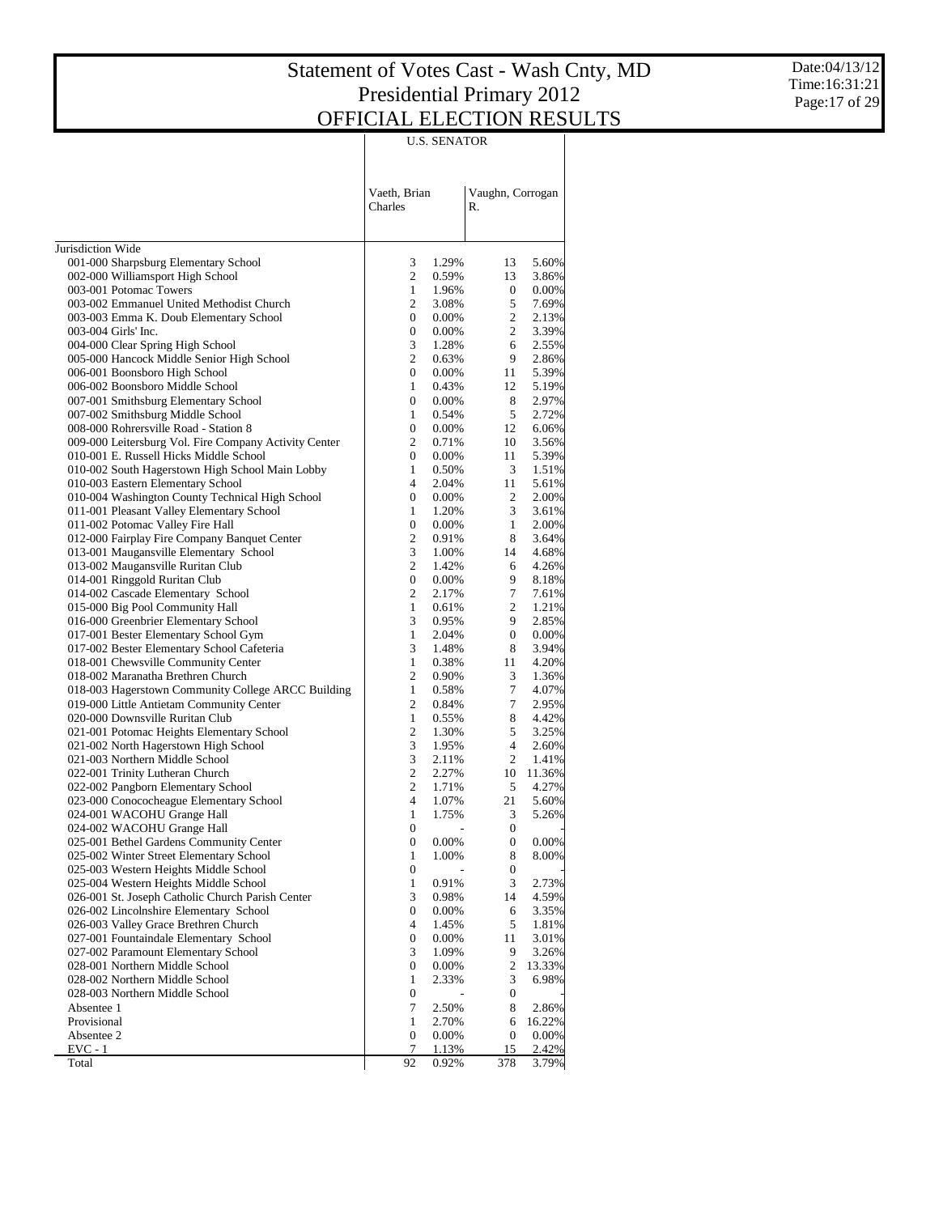Date:04/13/12 Time:16:31:21 Page:17 of 29

|                                                                                   | U.S. SENATOR            |                |                        |                |  |  |  |  |  |
|-----------------------------------------------------------------------------------|-------------------------|----------------|------------------------|----------------|--|--|--|--|--|
|                                                                                   | Vaeth, Brian<br>Charles |                | Vaughn, Corrogan<br>R. |                |  |  |  |  |  |
| Jurisdiction Wide                                                                 |                         |                |                        |                |  |  |  |  |  |
| 001-000 Sharpsburg Elementary School                                              | 3                       | 1.29%          | 13                     | 5.60%          |  |  |  |  |  |
| 002-000 Williamsport High School                                                  | 2                       | 0.59%          | 13                     | 3.86%          |  |  |  |  |  |
| 003-001 Potomac Towers                                                            | $\mathbf{1}$            | 1.96%          | 0                      | 0.00%          |  |  |  |  |  |
| 003-002 Emmanuel United Methodist Church                                          | 2                       | 3.08%          | 5                      | 7.69%          |  |  |  |  |  |
| 003-003 Emma K. Doub Elementary School                                            | $\boldsymbol{0}$        | $0.00\%$       | 2                      | 2.13%          |  |  |  |  |  |
| 003-004 Girls' Inc.                                                               | 0                       | 0.00%          | $\overline{2}$         | 3.39%          |  |  |  |  |  |
| 004-000 Clear Spring High School                                                  | 3                       | 1.28%          | 6                      | 2.55%          |  |  |  |  |  |
| 005-000 Hancock Middle Senior High School                                         | 2                       | 0.63%          | 9                      | 2.86%          |  |  |  |  |  |
| 006-001 Boonsboro High School                                                     | 0                       | 0.00%          | 11                     | 5.39%          |  |  |  |  |  |
| 006-002 Boonsboro Middle School                                                   | 1                       | 0.43%          | 12                     | 5.19%          |  |  |  |  |  |
| 007-001 Smithsburg Elementary School                                              | $\boldsymbol{0}$        | 0.00%          | 8                      | 2.97%          |  |  |  |  |  |
| 007-002 Smithsburg Middle School                                                  | 1                       | 0.54%          | 5                      | 2.72%          |  |  |  |  |  |
| 008-000 Rohrersville Road - Station 8                                             | 0                       | 0.00%          | 12                     | 6.06%          |  |  |  |  |  |
| 009-000 Leitersburg Vol. Fire Company Activity Center                             | 2                       | 0.71%          | 10                     | 3.56%          |  |  |  |  |  |
| 010-001 E. Russell Hicks Middle School                                            | 0                       | 0.00%          | 11                     | 5.39%          |  |  |  |  |  |
| 010-002 South Hagerstown High School Main Lobby                                   | 1                       | 0.50%          | 3                      | 1.51%          |  |  |  |  |  |
| 010-003 Eastern Elementary School                                                 | $\overline{4}$          | 2.04%          | 11                     | 5.61%          |  |  |  |  |  |
| 010-004 Washington County Technical High School                                   | 0                       | 0.00%          | 2                      | 2.00%          |  |  |  |  |  |
| 011-001 Pleasant Valley Elementary School                                         | 1                       | 1.20%          | 3                      | 3.61%          |  |  |  |  |  |
| 011-002 Potomac Valley Fire Hall                                                  | $\boldsymbol{0}$        | 0.00%          | $\mathbf{1}$           | 2.00%          |  |  |  |  |  |
| 012-000 Fairplay Fire Company Banquet Center                                      | 2                       | 0.91%          | 8                      | 3.64%          |  |  |  |  |  |
| 013-001 Maugansville Elementary School                                            | 3                       | 1.00%          | 14                     | 4.68%          |  |  |  |  |  |
| 013-002 Maugansville Ruritan Club                                                 | 2                       | 1.42%          | 6                      | 4.26%          |  |  |  |  |  |
| 014-001 Ringgold Ruritan Club                                                     | 0                       | 0.00%          | 9                      | 8.18%          |  |  |  |  |  |
| 014-002 Cascade Elementary School                                                 | 2                       | 2.17%          | 7                      | 7.61%          |  |  |  |  |  |
| 015-000 Big Pool Community Hall                                                   | $\mathbf{1}$            | 0.61%          | 2                      | 1.21%          |  |  |  |  |  |
| 016-000 Greenbrier Elementary School                                              | 3                       | 0.95%          | 9                      | 2.85%          |  |  |  |  |  |
| 017-001 Bester Elementary School Gym                                              | 1<br>3                  | 2.04%<br>1.48% | 0<br>8                 | 0.00%          |  |  |  |  |  |
| 017-002 Bester Elementary School Cafeteria<br>018-001 Chewsville Community Center | 1                       | 0.38%          | 11                     | 3.94%<br>4.20% |  |  |  |  |  |
| 018-002 Maranatha Brethren Church                                                 | 2                       | 0.90%          | 3                      | 1.36%          |  |  |  |  |  |
| 018-003 Hagerstown Community College ARCC Building                                | $\mathbf{1}$            | 0.58%          | 7                      | 4.07%          |  |  |  |  |  |
| 019-000 Little Antietam Community Center                                          | 2                       | 0.84%          | 7                      | 2.95%          |  |  |  |  |  |
| 020-000 Downsville Ruritan Club                                                   | $\mathbf{1}$            | 0.55%          | 8                      | 4.42%          |  |  |  |  |  |
| 021-001 Potomac Heights Elementary School                                         | 2                       | 1.30%          | 5                      | 3.25%          |  |  |  |  |  |
| 021-002 North Hagerstown High School                                              | 3                       | 1.95%          | $\overline{4}$         | 2.60%          |  |  |  |  |  |
| 021-003 Northern Middle School                                                    | 3                       | 2.11%          | 2                      | 1.41%          |  |  |  |  |  |
| 022-001 Trinity Lutheran Church                                                   | $\sqrt{2}$              | 2.27%          | 10                     | 11.36%         |  |  |  |  |  |
| 022-002 Pangborn Elementary School                                                | 2                       | 1.71%          | 5                      | 4.27%          |  |  |  |  |  |
| 023-000 Conococheague Elementary School                                           | $\overline{4}$          | 1.07%          | 21                     | 5.60%          |  |  |  |  |  |
| 024-001 WACOHU Grange Hall                                                        | 1                       | 1.75%          | 3                      | 5.26%          |  |  |  |  |  |
| 024-002 WACOHU Grange Hall                                                        | 0                       |                | 0                      |                |  |  |  |  |  |
| 025-001 Bethel Gardens Community Center                                           | 0                       | 0.00%          | $\boldsymbol{0}$       | 0.00%          |  |  |  |  |  |
| 025-002 Winter Street Elementary School                                           | $\mathbf{1}$            | 1.00%          | 8                      | 8.00%          |  |  |  |  |  |
| 025-003 Western Heights Middle School                                             | $\boldsymbol{0}$        |                | $\boldsymbol{0}$       |                |  |  |  |  |  |
| 025-004 Western Heights Middle School                                             | $\mathbf{1}$            | 0.91%          | 3                      | 2.73%          |  |  |  |  |  |
| 026-001 St. Joseph Catholic Church Parish Center                                  | 3                       | 0.98%          | 14                     | 4.59%          |  |  |  |  |  |
| 026-002 Lincolnshire Elementary School                                            | $\boldsymbol{0}$        | 0.00%          | 6                      | 3.35%          |  |  |  |  |  |
| 026-003 Valley Grace Brethren Church                                              | $\overline{4}$          | 1.45%          | 5                      | 1.81%          |  |  |  |  |  |
| 027-001 Fountaindale Elementary School                                            | $\boldsymbol{0}$        | 0.00%          | 11                     | 3.01%          |  |  |  |  |  |
| 027-002 Paramount Elementary School                                               | 3                       | 1.09%          | 9                      | 3.26%          |  |  |  |  |  |
| 028-001 Northern Middle School                                                    | $\boldsymbol{0}$        | 0.00%          | 2                      | 13.33%         |  |  |  |  |  |
| 028-002 Northern Middle School                                                    | $\mathbf{1}$            | 2.33%          | 3                      | 6.98%          |  |  |  |  |  |
| 028-003 Northern Middle School                                                    | $\boldsymbol{0}$        |                | 0                      |                |  |  |  |  |  |
| Absentee 1                                                                        | 7                       | 2.50%          | 8                      | 2.86%          |  |  |  |  |  |
| Provisional                                                                       | $\mathbf{1}$            | 2.70%          | 6                      | 16.22%         |  |  |  |  |  |
| Absentee 2                                                                        | $\boldsymbol{0}$        | 0.00%          | $\boldsymbol{0}$       | 0.00%          |  |  |  |  |  |
| $EVC - 1$                                                                         | 7                       | 1.13%          | 15                     | 2.42%          |  |  |  |  |  |
| Total                                                                             | 92                      | 0.92%          | 378                    | 3.79%          |  |  |  |  |  |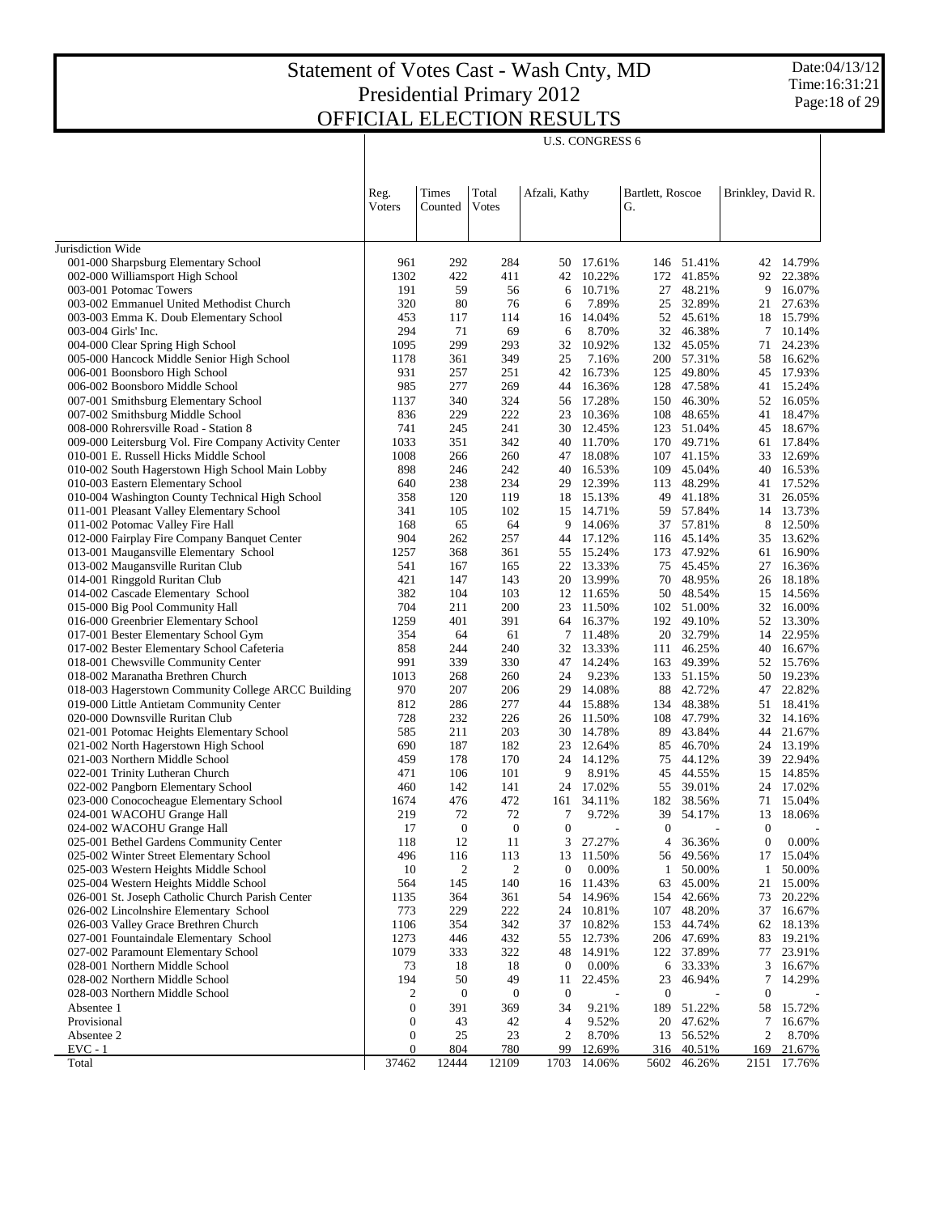|                                                                                           |                                      |                  |                  |                      | <b>U.S. CONGRESS 6</b> |                        |                  |                                |                     |
|-------------------------------------------------------------------------------------------|--------------------------------------|------------------|------------------|----------------------|------------------------|------------------------|------------------|--------------------------------|---------------------|
|                                                                                           | Reg.<br>Voters                       | Times<br>Counted | Total<br>Votes   | Afzali, Kathy        |                        | Bartlett, Roscoe<br>G. |                  | Brinkley, David R.             |                     |
| Jurisdiction Wide                                                                         |                                      |                  |                  |                      |                        |                        |                  |                                |                     |
| 001-000 Sharpsburg Elementary School                                                      | 961                                  | 292              | 284              |                      | 50 17.61%              | 146                    | 51.41%           |                                | 42 14.79%           |
| 002-000 Williamsport High School                                                          | 1302                                 | 422              | 411              | 42                   | 10.22%                 | 172                    | 41.85%           | 92                             | 22.38%              |
| 003-001 Potomac Towers                                                                    | 191                                  | 59               | 56               | 6                    | 10.71%                 | 27                     | 48.21%           | 9                              | 16.07%              |
| 003-002 Emmanuel United Methodist Church                                                  | 320                                  | 80               | 76               | 6                    | 7.89%                  | 25                     | 32.89%           | 21                             | 27.63%              |
| 003-003 Emma K. Doub Elementary School                                                    | 453                                  | 117              | 114              | 16                   | 14.04%                 |                        | 52 45.61%        |                                | 18 15.79%           |
| 003-004 Girls' Inc.                                                                       | 294                                  | 71               | 69               | 6                    | 8.70%                  | 32                     | 46.38%           | 7                              | 10.14%              |
| 004-000 Clear Spring High School                                                          | 1095                                 | 299              | 293              | 32                   | 10.92%                 | 132                    | 45.05%           | 71                             | 24.23%              |
| 005-000 Hancock Middle Senior High School                                                 | 1178                                 | 361              | 349              | 25                   | 7.16%                  | 200                    | 57.31%           | 58                             | 16.62%              |
| 006-001 Boonsboro High School                                                             | 931                                  | 257              | 251              | 42                   | 16.73%                 | 125                    | 49.80%           |                                | 45 17.93%           |
| 006-002 Boonsboro Middle School                                                           | 985                                  | 277              | 269              | 44                   | 16.36%                 | 128                    | 47.58%           | 41                             | 15.24%              |
| 007-001 Smithsburg Elementary School                                                      | 1137<br>836                          | 340<br>229       | 324<br>222       | 56<br>23             | 17.28%<br>10.36%       | 150<br>108             | 46.30%<br>48.65% | 52<br>41                       | 16.05%<br>18.47%    |
| 007-002 Smithsburg Middle School<br>008-000 Rohrersville Road - Station 8                 | 741                                  | 245              | 241              |                      | 30 12.45%              | 123                    | 51.04%           |                                | 45 18.67%           |
| 009-000 Leitersburg Vol. Fire Company Activity Center                                     | 1033                                 | 351              | 342              | 40                   | 11.70%                 | 170                    | 49.71%           | 61                             | 17.84%              |
| 010-001 E. Russell Hicks Middle School                                                    | 1008                                 | 266              | 260              |                      | 47 18.08%              |                        | 107 41.15%       | 33                             | 12.69%              |
| 010-002 South Hagerstown High School Main Lobby                                           | 898                                  | 246              | 242              | 40                   | 16.53%                 | 109                    | 45.04%           | 40                             | 16.53%              |
| 010-003 Eastern Elementary School                                                         | 640                                  | 238              | 234              |                      | 29 12.39%              | 113                    | 48.29%           | 41                             | 17.52%              |
| 010-004 Washington County Technical High School                                           | 358                                  | 120              | 119              | 18                   | 15.13%                 | 49                     | 41.18%           | 31                             | 26.05%              |
| 011-001 Pleasant Valley Elementary School                                                 | 341                                  | 105              | 102              |                      | 15 14.71%              | 59                     | 57.84%           |                                | 14 13.73%           |
| 011-002 Potomac Valley Fire Hall                                                          | 168                                  | 65               | 64               | 9                    | 14.06%                 | 37                     | 57.81%           | 8                              | 12.50%              |
| 012-000 Fairplay Fire Company Banquet Center                                              | 904                                  | 262              | 257              | 44                   | 17.12%                 | 116                    | 45.14%           | 35                             | 13.62%              |
| 013-001 Maugansville Elementary School                                                    | 1257                                 | 368              | 361              | 55                   | 15.24%                 | 173                    | 47.92%           | 61                             | 16.90%              |
| 013-002 Maugansville Ruritan Club                                                         | 541<br>421                           | 167<br>147       | 165<br>143       | 22<br>20             | 13.33%<br>13.99%       | 75<br>70               | 45.45%<br>48.95% | 27<br>26                       | 16.36%<br>18.18%    |
| 014-001 Ringgold Ruritan Club<br>014-002 Cascade Elementary School                        | 382                                  | 104              | 103              |                      | 12 11.65%              | 50                     | 48.54%           |                                | 15 14.56%           |
| 015-000 Big Pool Community Hall                                                           | 704                                  | 211              | 200              | 23                   | 11.50%                 | 102                    | 51.00%           | 32                             | 16.00%              |
| 016-000 Greenbrier Elementary School                                                      | 1259                                 | 401              | 391              |                      | 64 16.37%              | 192                    | 49.10%           |                                | 52 13.30%           |
| 017-001 Bester Elementary School Gym                                                      | 354                                  | 64               | 61               | 7                    | 11.48%                 | 20                     | 32.79%           | 14                             | 22.95%              |
| 017-002 Bester Elementary School Cafeteria                                                | 858                                  | 244              | 240              | 32                   | 13.33%                 | 111                    | 46.25%           |                                | 40 16.67%           |
| 018-001 Chewsville Community Center                                                       | 991                                  | 339              | 330              | 47                   | 14.24%                 | 163                    | 49.39%           | 52                             | 15.76%              |
| 018-002 Maranatha Brethren Church                                                         | 1013                                 | 268              | 260              | 24                   | 9.23%                  | 133                    | 51.15%           |                                | 50 19.23%           |
| 018-003 Hagerstown Community College ARCC Building                                        | 970                                  | 207              | 206              | 29                   | 14.08%                 | 88                     | 42.72%           | 47                             | 22.82%              |
| 019-000 Little Antietam Community Center                                                  | 812                                  | 286              | 277              | 44                   | 15.88%                 | 134                    | 48.38%           | 51                             | 18.41%              |
| 020-000 Downsville Ruritan Club                                                           | 728                                  | 232              | 226              | 26                   | 11.50%                 | 108                    | 47.79%<br>43.84% | 32                             | 14.16%              |
| 021-001 Potomac Heights Elementary School<br>021-002 North Hagerstown High School         | 585<br>690                           | 211<br>187       | 203<br>182       | 23                   | 30 14.78%<br>12.64%    | 89<br>85               | 46.70%           | 24                             | 44 21.67%<br>13.19% |
| 021-003 Northern Middle School                                                            | 459                                  | 178              | 170              |                      | 24 14.12%              | 75                     | 44.12%           | 39                             | 22.94%              |
| 022-001 Trinity Lutheran Church                                                           | 471                                  | 106              | 101              | 9                    | 8.91%                  | 45                     | 44.55%           | 15                             | 14.85%              |
| 022-002 Pangborn Elementary School                                                        | 460                                  | 142              | 141              |                      | 24 17.02%              | 55                     | 39.01%           |                                | 24 17.02%           |
| 023-000 Conococheague Elementary School                                                   | 1674                                 | 476              | 472              | 161                  | 34.11%                 | 182                    | 38.56%           | 71                             | 15.04%              |
| 024-001 WACOHU Grange Hall                                                                | 219                                  | 72               | 72               | 7                    | 9.72%                  | 39                     | 54.17%           |                                | 13 18.06%           |
| 024-002 WACOHU Grange Hall                                                                | 17                                   | $\boldsymbol{0}$ | $\boldsymbol{0}$ | $\boldsymbol{0}$     | $\overline{a}$         | $\boldsymbol{0}$       |                  | $\boldsymbol{0}$               |                     |
| 025-001 Bethel Gardens Community Center                                                   | 118                                  | 12               | 11               | 3                    | 27.27%                 | $\overline{4}$         | 36.36%           | $\boldsymbol{0}$               | 0.00%               |
| 025-002 Winter Street Elementary School                                                   | 496                                  | 116              | 113              | 13                   | 11.50%                 | 56                     | 49.56%           | 17                             | 15.04%              |
| 025-003 Western Heights Middle School                                                     | 10                                   | 2                | $\overline{c}$   | $\boldsymbol{0}$     | 0.00%                  | $\mathbf{1}$           | 50.00%<br>45.00% | 1                              | 50.00%              |
| 025-004 Western Heights Middle School<br>026-001 St. Joseph Catholic Church Parish Center | 564<br>1135                          | 145<br>364       | 140<br>361       | 16<br>54             | 11.43%<br>14.96%       | 63<br>154              | 42.66%           | 21<br>73                       | 15.00%<br>20.22%    |
| 026-002 Lincolnshire Elementary School                                                    | 773                                  | 229              | 222              | 24                   | 10.81%                 | 107                    | 48.20%           | 37                             | 16.67%              |
| 026-003 Valley Grace Brethren Church                                                      | 1106                                 | 354              | 342              | 37                   | 10.82%                 | 153                    | 44.74%           | 62                             | 18.13%              |
| 027-001 Fountaindale Elementary School                                                    | 1273                                 | 446              | 432              | 55                   | 12.73%                 | 206                    | 47.69%           | 83                             | 19.21%              |
| 027-002 Paramount Elementary School                                                       | 1079                                 | 333              | 322              | 48                   | 14.91%                 | 122                    | 37.89%           | 77                             | 23.91%              |
| 028-001 Northern Middle School                                                            | 73                                   | 18               | 18               | $\bf{0}$             | $0.00\%$               | 6                      | 33.33%           | 3                              | 16.67%              |
| 028-002 Northern Middle School                                                            | 194                                  | 50               | 49               | 11                   | 22.45%                 | 23                     | 46.94%           | 7                              | 14.29%              |
| 028-003 Northern Middle School                                                            | 2                                    | $\boldsymbol{0}$ | $\boldsymbol{0}$ | $\boldsymbol{0}$     |                        | $\boldsymbol{0}$       |                  | $\boldsymbol{0}$               |                     |
| Absentee 1                                                                                | $\boldsymbol{0}$                     | 391              | 369              | 34                   | 9.21%                  | 189                    | 51.22%           | 58                             | 15.72%              |
| Provisional                                                                               | $\boldsymbol{0}$                     | 43               | 42               | $\overline{4}$       | 9.52%                  | 20                     | 47.62%           | 7                              | 16.67%              |
| Absentee 2<br>$EVC - 1$                                                                   | $\boldsymbol{0}$<br>$\boldsymbol{0}$ | 25<br>804        | 23<br>780        | $\overline{c}$<br>99 | 8.70%<br>12.69%        | 13<br>316              | 56.52%<br>40.51% | $\overline{\mathbf{c}}$<br>169 | 8.70%<br>21.67%     |
| Total                                                                                     | 37462                                | 12444            | 12109            | 1703                 | 14.06%                 | 5602                   | 46.26%           | 2151                           | 17.76%              |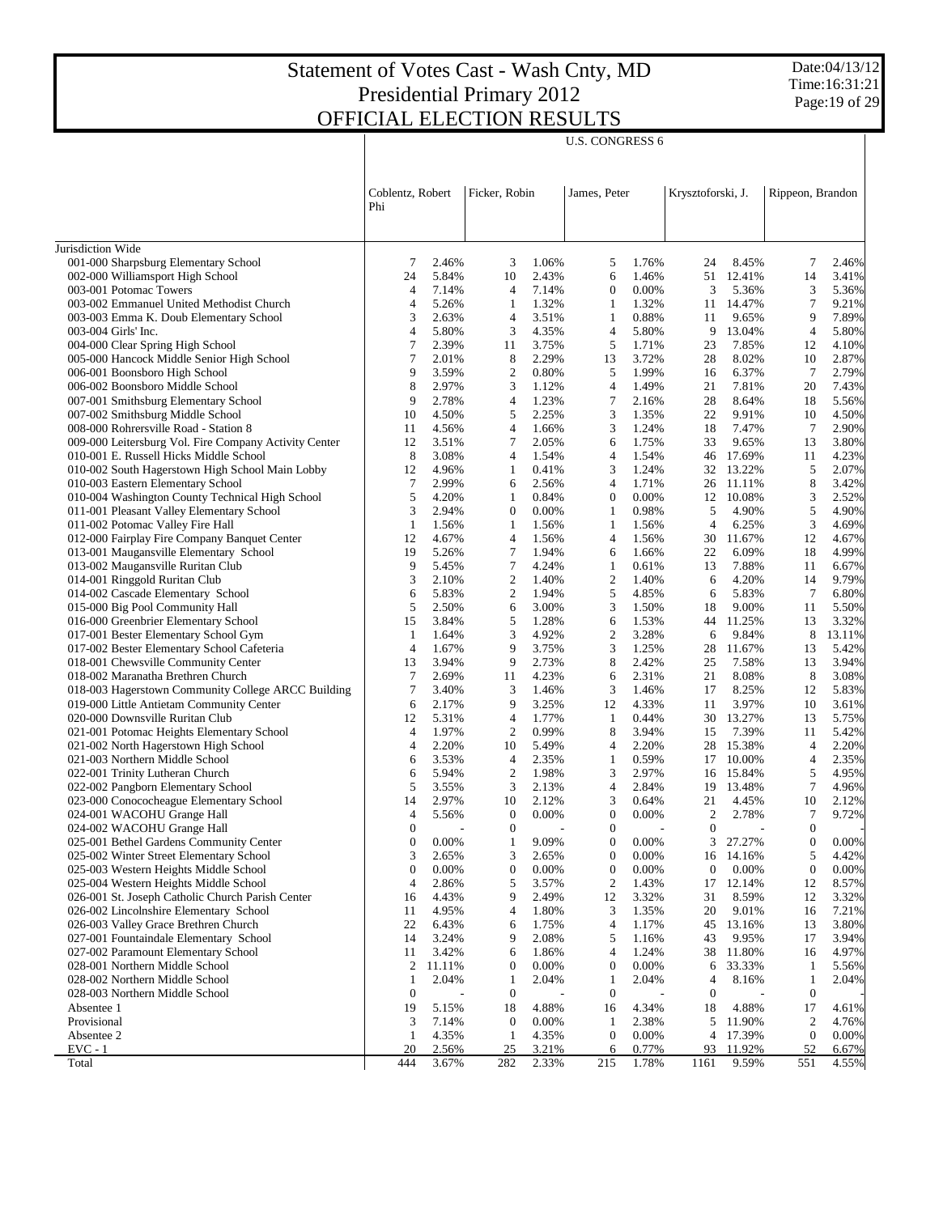$\overline{\phantom{a}}$ 

Date:04/13/12 Time:16:31:21 Page:19 of 29

 $\overline{1}$ 

|                                                                                                 | Coblentz, Robert<br>Phi |                | Ficker, Robin                        |                | James, Peter                       |                | Krysztoforski, J.                  |                         | Rippeon, Brandon               |                 |
|-------------------------------------------------------------------------------------------------|-------------------------|----------------|--------------------------------------|----------------|------------------------------------|----------------|------------------------------------|-------------------------|--------------------------------|-----------------|
| Jurisdiction Wide                                                                               |                         |                |                                      |                |                                    |                |                                    |                         |                                |                 |
| 001-000 Sharpsburg Elementary School                                                            | 7                       | 2.46%          | 3                                    | 1.06%          | 5                                  | 1.76%          | 24                                 | 8.45%                   | 7                              | 2.46%           |
| 002-000 Williamsport High School                                                                | 24                      | 5.84%          | 10                                   | 2.43%          | 6                                  | 1.46%          | 51                                 | 12.41%                  | 14                             | 3.41%           |
| 003-001 Potomac Towers                                                                          | 4                       | 7.14%          | $\overline{4}$                       | 7.14%          | 0                                  | 0.00%          | 3                                  | 5.36%                   | 3                              | 5.36%           |
| 003-002 Emmanuel United Methodist Church                                                        | 4                       | 5.26%          | $\mathbf{1}$                         | 1.32%          | 1                                  | 1.32%          | 11                                 | 14.47%                  | $\overline{7}$                 | 9.21%           |
| 003-003 Emma K. Doub Elementary School                                                          | 3                       | 2.63%          | 4                                    | 3.51%          | 1                                  | 0.88%          | 11                                 | 9.65%                   | 9                              | 7.89%           |
| 003-004 Girls' Inc.                                                                             | 4                       | 5.80%          | 3                                    | 4.35%          | 4                                  | 5.80%          | 9                                  | 13.04%                  | $\overline{4}$                 | 5.80%           |
| 004-000 Clear Spring High School                                                                | 7                       | 2.39%          | 11                                   | 3.75%          | 5                                  | 1.71%          | 23                                 | 7.85%                   | 12                             | 4.10%           |
| 005-000 Hancock Middle Senior High School                                                       | 7                       | 2.01%          | 8                                    | 2.29%          | 13                                 | 3.72%          | 28                                 | 8.02%                   | 10                             | 2.87%           |
| 006-001 Boonsboro High School                                                                   | 9                       | 3.59%          | $\overline{\mathbf{c}}$              | 0.80%          | 5                                  | 1.99%          | 16                                 | 6.37%                   | $\tau$                         | 2.79%           |
| 006-002 Boonsboro Middle School                                                                 | 8                       | 2.97%          | 3                                    | 1.12%          | 4                                  | 1.49%          | 21                                 | 7.81%                   | 20                             | 7.43%           |
| 007-001 Smithsburg Elementary School                                                            | 9                       | 2.78%          | $\overline{4}$                       | 1.23%          | 7                                  | 2.16%          | 28                                 | 8.64%                   | 18                             | 5.56%           |
| 007-002 Smithsburg Middle School                                                                | 10                      | 4.50%          | 5                                    | 2.25%          | 3                                  | 1.35%          | 22                                 | 9.91%                   | 10                             | 4.50%           |
| 008-000 Rohrersville Road - Station 8                                                           | 11<br>12                | 4.56%<br>3.51% | 4<br>7                               | 1.66%<br>2.05% | 3<br>6                             | 1.24%<br>1.75% | 18<br>33                           | 7.47%<br>9.65%          | $\overline{7}$<br>13           | 2.90%<br>3.80%  |
| 009-000 Leitersburg Vol. Fire Company Activity Center<br>010-001 E. Russell Hicks Middle School | 8                       | 3.08%          | 4                                    | 1.54%          | 4                                  | 1.54%          | 46                                 | 17.69%                  | 11                             | 4.23%           |
| 010-002 South Hagerstown High School Main Lobby                                                 | 12                      | 4.96%          | $\mathbf{1}$                         | 0.41%          | 3                                  | 1.24%          |                                    | 32 13.22%               | 5                              | 2.07%           |
| 010-003 Eastern Elementary School                                                               | 7                       | 2.99%          | 6                                    | 2.56%          | 4                                  | 1.71%          |                                    | 26 11.11%               | 8                              | 3.42%           |
| 010-004 Washington County Technical High School                                                 | 5                       | 4.20%          | $\mathbf{1}$                         | 0.84%          | $\boldsymbol{0}$                   | 0.00%          |                                    | 12 10.08%               | 3                              | 2.52%           |
| 011-001 Pleasant Valley Elementary School                                                       | 3                       | 2.94%          | $\boldsymbol{0}$                     | 0.00%          | 1                                  | 0.98%          | 5                                  | 4.90%                   | 5                              | 4.90%           |
| 011-002 Potomac Valley Fire Hall                                                                | $\mathbf{1}$            | 1.56%          | $\mathbf{1}$                         | 1.56%          | $\mathbf{1}$                       | 1.56%          | $\overline{4}$                     | 6.25%                   | 3                              | 4.69%           |
| 012-000 Fairplay Fire Company Banquet Center                                                    | 12                      | 4.67%          | $\overline{4}$                       | 1.56%          | 4                                  | 1.56%          | 30                                 | 11.67%                  | 12                             | 4.67%           |
| 013-001 Maugansville Elementary School                                                          | 19                      | 5.26%          | $\tau$                               | 1.94%          | 6                                  | 1.66%          | 22                                 | 6.09%                   | 18                             | 4.99%           |
| 013-002 Maugansville Ruritan Club                                                               | 9                       | 5.45%          | $\tau$                               | 4.24%          | 1                                  | 0.61%          | 13                                 | 7.88%                   | 11                             | 6.67%           |
| 014-001 Ringgold Ruritan Club                                                                   | 3                       | 2.10%          | $\mathfrak{2}$                       | 1.40%          | 2                                  | 1.40%          | 6                                  | 4.20%                   | 14                             | 9.79%           |
| 014-002 Cascade Elementary School                                                               | 6                       | 5.83%          | 2                                    | 1.94%          | 5                                  | 4.85%          | 6                                  | 5.83%                   | $\tau$                         | 6.80%           |
| 015-000 Big Pool Community Hall                                                                 | 5                       | 2.50%          | 6                                    | 3.00%          | 3                                  | 1.50%          | 18                                 | 9.00%                   | 11                             | 5.50%           |
| 016-000 Greenbrier Elementary School                                                            | 15                      | 3.84%          | 5                                    | 1.28%          | 6                                  | 1.53%          |                                    | 44 11.25%               | 13                             | 3.32%           |
| 017-001 Bester Elementary School Gym<br>017-002 Bester Elementary School Cafeteria              | 1<br>4                  | 1.64%<br>1.67% | 3<br>9                               | 4.92%<br>3.75% | 2<br>3                             | 3.28%<br>1.25% | 6<br>28                            | 9.84%<br>11.67%         | 8<br>13                        | 13.11%<br>5.42% |
| 018-001 Chewsville Community Center                                                             | 13                      | 3.94%          | 9                                    | 2.73%          | 8                                  | 2.42%          | 25                                 | 7.58%                   | 13                             | 3.94%           |
| 018-002 Maranatha Brethren Church                                                               | $\tau$                  | 2.69%          | 11                                   | 4.23%          | 6                                  | 2.31%          | 21                                 | 8.08%                   | 8                              | 3.08%           |
| 018-003 Hagerstown Community College ARCC Building                                              | 7                       | 3.40%          | 3                                    | 1.46%          | 3                                  | 1.46%          | 17                                 | 8.25%                   | 12                             | 5.83%           |
| 019-000 Little Antietam Community Center                                                        | 6                       | 2.17%          | 9                                    | 3.25%          | 12                                 | 4.33%          | 11                                 | 3.97%                   | 10                             | 3.61%           |
| 020-000 Downsville Ruritan Club                                                                 | 12                      | 5.31%          | $\overline{4}$                       | 1.77%          | 1                                  | 0.44%          | 30                                 | 13.27%                  | 13                             | 5.75%           |
| 021-001 Potomac Heights Elementary School                                                       | 4                       | 1.97%          | $\mathfrak{2}$                       | 0.99%          | 8                                  | 3.94%          | 15                                 | 7.39%                   | 11                             | 5.42%           |
| 021-002 North Hagerstown High School                                                            | 4                       | 2.20%          | 10                                   | 5.49%          | 4                                  | 2.20%          | 28                                 | 15.38%                  | $\overline{4}$                 | 2.20%           |
| 021-003 Northern Middle School                                                                  | 6                       | 3.53%          | $\overline{4}$                       | 2.35%          | 1                                  | 0.59%          | 17                                 | 10.00%                  | $\overline{4}$                 | 2.35%           |
| 022-001 Trinity Lutheran Church                                                                 | 6                       | 5.94%          | $\overline{2}$                       | 1.98%          | 3                                  | 2.97%          | 16                                 | 15.84%                  | 5                              | 4.95%           |
| 022-002 Pangborn Elementary School                                                              | 5                       | 3.55%          | 3                                    | 2.13%          | 4                                  | 2.84%          | 19                                 | 13.48%                  | $\tau$                         | 4.96%           |
| 023-000 Conococheague Elementary School                                                         | 14                      | 2.97%          | 10                                   | 2.12%          | 3                                  | 0.64%          | 21                                 | 4.45%                   | 10                             | 2.12%           |
| 024-001 WACOHU Grange Hall<br>024-002 WACOHU Grange Hall                                        | 4<br>$\mathbf{0}$       | 5.56%          | $\boldsymbol{0}$<br>$\boldsymbol{0}$ | 0.00%          | $\boldsymbol{0}$<br>$\overline{0}$ | 0.00%          | $\overline{c}$<br>$\boldsymbol{0}$ | 2.78%<br>$\overline{a}$ | 7<br>$\theta$                  | 9.72%           |
| 025-001 Bethel Gardens Community Center                                                         | $\boldsymbol{0}$        | $0.00\%$       | $\mathbf{1}$                         | 9.09%          | $\boldsymbol{0}$                   | $0.00\%$       | 3                                  | 27.27%                  | $\boldsymbol{0}$               | 0.00%           |
| 025-002 Winter Street Elementary School                                                         | 3                       | 2.65%          | 3                                    | 2.65%          | $\boldsymbol{0}$                   | 0.00%          | 16                                 | 14.16%                  | 5                              | 4.42%           |
| 025-003 Western Heights Middle School                                                           | $\boldsymbol{0}$        | 0.00%          | $\boldsymbol{0}$                     | 0.00%          | 0                                  | 0.00%          | $\boldsymbol{0}$                   | 0.00%                   | $\boldsymbol{0}$               | 0.00%           |
| 025-004 Western Heights Middle School                                                           | 4                       | 2.86%          | 5                                    | 3.57%          | 2                                  | 1.43%          | 17                                 | 12.14%                  | 12                             | 8.57%           |
| 026-001 St. Joseph Catholic Church Parish Center                                                | 16                      | 4.43%          | 9                                    | 2.49%          | 12                                 | 3.32%          | 31                                 | 8.59%                   | 12                             | 3.32%           |
| 026-002 Lincolnshire Elementary School                                                          | 11                      | 4.95%          | 4                                    | 1.80%          | 3                                  | 1.35%          | 20                                 | 9.01%                   | 16                             | 7.21%           |
| 026-003 Valley Grace Brethren Church                                                            | 22                      | 6.43%          | 6                                    | 1.75%          | 4                                  | 1.17%          | 45                                 | 13.16%                  | 13                             | 3.80%           |
| 027-001 Fountaindale Elementary School                                                          | 14                      | 3.24%          | 9                                    | 2.08%          | 5                                  | 1.16%          | 43                                 | 9.95%                   | 17                             | 3.94%           |
| 027-002 Paramount Elementary School                                                             | 11                      | 3.42%          | 6                                    | 1.86%          | 4                                  | 1.24%          | 38                                 | 11.80%                  | 16                             | 4.97%           |
| 028-001 Northern Middle School                                                                  | 2                       | 11.11%         | $\mathbf{0}$                         | 0.00%          | $\boldsymbol{0}$                   | 0.00%          | 6                                  | 33.33%                  | $\mathbf{1}$                   | 5.56%           |
| 028-002 Northern Middle School                                                                  | 1                       | 2.04%          | $\mathbf{1}$                         | 2.04%          | 1                                  | 2.04%          | 4                                  | 8.16%                   | $\mathbf{1}$                   | 2.04%           |
| 028-003 Northern Middle School                                                                  | $\boldsymbol{0}$        |                | $\boldsymbol{0}$                     |                | $\boldsymbol{0}$                   |                | $\mathbf{0}$                       |                         | $\boldsymbol{0}$               |                 |
| Absentee 1                                                                                      | 19                      | 5.15%          | 18                                   | 4.88%          | 16                                 | 4.34%          | 18                                 | 4.88%                   | 17                             | 4.61%           |
| Provisional<br>Absentee 2                                                                       | 3<br>1                  | 7.14%<br>4.35% | $\mathbf{0}$<br>$\mathbf{1}$         | 0.00%<br>4.35% | $\mathbf{1}$<br>0                  | 2.38%<br>0.00% | 5<br>4                             | 11.90%<br>17.39%        | $\overline{c}$<br>$\mathbf{0}$ | 4.76%<br>0.00%  |
| $EVC - 1$                                                                                       | 20                      | 2.56%          | 25                                   | 3.21%          | 6                                  | 0.77%          | 93                                 | 11.92%                  | 52                             | 6.67%           |
| Total                                                                                           | 444                     | 3.67%          | 282                                  | 2.33%          | 215                                | 1.78%          | 1161                               | 9.59%                   | 551                            | 4.55%           |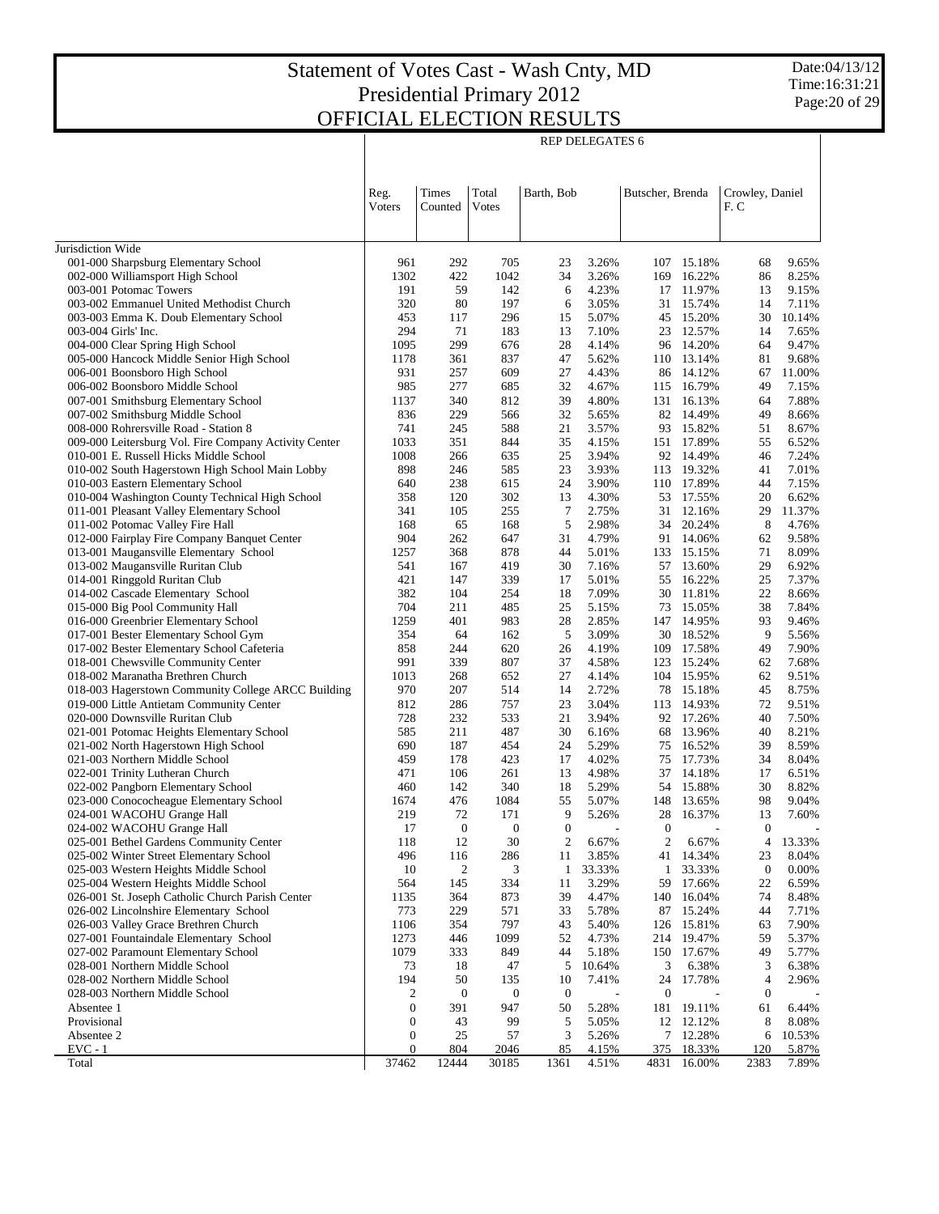Date:04/13/12 Time:16:31:21 Page:20 of 29

|                                                                                            | <b>REP DELEGATES 6</b> |                  |                  |                  |                |                  |                     |                        |                 |  |
|--------------------------------------------------------------------------------------------|------------------------|------------------|------------------|------------------|----------------|------------------|---------------------|------------------------|-----------------|--|
|                                                                                            | Reg.<br><b>V</b> oters | Times<br>Counted | Total<br>Votes   | Barth, Bob       |                | Butscher, Brenda |                     | Crowley, Daniel<br>F.C |                 |  |
|                                                                                            |                        |                  |                  |                  |                |                  |                     |                        |                 |  |
| Jurisdiction Wide<br>001-000 Sharpsburg Elementary School                                  | 961                    | 292              | 705              | 23               | 3.26%          | 107              | 15.18%              | 68                     | 9.65%           |  |
| 002-000 Williamsport High School                                                           | 1302                   | 422              | 1042             | 34               | 3.26%          | 169              | 16.22%              | 86                     | 8.25%           |  |
| 003-001 Potomac Towers                                                                     | 191                    | 59               | 142              | 6                | 4.23%          |                  | 17 11.97%           | 13                     | 9.15%           |  |
| 003-002 Emmanuel United Methodist Church                                                   | 320                    | 80               | 197              | 6                | 3.05%          | 31               | 15.74%              | 14                     | 7.11%           |  |
| 003-003 Emma K. Doub Elementary School                                                     | 453                    | 117              | 296              | 15               | 5.07%          | 45               | 15.20%              | 30                     | 10.14%          |  |
| 003-004 Girls' Inc.                                                                        | 294                    | 71               | 183              | 13               | 7.10%          | 23               | 12.57%              | 14                     | 7.65%           |  |
| 004-000 Clear Spring High School                                                           | 1095                   | 299              | 676              | 28               | 4.14%          |                  | 96 14.20%           | 64                     | 9.47%           |  |
| 005-000 Hancock Middle Senior High School                                                  | 1178                   | 361              | 837              | 47               | 5.62%          |                  | 110 13.14%          | 81                     | 9.68%           |  |
| 006-001 Boonsboro High School<br>006-002 Boonsboro Middle School                           | 931<br>985             | 257<br>277       | 609<br>685       | 27<br>32         | 4.43%<br>4.67% | 115              | 86 14.12%<br>16.79% | 67<br>49               | 11.00%<br>7.15% |  |
| 007-001 Smithsburg Elementary School                                                       | 1137                   | 340              | 812              | 39               | 4.80%          |                  | 131 16.13%          | 64                     | 7.88%           |  |
| 007-002 Smithsburg Middle School                                                           | 836                    | 229              | 566              | 32               | 5.65%          |                  | 82 14.49%           | 49                     | 8.66%           |  |
| 008-000 Rohrersville Road - Station 8                                                      | 741                    | 245              | 588              | 21               | 3.57%          | 93               | 15.82%              | 51                     | 8.67%           |  |
| 009-000 Leitersburg Vol. Fire Company Activity Center                                      | 1033                   | 351              | 844              | 35               | 4.15%          |                  | 151 17.89%          | 55                     | 6.52%           |  |
| 010-001 E. Russell Hicks Middle School                                                     | 1008                   | 266              | 635              | 25               | 3.94%          |                  | 92 14.49%           | 46                     | 7.24%           |  |
| 010-002 South Hagerstown High School Main Lobby                                            | 898                    | 246              | 585              | 23               | 3.93%          |                  | 113 19.32%          | 41                     | 7.01%           |  |
| 010-003 Eastern Elementary School                                                          | 640                    | 238              | 615              | 24               | 3.90%          |                  | 110 17.89%          | 44                     | 7.15%           |  |
| 010-004 Washington County Technical High School                                            | 358                    | 120              | 302              | 13               | 4.30%<br>2.75% | 53               | 17.55%<br>12.16%    | 20                     | 6.62%           |  |
| 011-001 Pleasant Valley Elementary School<br>011-002 Potomac Valley Fire Hall              | 341<br>168             | 105<br>65        | 255<br>168       | 7<br>5           | 2.98%          | 31<br>34         | 20.24%              | 29<br>8                | 11.37%<br>4.76% |  |
| 012-000 Fairplay Fire Company Banquet Center                                               | 904                    | 262              | 647              | 31               | 4.79%          | 91               | 14.06%              | 62                     | 9.58%           |  |
| 013-001 Maugansville Elementary School                                                     | 1257                   | 368              | 878              | 44               | 5.01%          | 133              | 15.15%              | 71                     | 8.09%           |  |
| 013-002 Maugansville Ruritan Club                                                          | 541                    | 167              | 419              | 30               | 7.16%          | 57               | 13.60%              | 29                     | 6.92%           |  |
| 014-001 Ringgold Ruritan Club                                                              | 421                    | 147              | 339              | 17               | 5.01%          | 55               | 16.22%              | 25                     | 7.37%           |  |
| 014-002 Cascade Elementary School                                                          | 382                    | 104              | 254              | 18               | 7.09%          | 30               | 11.81%              | 22                     | 8.66%           |  |
| 015-000 Big Pool Community Hall                                                            | 704                    | 211              | 485              | 25               | 5.15%          | 73               | 15.05%              | 38                     | 7.84%           |  |
| 016-000 Greenbrier Elementary School                                                       | 1259                   | 401              | 983              | 28               | 2.85%          |                  | 147 14.95%          | 93                     | 9.46%           |  |
| 017-001 Bester Elementary School Gym<br>017-002 Bester Elementary School Cafeteria         | 354<br>858             | 64<br>244        | 162<br>620       | 5<br>26          | 3.09%<br>4.19% | 30<br>109        | 18.52%<br>17.58%    | 9<br>49                | 5.56%<br>7.90%  |  |
| 018-001 Chewsville Community Center                                                        | 991                    | 339              | 807              | 37               | 4.58%          | 123              | 15.24%              | 62                     | 7.68%           |  |
| 018-002 Maranatha Brethren Church                                                          | 1013                   | 268              | 652              | 27               | 4.14%          |                  | 104 15.95%          | 62                     | 9.51%           |  |
| 018-003 Hagerstown Community College ARCC Building                                         | 970                    | 207              | 514              | 14               | 2.72%          | 78               | 15.18%              | 45                     | 8.75%           |  |
| 019-000 Little Antietam Community Center                                                   | 812                    | 286              | 757              | 23               | 3.04%          |                  | 113 14.93%          | 72                     | 9.51%           |  |
| 020-000 Downsville Ruritan Club                                                            | 728                    | 232              | 533              | 21               | 3.94%          |                  | 92 17.26%           | 40                     | 7.50%           |  |
| 021-001 Potomac Heights Elementary School                                                  | 585                    | 211              | 487              | 30               | 6.16%          | 68               | 13.96%              | 40                     | 8.21%           |  |
| 021-002 North Hagerstown High School                                                       | 690                    | 187              | 454              | 24               | 5.29%          | 75               | 16.52%              | 39                     | 8.59%           |  |
| 021-003 Northern Middle School<br>022-001 Trinity Lutheran Church                          | 459                    | 178<br>106       | 423              | 17<br>13         | 4.02%<br>4.98% | 75               | 17.73%              | 34<br>17               | 8.04%<br>6.51%  |  |
| 022-002 Pangborn Elementary School                                                         | 471<br>460             | 142              | 261<br>340       | 18               | 5.29%          | 37               | 14.18%<br>54 15.88% | 30                     | 8.82%           |  |
| 023-000 Conococheague Elementary School                                                    | 1674                   | 476              | 1084             | 55               | 5.07%          |                  | 148 13.65%          | 98                     | 9.04%           |  |
| 024-001 WACOHU Grange Hall                                                                 | 219                    | 72               | 171              | 9                | 5.26%          |                  | 28 16.37%           | 13                     | 7.60%           |  |
| 024-002 WACOHU Grange Hall                                                                 | 17                     | $\boldsymbol{0}$ | $\boldsymbol{0}$ | $\boldsymbol{0}$ | $\overline{a}$ | $\boldsymbol{0}$ | ÷,                  | $\boldsymbol{0}$       |                 |  |
| 025-001 Bethel Gardens Community Center                                                    | 118                    | 12               | 30               | $\overline{c}$   | 6.67%          | $\boldsymbol{2}$ | 6.67%               | 4                      | 13.33%          |  |
| 025-002 Winter Street Elementary School                                                    | 496                    | 116              | 286              | 11               | 3.85%          | 41               | 14.34%              | 23                     | 8.04%           |  |
| 025-003 Western Heights Middle School                                                      | 10                     | 2                | 3                | 1                | 33.33%         | 1                | 33.33%              | $\boldsymbol{0}$       | 0.00%           |  |
| 025-004 Western Heights Middle School                                                      | 564                    | 145              | 334              | 11               | 3.29%          | 59               | 17.66%              | 22                     | 6.59%           |  |
| 026-001 St. Joseph Catholic Church Parish Center<br>026-002 Lincolnshire Elementary School | 1135<br>773            | 364<br>229       | 873<br>571       | 39<br>33         | 4.47%<br>5.78% | 140<br>87        | 16.04%<br>15.24%    | 74<br>44               | 8.48%<br>7.71%  |  |
| 026-003 Valley Grace Brethren Church                                                       | 1106                   | 354              | 797              | 43               | 5.40%          | 126              | 15.81%              | 63                     | 7.90%           |  |
| 027-001 Fountaindale Elementary School                                                     | 1273                   | 446              | 1099             | 52               | 4.73%          | 214              | 19.47%              | 59                     | 5.37%           |  |
| 027-002 Paramount Elementary School                                                        | 1079                   | 333              | 849              | 44               | 5.18%          | 150              | 17.67%              | 49                     | 5.77%           |  |
| 028-001 Northern Middle School                                                             | 73                     | 18               | 47               | 5                | 10.64%         | 3                | 6.38%               | 3                      | 6.38%           |  |
| 028-002 Northern Middle School                                                             | 194                    | 50               | 135              | 10               | 7.41%          | 24               | 17.78%              | 4                      | 2.96%           |  |
| 028-003 Northern Middle School                                                             | 2                      | $\boldsymbol{0}$ | $\boldsymbol{0}$ | $\boldsymbol{0}$ |                | 0                |                     | $\boldsymbol{0}$       |                 |  |
| Absentee 1                                                                                 | $\boldsymbol{0}$       | 391              | 947              | 50               | 5.28%          | 181              | 19.11%              | 61                     | 6.44%           |  |
| Provisional<br>Absentee 2                                                                  | $\boldsymbol{0}$       | 43               | 99               | 5<br>3           | 5.05%          | 12               | 12.12%              | 8                      | 8.08%           |  |
| $EVC - 1$                                                                                  | 0<br>$\boldsymbol{0}$  | 25<br>804        | 57<br>2046       | 85               | 5.26%<br>4.15% | 7<br>375         | 12.28%<br>18.33%    | 6<br>120               | 10.53%<br>5.87% |  |
| Total                                                                                      | 37462                  | 12444            | 30185            | 1361             | 4.51%          | 4831             | 16.00%              | 2383                   | 7.89%           |  |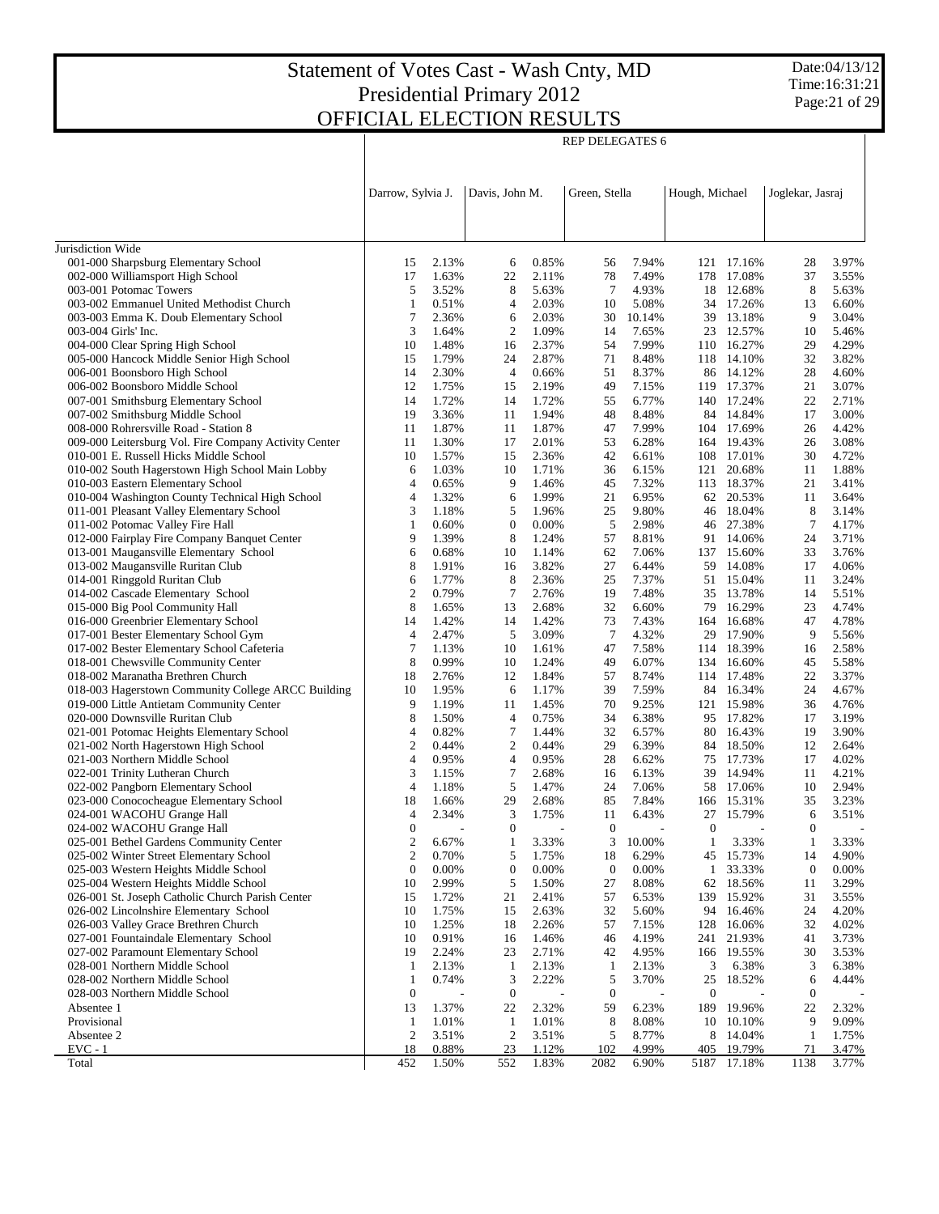Date:04/13/12 Time:16:31:21 Page:21 of 29

|                                                                                        | Darrow, Sylvia J.      |                | Davis, John M.         |                | Green, Stella      |                 | Hough, Michael      |                        | Joglekar, Jasraj       |                |
|----------------------------------------------------------------------------------------|------------------------|----------------|------------------------|----------------|--------------------|-----------------|---------------------|------------------------|------------------------|----------------|
|                                                                                        |                        |                |                        |                |                    |                 |                     |                        |                        |                |
| Jurisdiction Wide                                                                      |                        |                |                        |                |                    |                 |                     |                        |                        |                |
| 001-000 Sharpsburg Elementary School                                                   | 15                     | 2.13%          | 6                      | 0.85%          | 56                 | 7.94%           |                     | 121 17.16%             | 28                     | 3.97%          |
| 002-000 Williamsport High School                                                       | 17                     | 1.63%          | 22                     | 2.11%          | 78                 | 7.49%           | 178                 | 17.08%                 | 37                     | 3.55%          |
| 003-001 Potomac Towers                                                                 | 5                      | 3.52%          | 8                      | 5.63%          | 7                  | 4.93%           |                     | 18 12.68%              | 8                      | 5.63%          |
| 003-002 Emmanuel United Methodist Church                                               | $\mathbf{1}$<br>7      | 0.51%          | 4                      | 2.03%          | 10                 | 5.08%           |                     | 34 17.26%              | 13                     | 6.60%          |
| 003-003 Emma K. Doub Elementary School<br>003-004 Girls' Inc.                          | 3                      | 2.36%<br>1.64% | 6<br>$\overline{2}$    | 2.03%<br>1.09% | 30<br>14           | 10.14%<br>7.65% |                     | 39 13.18%<br>23 12.57% | 9<br>10                | 3.04%<br>5.46% |
| 004-000 Clear Spring High School                                                       | 10                     | 1.48%          | 16                     | 2.37%          | 54                 | 7.99%           |                     | 110 16.27%             | 29                     | 4.29%          |
| 005-000 Hancock Middle Senior High School                                              | 15                     | 1.79%          | 24                     | 2.87%          | 71                 | 8.48%           | 118                 | 14.10%                 | 32                     | 3.82%          |
| 006-001 Boonsboro High School                                                          | 14                     | 2.30%          | 4                      | 0.66%          | 51                 | 8.37%           |                     | 86 14.12%              | 28                     | 4.60%          |
| 006-002 Boonsboro Middle School                                                        | 12                     | 1.75%          | 15                     | 2.19%          | 49                 | 7.15%           |                     | 119 17.37%             | 21                     | 3.07%          |
| 007-001 Smithsburg Elementary School                                                   | 14                     | 1.72%          | 14                     | 1.72%          | 55                 | 6.77%           |                     | 140 17.24%             | 22                     | 2.71%          |
| 007-002 Smithsburg Middle School                                                       | 19                     | 3.36%          | 11                     | 1.94%          | 48                 | 8.48%           |                     | 84 14.84%              | 17                     | 3.00%          |
| 008-000 Rohrersville Road - Station 8                                                  | 11                     | 1.87%          | 11                     | 1.87%          | 47                 | 7.99%           |                     | 104 17.69%             | 26                     | 4.42%          |
| 009-000 Leitersburg Vol. Fire Company Activity Center                                  | 11                     | 1.30%          | 17                     | 2.01%          | 53                 | 6.28%           |                     | 164 19.43%             | 26                     | 3.08%          |
| 010-001 E. Russell Hicks Middle School                                                 | 10                     | 1.57%          | 15                     | 2.36%          | 42                 | 6.61%           |                     | 108 17.01%             | 30                     | 4.72%          |
| 010-002 South Hagerstown High School Main Lobby                                        | 6                      | 1.03%          | 10                     | 1.71%          | 36                 | 6.15%           | 121                 | 20.68%                 | 11                     | 1.88%          |
| 010-003 Eastern Elementary School                                                      | 4                      | 0.65%          | 9                      | 1.46%          | 45                 | 7.32%           |                     | 113 18.37%             | 21                     | 3.41%          |
| 010-004 Washington County Technical High School                                        | 4                      | 1.32%          | 6                      | 1.99%          | 21                 | 6.95%           | 62                  | 20.53%                 | 11                     | 3.64%          |
| 011-001 Pleasant Valley Elementary School                                              | 3                      | 1.18%          | 5                      | 1.96%          | 25                 | 9.80%           |                     | 46 18.04%              | 8                      | 3.14%          |
| 011-002 Potomac Valley Fire Hall                                                       | $\mathbf{1}$<br>9      | 0.60%          | $\boldsymbol{0}$<br>8  | 0.00%          | 5                  | 2.98%           | 46                  | 27.38%<br>91 14.06%    | 7                      | 4.17%          |
| 012-000 Fairplay Fire Company Banquet Center<br>013-001 Maugansville Elementary School | 6                      | 1.39%<br>0.68% | 10                     | 1.24%<br>1.14% | 57<br>62           | 8.81%<br>7.06%  |                     | 137 15.60%             | 24<br>33               | 3.71%<br>3.76% |
| 013-002 Maugansville Ruritan Club                                                      | 8                      | 1.91%          | 16                     | 3.82%          | 27                 | 6.44%           |                     | 59 14.08%              | 17                     | 4.06%          |
| 014-001 Ringgold Ruritan Club                                                          | 6                      | 1.77%          | 8                      | 2.36%          | 25                 | 7.37%           | 51                  | 15.04%                 | 11                     | 3.24%          |
| 014-002 Cascade Elementary School                                                      | $\overline{c}$         | 0.79%          | $\tau$                 | 2.76%          | 19                 | 7.48%           |                     | 35 13.78%              | 14                     | 5.51%          |
| 015-000 Big Pool Community Hall                                                        | 8                      | 1.65%          | 13                     | 2.68%          | 32                 | 6.60%           | 79                  | 16.29%                 | 23                     | 4.74%          |
| 016-000 Greenbrier Elementary School                                                   | 14                     | 1.42%          | 14                     | 1.42%          | 73                 | 7.43%           |                     | 164 16.68%             | 47                     | 4.78%          |
| 017-001 Bester Elementary School Gym                                                   | 4                      | 2.47%          | 5                      | 3.09%          | $\overline{7}$     | 4.32%           | 29                  | 17.90%                 | 9                      | 5.56%          |
| 017-002 Bester Elementary School Cafeteria                                             | $\overline{7}$         | 1.13%          | 10                     | 1.61%          | 47                 | 7.58%           |                     | 114 18.39%             | 16                     | 2.58%          |
| 018-001 Chewsville Community Center                                                    | 8                      | 0.99%          | 10                     | 1.24%          | 49                 | 6.07%           | 134                 | 16.60%                 | 45                     | 5.58%          |
| 018-002 Maranatha Brethren Church                                                      | 18                     | 2.76%          | 12                     | 1.84%          | 57                 | 8.74%           |                     | 114 17.48%             | 22                     | 3.37%          |
| 018-003 Hagerstown Community College ARCC Building                                     | 10                     | 1.95%          | 6                      | 1.17%          | 39                 | 7.59%           |                     | 84 16.34%              | 24                     | 4.67%          |
| 019-000 Little Antietam Community Center                                               | 9                      | 1.19%          | 11                     | 1.45%          | 70                 | 9.25%           |                     | 121 15.98%             | 36                     | 4.76%          |
| 020-000 Downsville Ruritan Club                                                        | 8                      | 1.50%          | 4                      | 0.75%          | 34                 | 6.38%           |                     | 95 17.82%              | 17                     | 3.19%          |
| 021-001 Potomac Heights Elementary School                                              | 4                      | 0.82%          | 7                      | 1.44%          | 32                 | 6.57%           |                     | 80 16.43%              | 19                     | 3.90%          |
| 021-002 North Hagerstown High School                                                   | $\mathbf{2}$<br>4      | 0.44%          | $\mathfrak{2}$         | 0.44%          | 29                 | 6.39%           |                     | 84 18.50%              | 12                     | 2.64%          |
| 021-003 Northern Middle School<br>022-001 Trinity Lutheran Church                      | 3                      | 0.95%<br>1.15% | 4<br>7                 | 0.95%<br>2.68% | 28<br>16           | 6.62%<br>6.13%  | 39                  | 75 17.73%<br>14.94%    | 17<br>11               | 4.02%<br>4.21% |
| 022-002 Pangborn Elementary School                                                     | 4                      | 1.18%          | 5                      | 1.47%          | 24                 | 7.06%           |                     | 58 17.06%              | 10                     | 2.94%          |
| 023-000 Conococheague Elementary School                                                | 18                     | 1.66%          | 29                     | 2.68%          | 85                 | 7.84%           | 166                 | 15.31%                 | 35                     | 3.23%          |
| 024-001 WACOHU Grange Hall                                                             | 4                      | 2.34%          | 3                      | 1.75%          | 11                 | 6.43%           | 27                  | 15.79%                 | 6                      | 3.51%          |
| 024-002 WACOHU Grange Hall                                                             | $\boldsymbol{0}$       |                | $\mathbf{0}$           |                | $\boldsymbol{0}$   |                 | $\theta$            |                        | $\mathbf 0$            |                |
| 025-001 Bethel Gardens Community Center                                                | $\overline{c}$         | 6.67%          | 1                      | 3.33%          | 3                  | 10.00%          | $\mathbf{1}$        | 3.33%                  | 1                      | 3.33%          |
| 025-002 Winter Street Elementary School                                                | $\boldsymbol{2}$       | 0.70%          | 5                      | 1.75%          | 18                 | 6.29%           | 45                  | 15.73%                 | 14                     | 4.90%          |
| 025-003 Western Heights Middle School                                                  | $\boldsymbol{0}$       | 0.00%          | $\boldsymbol{0}$       | 0.00%          | $\boldsymbol{0}$   | 0.00%           | $\mathbf{1}$        | 33.33%                 | $\boldsymbol{0}$       | 0.00%          |
| 025-004 Western Heights Middle School                                                  | 10                     | 2.99%          | 5                      | 1.50%          | 27                 | 8.08%           | 62                  | 18.56%                 | 11                     | 3.29%          |
| 026-001 St. Joseph Catholic Church Parish Center                                       | 15                     | 1.72%          | 21                     | 2.41%          | 57                 | 6.53%           | 139                 | 15.92%                 | 31                     | 3.55%          |
| 026-002 Lincolnshire Elementary School                                                 | 10                     | 1.75%          | 15                     | 2.63%          | 32                 | 5.60%           | 94                  | 16.46%                 | 24                     | 4.20%          |
| 026-003 Valley Grace Brethren Church                                                   | 10                     | 1.25%          | 18                     | 2.26%          | 57                 | 7.15%           | 128                 | 16.06%                 | 32                     | 4.02%          |
| 027-001 Fountaindale Elementary School                                                 | 10                     | 0.91%          | 16                     | 1.46%          | 46                 | 4.19%           | 241                 | 21.93%                 | 41                     | 3.73%          |
| 027-002 Paramount Elementary School                                                    | 19                     | 2.24%          | 23                     | 2.71%          | 42                 | 4.95%           |                     | 166 19.55%             | 30                     | 3.53%          |
| 028-001 Northern Middle School                                                         | 1                      | 2.13%          | $\mathbf{1}$           | 2.13%          | $\mathbf{1}$       | 2.13%           | 3                   | 6.38%                  | 3                      | 6.38%          |
| 028-002 Northern Middle School                                                         | 1                      | 0.74%          | 3                      | 2.22%          | 5                  | 3.70%           | 25                  | 18.52%                 | 6                      | 4.44%          |
| 028-003 Northern Middle School<br>Absentee 1                                           | $\boldsymbol{0}$<br>13 | 1.37%          | $\boldsymbol{0}$<br>22 | 2.32%          | $\mathbf{0}$<br>59 | 6.23%           | $\mathbf{0}$<br>189 | 19.96%                 | $\boldsymbol{0}$<br>22 | 2.32%          |
| Provisional                                                                            | $\mathbf{1}$           | 1.01%          | 1                      | 1.01%          | 8                  | 8.08%           | 10                  | 10.10%                 | 9                      | 9.09%          |
| Absentee 2                                                                             | $\boldsymbol{2}$       | 3.51%          | $\boldsymbol{2}$       | 3.51%          | 5                  | 8.77%           | 8                   | 14.04%                 | 1                      | 1.75%          |
| $EVC - 1$                                                                              | 18                     | 0.88%          | 23                     | 1.12%          | 102                | 4.99%           | 405                 | 19.79%                 | 71                     | 3.47%          |
| Total                                                                                  | 452                    | 1.50%          | 552                    | 1.83%          | 2082               | 6.90%           | 5187                | 17.18%                 | 1138                   | 3.77%          |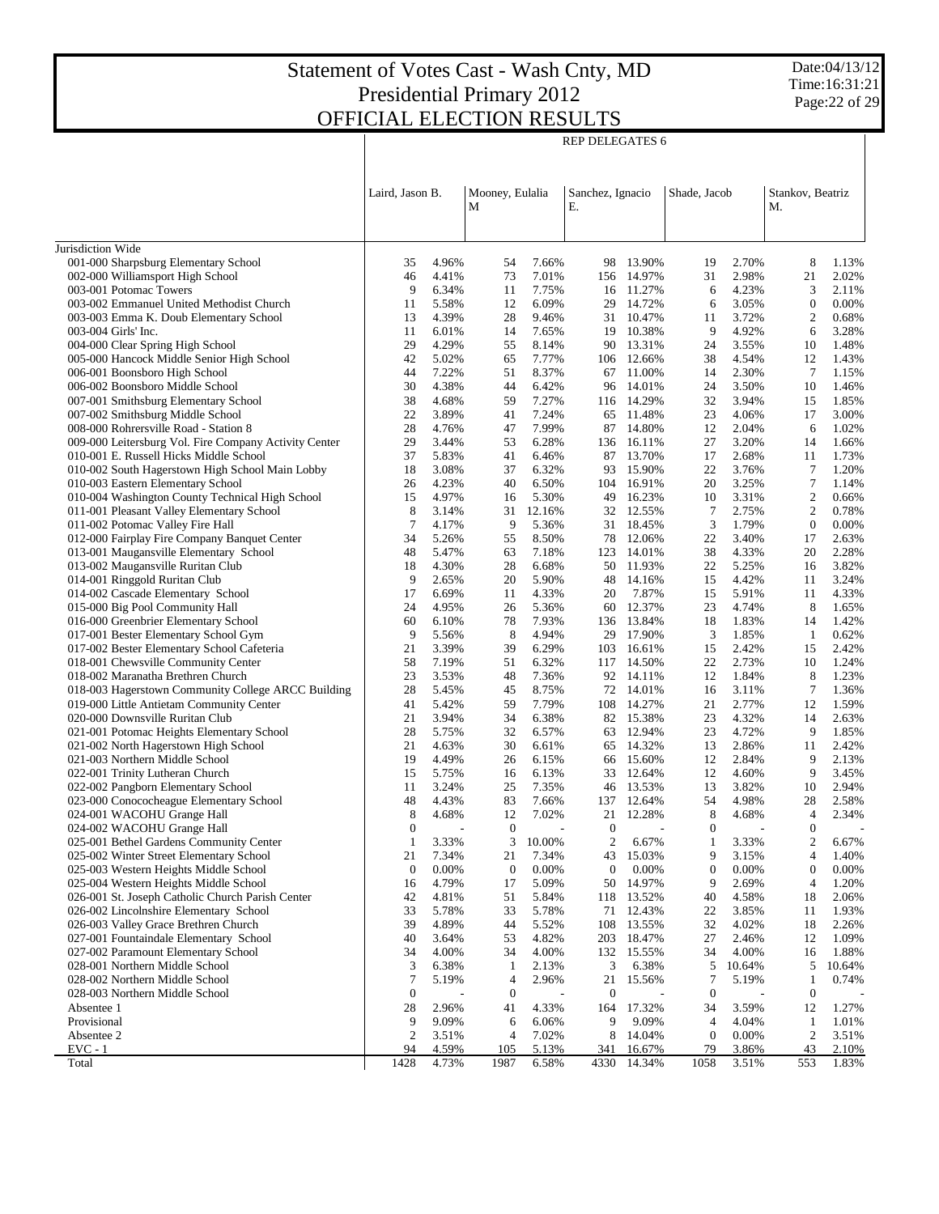REP DELEGATES 6

Date:04/13/12 Time:16:31:21 Page:22 of 29

|                                                                               | Laird, Jason B.       |                | Mooney, Eulalia        |                | Sanchez, Ignacio        |                         | Shade, Jacob           |                | Stankov, Beatriz   |                |
|-------------------------------------------------------------------------------|-----------------------|----------------|------------------------|----------------|-------------------------|-------------------------|------------------------|----------------|--------------------|----------------|
|                                                                               |                       |                | М                      |                | Ε.                      |                         |                        |                | М.                 |                |
| Jurisdiction Wide                                                             |                       |                |                        |                |                         |                         |                        |                |                    |                |
| 001-000 Sharpsburg Elementary School                                          | 35                    | 4.96%          | 54                     | 7.66%          |                         | 98 13.90%               | 19                     | 2.70%          | 8                  | 1.13%          |
| 002-000 Williamsport High School                                              | 46                    | 4.41%          | 73                     | 7.01%          | 156                     | 14.97%                  | 31                     | 2.98%          | 21                 | 2.02%          |
| 003-001 Potomac Towers                                                        | 9                     | 6.34%          | 11                     | 7.75%          |                         | 16 11.27%               | 6                      | 4.23%          | 3                  | 2.11%          |
| 003-002 Emmanuel United Methodist Church                                      | 11                    | 5.58%          | 12                     | 6.09%          | 29                      | 14.72%                  | 6                      | 3.05%          | $\mathbf{0}$       | 0.00%          |
| 003-003 Emma K. Doub Elementary School                                        | 13                    | 4.39%          | 28                     | 9.46%          | 31                      | 10.47%                  | 11                     | 3.72%          | 2                  | 0.68%          |
| 003-004 Girls' Inc.                                                           | 11                    | 6.01%          | 14                     | 7.65%          | 19                      | 10.38%                  | 9                      | 4.92%          | 6                  | 3.28%          |
| 004-000 Clear Spring High School                                              | 29                    | 4.29%          | 55                     | 8.14%          | 90                      | 13.31%                  | 24                     | 3.55%          | 10                 | 1.48%          |
| 005-000 Hancock Middle Senior High School                                     | 42                    | 5.02%          | 65                     | 7.77%          | 106                     | 12.66%                  | 38                     | 4.54%          | 12                 | 1.43%          |
| 006-001 Boonsboro High School                                                 | 44                    | 7.22%          | 51                     | 8.37%          | 67                      | 11.00%                  | 14                     | 2.30%          | 7                  | 1.15%          |
| 006-002 Boonsboro Middle School                                               | 30                    | 4.38%          | 44                     | 6.42%          | 96                      | 14.01%                  | 24                     | 3.50%          | 10                 | 1.46%          |
| 007-001 Smithsburg Elementary School<br>007-002 Smithsburg Middle School      | 38<br>22              | 4.68%<br>3.89% | 59<br>41               | 7.27%<br>7.24% | 65                      | 116 14.29%              | 32<br>23               | 3.94%<br>4.06% | 15<br>17           | 1.85%<br>3.00% |
| 008-000 Rohrersville Road - Station 8                                         | 28                    | 4.76%          | 47                     | 7.99%          | 87                      | 11.48%<br>14.80%        | 12                     | 2.04%          | 6                  | 1.02%          |
| 009-000 Leitersburg Vol. Fire Company Activity Center                         | 29                    | 3.44%          | 53                     | 6.28%          | 136                     | 16.11%                  | 27                     | 3.20%          | 14                 | 1.66%          |
| 010-001 E. Russell Hicks Middle School                                        | 37                    | 5.83%          | 41                     | 6.46%          |                         | 87 13.70%               | 17                     | 2.68%          | 11                 | 1.73%          |
| 010-002 South Hagerstown High School Main Lobby                               | 18                    | 3.08%          | 37                     | 6.32%          | 93                      | 15.90%                  | 22                     | 3.76%          | 7                  | 1.20%          |
| 010-003 Eastern Elementary School                                             | 26                    | 4.23%          | 40                     | 6.50%          | 104                     | 16.91%                  | 20                     | 3.25%          | 7                  | 1.14%          |
| 010-004 Washington County Technical High School                               | 15                    | 4.97%          | 16                     | 5.30%          | 49                      | 16.23%                  | 10                     | 3.31%          | $\boldsymbol{2}$   | 0.66%          |
| 011-001 Pleasant Valley Elementary School                                     | 8                     | 3.14%          | 31                     | 12.16%         |                         | 32 12.55%               | 7                      | 2.75%          | 2                  | 0.78%          |
| 011-002 Potomac Valley Fire Hall                                              | $\tau$                | 4.17%          | 9                      | 5.36%          | 31                      | 18.45%                  | 3                      | 1.79%          | $\mathbf{0}$       | 0.00%          |
| 012-000 Fairplay Fire Company Banquet Center                                  | 34                    | 5.26%          | 55                     | 8.50%          | 78                      | 12.06%                  | 22                     | 3.40%          | 17                 | 2.63%          |
| 013-001 Maugansville Elementary School                                        | 48                    | 5.47%          | 63                     | 7.18%          | 123                     | 14.01%                  | 38                     | 4.33%          | 20                 | 2.28%          |
| 013-002 Maugansville Ruritan Club                                             | 18                    | 4.30%          | 28                     | 6.68%          |                         | 50 11.93%               | 22                     | 5.25%          | 16                 | 3.82%          |
| 014-001 Ringgold Ruritan Club                                                 | 9                     | 2.65%          | 20                     | 5.90%          | 48                      | 14.16%                  | 15                     | 4.42%          | 11                 | 3.24%          |
| 014-002 Cascade Elementary School                                             | 17                    | 6.69%          | 11                     | 4.33%          | 20                      | 7.87%                   | 15                     | 5.91%          | 11                 | 4.33%          |
| 015-000 Big Pool Community Hall<br>016-000 Greenbrier Elementary School       | 24<br>60              | 4.95%<br>6.10% | 26<br>78               | 5.36%<br>7.93% | 60                      | 12.37%<br>136 13.84%    | 23                     | 4.74%<br>1.83% | 8<br>14            | 1.65%<br>1.42% |
| 017-001 Bester Elementary School Gym                                          | 9                     | 5.56%          | 8                      | 4.94%          | 29                      | 17.90%                  | 18<br>3                | 1.85%          | 1                  | 0.62%          |
| 017-002 Bester Elementary School Cafeteria                                    | 21                    | 3.39%          | 39                     | 6.29%          | 103                     | 16.61%                  | 15                     | 2.42%          | 15                 | 2.42%          |
| 018-001 Chewsville Community Center                                           | 58                    | 7.19%          | 51                     | 6.32%          |                         | 117 14.50%              | 22                     | 2.73%          | 10                 | 1.24%          |
| 018-002 Maranatha Brethren Church                                             | 23                    | 3.53%          | 48                     | 7.36%          |                         | 92 14.11%               | 12                     | 1.84%          | 8                  | 1.23%          |
| 018-003 Hagerstown Community College ARCC Building                            | 28                    | 5.45%          | 45                     | 8.75%          |                         | 72 14.01%               | 16                     | 3.11%          | 7                  | 1.36%          |
| 019-000 Little Antietam Community Center                                      | 41                    | 5.42%          | 59                     | 7.79%          |                         | 108 14.27%              | 21                     | 2.77%          | 12                 | 1.59%          |
| 020-000 Downsville Ruritan Club                                               | 21                    | 3.94%          | 34                     | 6.38%          |                         | 82 15.38%               | 23                     | 4.32%          | 14                 | 2.63%          |
| 021-001 Potomac Heights Elementary School                                     | 28                    | 5.75%          | 32                     | 6.57%          |                         | 63 12.94%               | 23                     | 4.72%          | 9                  | 1.85%          |
| 021-002 North Hagerstown High School                                          | 21                    | 4.63%          | 30                     | 6.61%          | 65                      | 14.32%                  | 13                     | 2.86%          | 11                 | 2.42%          |
| 021-003 Northern Middle School                                                | 19                    | 4.49%          | 26                     | 6.15%          | 66                      | 15.60%                  | 12                     | 2.84%          | 9                  | 2.13%          |
| 022-001 Trinity Lutheran Church                                               | 15                    | 5.75%          | 16                     | 6.13%          | 33                      | 12.64%                  | 12                     | 4.60%          | 9                  | 3.45%          |
| 022-002 Pangborn Elementary School<br>023-000 Conococheague Elementary School | 11<br>48              | 3.24%<br>4.43% | 25<br>83               | 7.35%<br>7.66% |                         | 46 13.53%<br>137 12.64% | 13<br>54               | 3.82%<br>4.98% | 10<br>28           | 2.94%<br>2.58% |
| 024-001 WACOHU Grange Hall                                                    | 8                     | 4.68%          | 12                     | 7.02%          | 21                      | 12.28%                  | 8                      | 4.68%          | 4                  | 2.34%          |
| 024-002 WACOHU Grange Hall                                                    | $\boldsymbol{0}$      |                | $\boldsymbol{0}$       |                | $\boldsymbol{0}$        |                         | $\boldsymbol{0}$       |                | $\mathbf{0}$       |                |
| 025-001 Bethel Gardens Community Center                                       | 1                     | 3.33%          | 3                      | 10.00%         | $\mathfrak{2}$          | 6.67%                   | 1                      | 3.33%          | 2                  | 6.67%          |
| 025-002 Winter Street Elementary School                                       | 21                    | 7.34%          | 21                     | 7.34%          | 43                      | 15.03%                  | 9                      | 3.15%          | 4                  | 1.40%          |
| 025-003 Western Heights Middle School                                         | $\boldsymbol{0}$      | 0.00%          | 0                      | 0.00%          | $\boldsymbol{0}$        | 0.00%                   | $\boldsymbol{0}$       | 0.00%          | $\boldsymbol{0}$   | 0.00%          |
| 025-004 Western Heights Middle School                                         | 16                    | 4.79%          | 17                     | 5.09%          | 50                      | 14.97%                  | 9                      | 2.69%          | 4                  | 1.20%          |
| 026-001 St. Joseph Catholic Church Parish Center                              | 42                    | 4.81%          | 51                     | 5.84%          |                         | 118 13.52%              | 40                     | 4.58%          | 18                 | 2.06%          |
| 026-002 Lincolnshire Elementary School                                        | 33                    | 5.78%          | 33                     | 5.78%          | 71                      | 12.43%                  | 22                     | 3.85%          | 11                 | 1.93%          |
| 026-003 Valley Grace Brethren Church                                          | 39                    | 4.89%          | 44                     | 5.52%          | 108                     | 13.55%                  | 32                     | 4.02%          | 18                 | 2.26%          |
| 027-001 Fountaindale Elementary School                                        | 40                    | 3.64%          | 53                     | 4.82%          | 203                     | 18.47%                  | 27                     | 2.46%          | 12                 | 1.09%          |
| 027-002 Paramount Elementary School                                           | 34                    | 4.00%          | 34                     | 4.00%          | 132                     | 15.55%                  | 34                     | 4.00%          | 16                 | 1.88%          |
| 028-001 Northern Middle School                                                | 3                     | 6.38%          | $\mathbf{1}$           | 2.13%          | 3                       | 6.38%                   | 5                      | 10.64%         | 5                  | 10.64%         |
| 028-002 Northern Middle School                                                | 7<br>$\boldsymbol{0}$ | 5.19%          | $\overline{4}$         | 2.96%          | 21                      | 15.56%                  | 7                      | 5.19%          | 1                  | 0.74%          |
| 028-003 Northern Middle School<br>Absentee 1                                  | 28                    | 2.96%          | $\boldsymbol{0}$<br>41 | 4.33%          | $\boldsymbol{0}$<br>164 | 17.32%                  | $\boldsymbol{0}$<br>34 | 3.59%          | $\mathbf{0}$<br>12 | 1.27%          |
| Provisional                                                                   | 9                     | 9.09%          | 6                      | 6.06%          | 9                       | 9.09%                   | $\overline{4}$         | 4.04%          | 1                  | 1.01%          |
| Absentee 2                                                                    | $\boldsymbol{2}$      | 3.51%          | 4                      | 7.02%          | 8                       | 14.04%                  | $\boldsymbol{0}$       | 0.00%          | $\boldsymbol{2}$   | 3.51%          |
| EVC - 1                                                                       | 94                    | 4.59%          | 105                    | 5.13%          | 341                     | 16.67%                  | 79                     | 3.86%          | 43                 | 2.10%          |
| Total                                                                         | 1428                  | 4.73%          | 1987                   | 6.58%          | 4330                    | 14.34%                  | 1058                   | 3.51%          | 553                | 1.83%          |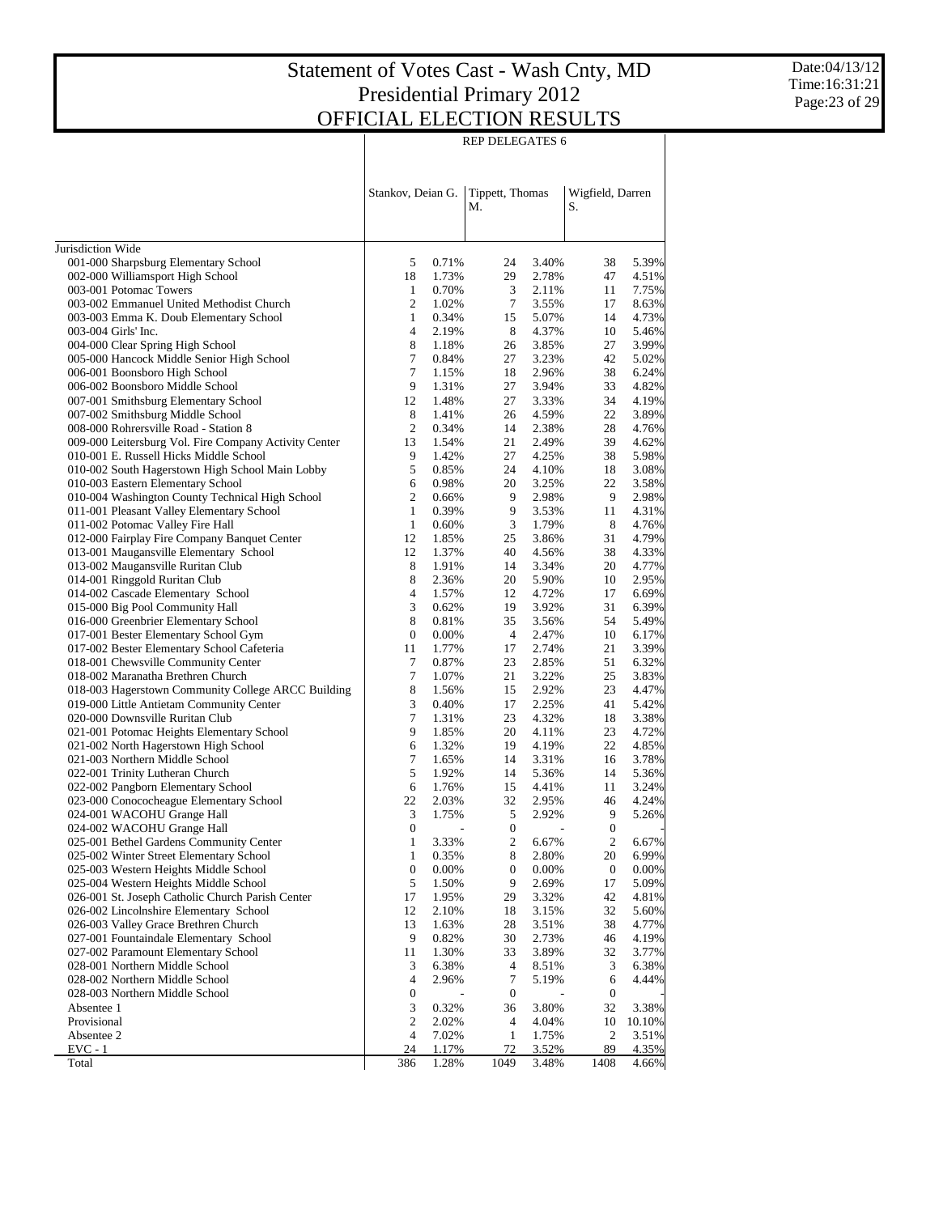REP DELEGATES 6

|                                                                                      | Stankov, Deian G. |                | Tippett, Thomas<br>М. |                | Wigfield, Darren<br>S. |                |
|--------------------------------------------------------------------------------------|-------------------|----------------|-----------------------|----------------|------------------------|----------------|
| Jurisdiction Wide                                                                    |                   |                |                       |                |                        |                |
| 001-000 Sharpsburg Elementary School                                                 | 5                 | 0.71%          | 24                    | 3.40%          | 38                     | 5.39%          |
| 002-000 Williamsport High School                                                     | 18                | 1.73%          | 29                    | 2.78%          | 47                     | 4.51%          |
| 003-001 Potomac Towers                                                               | 1                 | 0.70%          | 3                     | 2.11%          | 11                     | 7.75%          |
| 003-002 Emmanuel United Methodist Church                                             | $\overline{c}$    | 1.02%          | 7                     | 3.55%          | 17                     | 8.63%          |
| 003-003 Emma K. Doub Elementary School                                               | $\mathbf{1}$      | 0.34%          | 15                    | 5.07%          | 14                     | 4.73%          |
| 003-004 Girls' Inc.                                                                  | 4                 | 2.19%          | 8                     | 4.37%          | 10                     | 5.46%          |
| 004-000 Clear Spring High School                                                     | 8                 | 1.18%          | 26                    | 3.85%          | 27                     | 3.99%          |
| 005-000 Hancock Middle Senior High School                                            | 7                 | 0.84%          | 27                    | 3.23%          | 42                     | 5.02%          |
| 006-001 Boonsboro High School                                                        | 7                 | 1.15%          | 18                    | 2.96%          | 38                     | 6.24%          |
| 006-002 Boonsboro Middle School                                                      | 9                 | 1.31%          | 27                    | 3.94%          | 33                     | 4.82%          |
| 007-001 Smithsburg Elementary School                                                 | 12                | 1.48%          | 27                    | 3.33%          | 34                     | 4.19%          |
| 007-002 Smithsburg Middle School                                                     | 8                 | 1.41%          | 26                    | 4.59%          | 22                     | 3.89%          |
| 008-000 Rohrersville Road - Station 8                                                | 2                 | 0.34%          | 14                    | 2.38%          | 28                     | 4.76%          |
| 009-000 Leitersburg Vol. Fire Company Activity Center                                | 13<br>9           | 1.54%          | 21<br>27              | 2.49%<br>4.25% | 39                     | 4.62%          |
| 010-001 E. Russell Hicks Middle School                                               | 5                 | 1.42%<br>0.85% | 24                    | 4.10%          | 38<br>18               | 5.98%<br>3.08% |
| 010-002 South Hagerstown High School Main Lobby<br>010-003 Eastern Elementary School | 6                 | 0.98%          | 20                    | 3.25%          | 22                     | 3.58%          |
| 010-004 Washington County Technical High School                                      | $\mathfrak{2}$    | 0.66%          | 9                     | 2.98%          | 9                      | 2.98%          |
| 011-001 Pleasant Valley Elementary School                                            | $\mathbf{1}$      | 0.39%          | 9                     | 3.53%          | 11                     | 4.31%          |
| 011-002 Potomac Valley Fire Hall                                                     | $\mathbf{1}$      | 0.60%          | 3                     | 1.79%          | 8                      | 4.76%          |
| 012-000 Fairplay Fire Company Banquet Center                                         | 12                | 1.85%          | 25                    | 3.86%          | 31                     | 4.79%          |
| 013-001 Maugansville Elementary School                                               | 12                | 1.37%          | 40                    | 4.56%          | 38                     | 4.33%          |
| 013-002 Maugansville Ruritan Club                                                    | 8                 | 1.91%          | 14                    | 3.34%          | 20                     | 4.77%          |
| 014-001 Ringgold Ruritan Club                                                        | 8                 | 2.36%          | 20                    | 5.90%          | 10                     | 2.95%          |
| 014-002 Cascade Elementary School                                                    | 4                 | 1.57%          | 12                    | 4.72%          | 17                     | 6.69%          |
| 015-000 Big Pool Community Hall                                                      | $\mathfrak{Z}$    | 0.62%          | 19                    | 3.92%          | 31                     | 6.39%          |
| 016-000 Greenbrier Elementary School                                                 | 8                 | 0.81%          | 35                    | 3.56%          | 54                     | 5.49%          |
| 017-001 Bester Elementary School Gym                                                 | $\boldsymbol{0}$  | 0.00%          | $\overline{4}$        | 2.47%          | 10                     | 6.17%          |
| 017-002 Bester Elementary School Cafeteria                                           | 11                | 1.77%          | 17                    | 2.74%          | 21                     | 3.39%          |
| 018-001 Chewsville Community Center                                                  | 7                 | 0.87%          | 23                    | 2.85%          | 51                     | 6.32%          |
| 018-002 Maranatha Brethren Church                                                    | 7                 | 1.07%          | 21                    | 3.22%          | 25                     | 3.83%          |
| 018-003 Hagerstown Community College ARCC Building                                   | 8                 | 1.56%          | 15                    | 2.92%          | 23                     | 4.47%          |
| 019-000 Little Antietam Community Center                                             | 3                 | 0.40%          | 17                    | 2.25%          | 41                     | 5.42%          |
| 020-000 Downsville Ruritan Club                                                      | 7                 | 1.31%          | 23                    | 4.32%          | 18                     | 3.38%          |
| 021-001 Potomac Heights Elementary School                                            | 9                 | 1.85%          | 20                    | 4.11%          | 23                     | 4.72%          |
| 021-002 North Hagerstown High School                                                 | 6                 | 1.32%          | 19                    | 4.19%          | 22                     | 4.85%          |
| 021-003 Northern Middle School                                                       | 7                 | 1.65%          | 14                    | 3.31%          | 16                     | 3.78%          |
| 022-001 Trinity Lutheran Church                                                      | 5                 | 1.92%          | 14                    | 5.36%          | 14                     | 5.36%          |
| 022-002 Pangborn Elementary School                                                   | 6                 | 1.76%          | 15                    | 4.41%          | 11                     | 3.24%          |
| 023-000 Conococheague Elementary School                                              | 22                | 2.03%          | 32                    | 2.95%          | 46                     | 4.24%          |
| 024-001 WACOHU Grange Hall                                                           | 3                 | 1.75%          | 5                     | 2.92%          | 9                      | 5.26%          |
| 024-002 WACOHU Grange Hall                                                           | $\boldsymbol{0}$  |                | $\bf{0}$              |                | 0                      |                |
| 025-001 Bethel Gardens Community Center                                              | 1                 | 3.33%          | 2                     | 6.67%          | 2                      | 6.67%          |
| 025-002 Winter Street Elementary School                                              | 1                 | 0.35%          | 8                     | 2.80%          | 20                     | 6.99%          |
| 025-003 Western Heights Middle School                                                | $\boldsymbol{0}$  | 0.00%          | $\boldsymbol{0}$      | 0.00%          | $\boldsymbol{0}$       | 0.00%          |
| 025-004 Western Heights Middle School                                                | 5                 | 1.50%          | 9                     | 2.69%          | 17                     | 5.09%          |
| 026-001 St. Joseph Catholic Church Parish Center                                     | 17                | 1.95%          | 29                    | 3.32%          | 42                     | 4.81%          |
| 026-002 Lincolnshire Elementary School                                               | 12                | 2.10%          | 18                    | 3.15%          | 32                     | 5.60%          |
| 026-003 Valley Grace Brethren Church<br>027-001 Fountaindale Elementary School       | 13                | 1.63%          | 28                    | 3.51%          | 38                     | 4.77%          |
| 027-002 Paramount Elementary School                                                  | 9<br>11           | 0.82%<br>1.30% | 30<br>33              | 2.73%<br>3.89% | 46<br>32               | 4.19%          |
| 028-001 Northern Middle School                                                       | 3                 | 6.38%          | $\overline{4}$        | 8.51%          | 3                      | 3.77%<br>6.38% |
| 028-002 Northern Middle School                                                       | 4                 | 2.96%          | 7                     |                | 6                      | 4.44%          |
| 028-003 Northern Middle School                                                       | $\boldsymbol{0}$  |                | $\boldsymbol{0}$      | 5.19%          | 0                      |                |
| Absentee 1                                                                           | 3                 | 0.32%          | 36                    | 3.80%          | 32                     | 3.38%          |
| Provisional                                                                          | 2                 | 2.02%          | $\overline{4}$        | 4.04%          | 10                     | 10.10%         |
| Absentee 2                                                                           | 4                 | 7.02%          | 1                     | 1.75%          | 2                      | 3.51%          |
| $EVC - 1$                                                                            | 24                | 1.17%          | 72                    | 3.52%          | 89                     | 4.35%          |
| Total                                                                                | 386               | 1.28%          | 1049                  | 3.48%          | 1408                   | 4.66%          |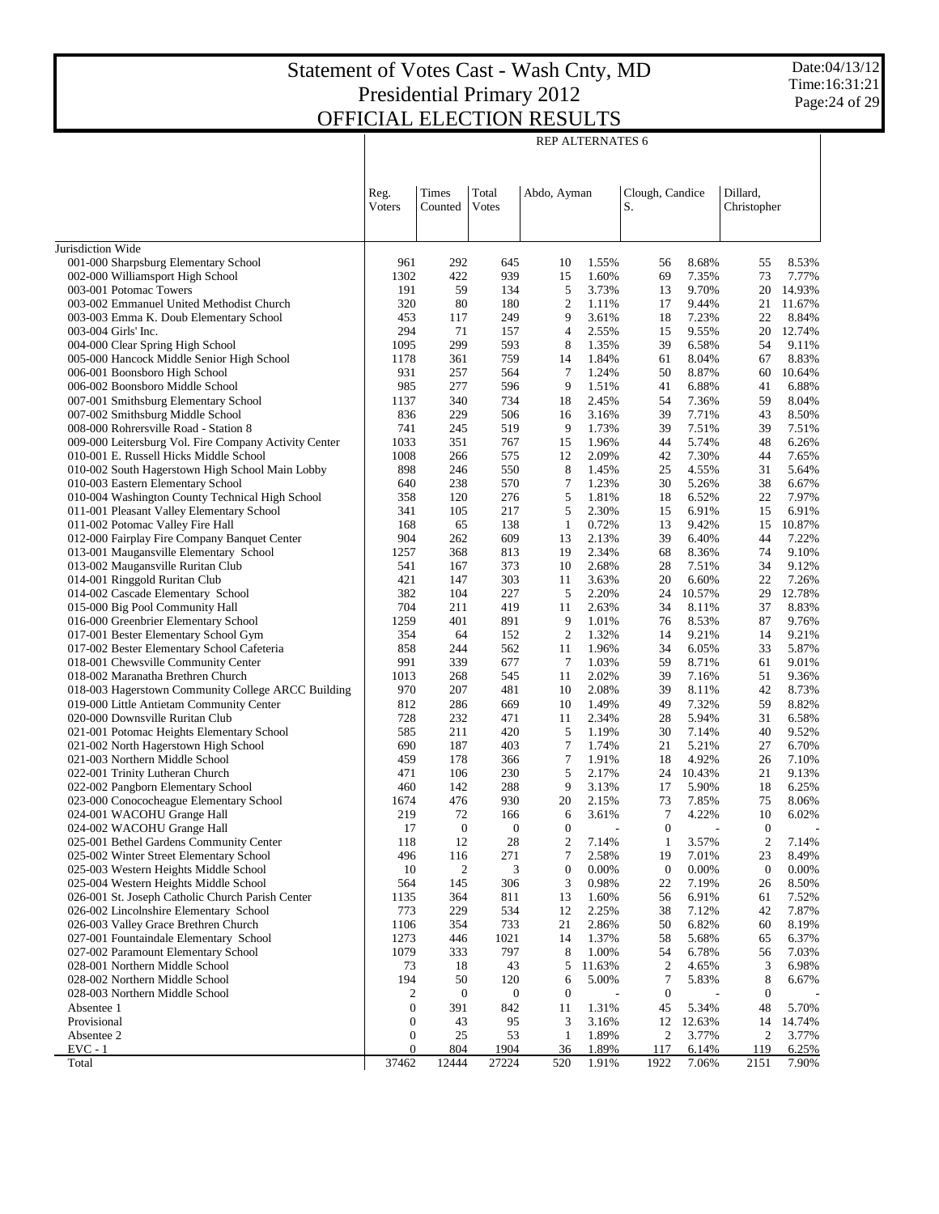Date:04/13/12 Time:16:31:21 Page:24 of 29

|                                                                                    | <b>REP ALTERNATES 6</b>                                              |                       |                  |                    |                |                        |                 |                        |                 |  |
|------------------------------------------------------------------------------------|----------------------------------------------------------------------|-----------------------|------------------|--------------------|----------------|------------------------|-----------------|------------------------|-----------------|--|
|                                                                                    | Dillard,<br>Times<br>Total<br>Clough, Candice<br>Reg.<br>Abdo, Ayman |                       |                  |                    |                |                        |                 |                        |                 |  |
|                                                                                    | <b>V</b> oters                                                       | Counted               | Votes            |                    |                | S.                     |                 | Christopher            |                 |  |
| Jurisdiction Wide                                                                  |                                                                      |                       |                  |                    |                |                        |                 |                        |                 |  |
| 001-000 Sharpsburg Elementary School                                               | 961                                                                  | 292                   | 645              | 10                 | 1.55%          | 56                     | 8.68%           | 55                     | 8.53%           |  |
| 002-000 Williamsport High School                                                   | 1302                                                                 | 422                   | 939              | 15                 | 1.60%          | 69                     | 7.35%           | 73                     | 7.77%           |  |
| 003-001 Potomac Towers                                                             | 191                                                                  | 59                    | 134              | 5                  | 3.73%          | 13                     | 9.70%           | 20                     | 14.93%          |  |
| 003-002 Emmanuel United Methodist Church                                           | 320                                                                  | 80                    | 180              | 2                  | 1.11%          | 17                     | 9.44%           | 21                     | 11.67%          |  |
| 003-003 Emma K. Doub Elementary School                                             | 453                                                                  | 117                   | 249              | 9                  | 3.61%          | 18                     | 7.23%           | 22                     | 8.84%           |  |
| 003-004 Girls' Inc.                                                                | 294                                                                  | 71                    | 157              | $\overline{4}$     | 2.55%          | 15                     | 9.55%           | 20                     | 12.74%          |  |
| 004-000 Clear Spring High School<br>005-000 Hancock Middle Senior High School      | 1095                                                                 | 299<br>361            | 593<br>759       | 8<br>14            | 1.35%          | 39                     | 6.58%           | 54                     | 9.11%<br>8.83%  |  |
| 006-001 Boonsboro High School                                                      | 1178<br>931                                                          | 257                   | 564              | 7                  | 1.84%<br>1.24% | 61<br>50               | 8.04%<br>8.87%  | 67<br>60               | 10.64%          |  |
| 006-002 Boonsboro Middle School                                                    | 985                                                                  | 277                   | 596              | 9                  | 1.51%          | 41                     | 6.88%           | 41                     | 6.88%           |  |
| 007-001 Smithsburg Elementary School                                               | 1137                                                                 | 340                   | 734              | 18                 | 2.45%          | 54                     | 7.36%           | 59                     | 8.04%           |  |
| 007-002 Smithsburg Middle School                                                   | 836                                                                  | 229                   | 506              | 16                 | 3.16%          | 39                     | 7.71%           | 43                     | 8.50%           |  |
| 008-000 Rohrersville Road - Station 8                                              | 741                                                                  | 245                   | 519              | 9                  | 1.73%          | 39                     | 7.51%           | 39                     | 7.51%           |  |
| 009-000 Leitersburg Vol. Fire Company Activity Center                              | 1033                                                                 | 351                   | 767              | 15                 | 1.96%          | 44                     | 5.74%           | 48                     | 6.26%           |  |
| 010-001 E. Russell Hicks Middle School                                             | 1008                                                                 | 266                   | 575              | 12                 | 2.09%          | 42                     | 7.30%           | 44                     | 7.65%           |  |
| 010-002 South Hagerstown High School Main Lobby                                    | 898                                                                  | 246                   | 550              | 8                  | 1.45%          | 25                     | 4.55%           | 31                     | 5.64%           |  |
| 010-003 Eastern Elementary School                                                  | 640                                                                  | 238                   | 570              | 7                  | 1.23%          | 30                     | 5.26%           | 38                     | 6.67%           |  |
| 010-004 Washington County Technical High School                                    | 358                                                                  | 120                   | 276              | 5                  | 1.81%          | 18                     | 6.52%           | 22                     | 7.97%           |  |
| 011-001 Pleasant Valley Elementary School                                          | 341                                                                  | 105                   | 217              | 5                  | 2.30%          | 15                     | 6.91%           | 15                     | 6.91%           |  |
| 011-002 Potomac Valley Fire Hall<br>012-000 Fairplay Fire Company Banquet Center   | 168<br>904                                                           | 65<br>262             | 138<br>609       | $\mathbf{1}$<br>13 | 0.72%<br>2.13% | 13<br>39               | 9.42%<br>6.40%  | 15<br>44               | 10.87%<br>7.22% |  |
| 013-001 Maugansville Elementary School                                             | 1257                                                                 | 368                   | 813              | 19                 | 2.34%          | 68                     | 8.36%           | 74                     | 9.10%           |  |
| 013-002 Maugansville Ruritan Club                                                  | 541                                                                  | 167                   | 373              | 10                 | 2.68%          | 28                     | 7.51%           | 34                     | 9.12%           |  |
| 014-001 Ringgold Ruritan Club                                                      | 421                                                                  | 147                   | 303              | 11                 | 3.63%          | 20                     | 6.60%           | 22                     | 7.26%           |  |
| 014-002 Cascade Elementary School                                                  | 382                                                                  | 104                   | 227              | 5                  | 2.20%          | 24                     | 10.57%          | 29                     | 12.78%          |  |
| 015-000 Big Pool Community Hall                                                    | 704                                                                  | 211                   | 419              | 11                 | 2.63%          | 34                     | 8.11%           | 37                     | 8.83%           |  |
| 016-000 Greenbrier Elementary School                                               | 1259                                                                 | 401                   | 891              | 9                  | 1.01%          | 76                     | 8.53%           | 87                     | 9.76%           |  |
| 017-001 Bester Elementary School Gym                                               | 354                                                                  | 64                    | 152              | $\mathfrak{2}$     | 1.32%          | 14                     | 9.21%           | 14                     | 9.21%           |  |
| 017-002 Bester Elementary School Cafeteria                                         | 858                                                                  | 244                   | 562              | 11                 | 1.96%          | 34                     | 6.05%           | 33                     | 5.87%           |  |
| 018-001 Chewsville Community Center                                                | 991                                                                  | 339                   | 677              | $\overline{7}$     | 1.03%          | 59                     | 8.71%           | 61                     | 9.01%           |  |
| 018-002 Maranatha Brethren Church                                                  | 1013                                                                 | 268                   | 545              | 11                 | 2.02%          | 39                     | 7.16%           | 51                     | 9.36%           |  |
| 018-003 Hagerstown Community College ARCC Building                                 | 970<br>812                                                           | 207<br>286            | 481<br>669       | 10<br>10           | 2.08%<br>1.49% | 39<br>49               | 8.11%<br>7.32%  | 42<br>59               | 8.73%<br>8.82%  |  |
| 019-000 Little Antietam Community Center<br>020-000 Downsville Ruritan Club        | 728                                                                  | 232                   | 471              | 11                 | 2.34%          | 28                     | 5.94%           | 31                     | 6.58%           |  |
| 021-001 Potomac Heights Elementary School                                          | 585                                                                  | 211                   | 420              | 5                  | 1.19%          | 30                     | 7.14%           | 40                     | 9.52%           |  |
| 021-002 North Hagerstown High School                                               | 690                                                                  | 187                   | 403              | $\overline{7}$     | 1.74%          | 21                     | 5.21%           | 27                     | 6.70%           |  |
| 021-003 Northern Middle School                                                     | 459                                                                  | 178                   | 366              | 7                  | 1.91%          | 18                     | 4.92%           | 26                     | 7.10%           |  |
| 022-001 Trinity Lutheran Church                                                    | 471                                                                  | 106                   | 230              | 5                  | 2.17%          | 24                     | 10.43%          | 21                     | 9.13%           |  |
| 022-002 Pangborn Elementary School                                                 | 460                                                                  | 142                   | 288              | 9                  | 3.13%          | 17                     | 5.90%           | 18                     | 6.25%           |  |
| 023-000 Conococheague Elementary School                                            | 1674                                                                 | 476                   | 930              | 20                 | 2.15%          | 73                     | 7.85%           | 75                     | 8.06%           |  |
| 024-001 WACOHU Grange Hall                                                         | 219                                                                  | 72                    | 166              | 6                  | 3.61%          | 7                      | 4.22%           | 10                     | 6.02%           |  |
| 024-002 WACOHU Grange Hall                                                         | 17                                                                   | $\boldsymbol{0}$      | $\boldsymbol{0}$ | $\mathbf{0}$       |                | $\boldsymbol{0}$       | $\overline{a}$  | $\boldsymbol{0}$       |                 |  |
| 025-001 Bethel Gardens Community Center<br>025-002 Winter Street Elementary School | 118                                                                  | 12                    | 28               | $\overline{c}$     | 7.14%          | $\mathbf{1}$           | 3.57%           | $\boldsymbol{2}$       | 7.14%           |  |
| 025-003 Western Heights Middle School                                              | 496<br>10                                                            | 116<br>$\overline{c}$ | 271<br>3         | 7<br>$\bf{0}$      | 2.58%<br>0.00% | 19<br>$\boldsymbol{0}$ | 7.01%<br>0.00%  | 23<br>$\boldsymbol{0}$ | 8.49%<br>0.00%  |  |
| 025-004 Western Heights Middle School                                              | 564                                                                  | 145                   | 306              | 3                  | 0.98%          | 22                     | 7.19%           | 26                     | 8.50%           |  |
| 026-001 St. Joseph Catholic Church Parish Center                                   | 1135                                                                 | 364                   | 811              | 13                 | 1.60%          | 56                     | 6.91%           | 61                     | 7.52%           |  |
| 026-002 Lincolnshire Elementary School                                             | 773                                                                  | 229                   | 534              | 12                 | 2.25%          | 38                     | 7.12%           | 42                     | 7.87%           |  |
| 026-003 Valley Grace Brethren Church                                               | 1106                                                                 | 354                   | 733              | 21                 | 2.86%          | 50                     | 6.82%           | 60                     | 8.19%           |  |
| 027-001 Fountaindale Elementary School                                             | 1273                                                                 | 446                   | 1021             | 14                 | 1.37%          | 58                     | 5.68%           | 65                     | 6.37%           |  |
| 027-002 Paramount Elementary School                                                | 1079                                                                 | 333                   | 797              | 8                  | 1.00%          | 54                     | 6.78%           | 56                     | 7.03%           |  |
| 028-001 Northern Middle School                                                     | 73                                                                   | 18                    | 43               | 5                  | 11.63%         | 2                      | 4.65%           | 3                      | 6.98%           |  |
| 028-002 Northern Middle School                                                     | 194                                                                  | 50                    | 120              | 6                  | 5.00%          | 7                      | 5.83%           | 8                      | 6.67%           |  |
| 028-003 Northern Middle School                                                     | 2                                                                    | $\boldsymbol{0}$      | $\mathbf 0$      | $\boldsymbol{0}$   |                | $\boldsymbol{0}$       |                 | $\boldsymbol{0}$       |                 |  |
| Absentee 1                                                                         | $\boldsymbol{0}$                                                     | 391                   | 842              | 11                 | 1.31%          | 45                     | 5.34%           | 48                     | 5.70%           |  |
| Provisional<br>Absentee 2                                                          | $\boldsymbol{0}$<br>$\boldsymbol{0}$                                 | 43<br>25              | 95<br>53         | 3<br>$\mathbf{1}$  | 3.16%<br>1.89% | 12<br>2                | 12.63%<br>3.77% | 14<br>2                | 14.74%<br>3.77% |  |
| $EVC - 1$                                                                          | $\boldsymbol{0}$                                                     | 804                   | 1904             | 36                 | 1.89%          | 117                    | 6.14%           | 119                    | 6.25%           |  |
| Total                                                                              | 37462                                                                | 12444                 | 27224            | 520                | 1.91%          | 1922                   | 7.06%           | 2151                   | 7.90%           |  |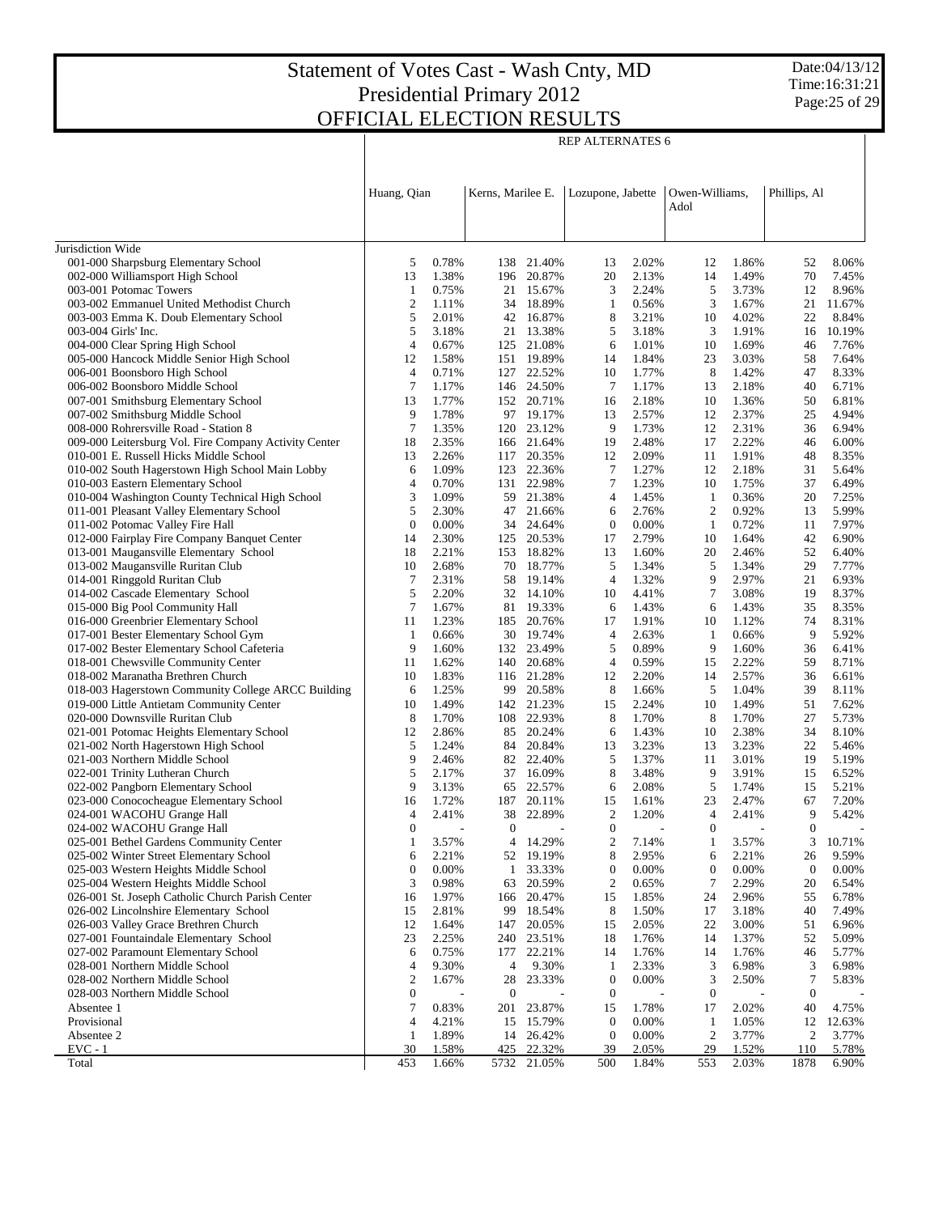Date:04/13/12 Time:16:31:21 Page:25 of 29

Τ

|                                                                             | Huang, Qian                    |                | Kerns, Marilee E. |                         | Lozupone, Jabette                |                | Owen-Williams,       |                | Phillips, Al     |                |
|-----------------------------------------------------------------------------|--------------------------------|----------------|-------------------|-------------------------|----------------------------------|----------------|----------------------|----------------|------------------|----------------|
|                                                                             |                                |                |                   |                         |                                  |                | Adol                 |                |                  |                |
| Jurisdiction Wide                                                           |                                |                |                   |                         |                                  |                |                      |                |                  |                |
| 001-000 Sharpsburg Elementary School                                        | 5                              | 0.78%          | 138               | 21.40%                  | 13                               | 2.02%          | 12                   | 1.86%          | 52               | 8.06%          |
| 002-000 Williamsport High School                                            | 13                             | 1.38%          |                   | 196 20.87%              | 20                               | 2.13%          | 14                   | 1.49%          | 70               | 7.45%          |
| 003-001 Potomac Towers                                                      | -1                             | 0.75%          |                   | 21 15.67%               | 3                                | 2.24%          | 5                    | 3.73%          | 12               | 8.96%          |
| 003-002 Emmanuel United Methodist Church                                    | $\boldsymbol{2}$               | 1.11%          |                   | 34 18.89%               | 1                                | 0.56%          | 3                    | 1.67%          | 21               | 11.67%         |
| 003-003 Emma K. Doub Elementary School                                      | 5                              | 2.01%          |                   | 42 16.87%               | 8                                | 3.21%          | 10                   | 4.02%          | 22               | 8.84%          |
| 003-004 Girls' Inc.                                                         | 5                              | 3.18%          |                   | 21 13.38%               | 5                                | 3.18%          | 3                    | 1.91%          | 16               | 10.19%         |
| 004-000 Clear Spring High School                                            | $\overline{4}$                 | 0.67%          |                   | 125 21.08%              | 6                                | 1.01%          | 10                   | 1.69%          | 46               | 7.76%          |
| 005-000 Hancock Middle Senior High School                                   | 12                             | 1.58%          |                   | 151 19.89%              | 14                               | 1.84%          | 23                   | 3.03%          | 58               | 7.64%          |
| 006-001 Boonsboro High School                                               | $\overline{4}$                 | 0.71%          |                   | 127 22.52%              | 10                               | 1.77%          | 8                    | 1.42%          | 47               | 8.33%          |
| 006-002 Boonsboro Middle School                                             | 7                              | 1.17%          |                   | 146 24.50%              | 7                                | 1.17%          | 13                   | 2.18%          | 40               | 6.71%          |
| 007-001 Smithsburg Elementary School                                        | 13<br>9                        | 1.77%          |                   | 152 20.71%              | 16                               | 2.18%          | 10                   | 1.36%          | 50               | 6.81%          |
| 007-002 Smithsburg Middle School<br>008-000 Rohrersville Road - Station 8   | $\overline{7}$                 | 1.78%<br>1.35% |                   | 97 19.17%<br>120 23.12% | 13<br>9                          | 2.57%<br>1.73% | 12<br>12             | 2.37%<br>2.31% | 25<br>36         | 4.94%<br>6.94% |
| 009-000 Leitersburg Vol. Fire Company Activity Center                       | 18                             | 2.35%          |                   | 166 21.64%              | 19                               | 2.48%          | 17                   | 2.22%          | 46               | 6.00%          |
| 010-001 E. Russell Hicks Middle School                                      | 13                             | 2.26%          | 117               | 20.35%                  | 12                               | 2.09%          | 11                   | 1.91%          | 48               | 8.35%          |
| 010-002 South Hagerstown High School Main Lobby                             | 6                              | 1.09%          |                   | 123 22.36%              | 7                                | 1.27%          | 12                   | 2.18%          | 31               | 5.64%          |
| 010-003 Eastern Elementary School                                           | $\overline{4}$                 | 0.70%          |                   | 131 22.98%              | 7                                | 1.23%          | 10                   | 1.75%          | 37               | 6.49%          |
| 010-004 Washington County Technical High School                             | 3                              | 1.09%          |                   | 59 21.38%               | 4                                | 1.45%          | 1                    | 0.36%          | 20               | 7.25%          |
| 011-001 Pleasant Valley Elementary School                                   | 5                              | 2.30%          |                   | 47 21.66%               | 6                                | 2.76%          | 2                    | 0.92%          | 13               | 5.99%          |
| 011-002 Potomac Valley Fire Hall                                            | $\mathbf{0}$                   | 0.00%          |                   | 34 24.64%               | $\boldsymbol{0}$                 | 0.00%          | -1                   | 0.72%          | 11               | 7.97%          |
| 012-000 Fairplay Fire Company Banquet Center                                | 14                             | 2.30%          |                   | 125 20.53%              | 17                               | 2.79%          | 10                   | 1.64%          | 42               | 6.90%          |
| 013-001 Maugansville Elementary School                                      | 18                             | 2.21%          |                   | 153 18.82%              | 13                               | 1.60%          | 20                   | 2.46%          | 52               | 6.40%          |
| 013-002 Maugansville Ruritan Club                                           | 10                             | 2.68%          | 70                | 18.77%                  | 5                                | 1.34%          | 5                    | 1.34%          | 29               | 7.77%          |
| 014-001 Ringgold Ruritan Club                                               | 7                              | 2.31%          | 58                | 19.14%                  | $\overline{4}$                   | 1.32%          | 9                    | 2.97%          | 21               | 6.93%          |
| 014-002 Cascade Elementary School                                           | 5                              | 2.20%          |                   | 32 14.10%               | 10                               | 4.41%          | 7                    | 3.08%          | 19               | 8.37%          |
| 015-000 Big Pool Community Hall                                             | 7                              | 1.67%          |                   | 81 19.33%               | 6                                | 1.43%          | 6                    | 1.43%          | 35               | 8.35%          |
| 016-000 Greenbrier Elementary School                                        | 11                             | 1.23%          |                   | 185 20.76%              | 17                               | 1.91%          | 10                   | 1.12%          | 74               | 8.31%          |
| 017-001 Bester Elementary School Gym                                        | $\mathbf{1}$                   | 0.66%          | 30                | 19.74%                  | $\overline{4}$                   | 2.63%          | 1                    | 0.66%          | 9                | 5.92%          |
| 017-002 Bester Elementary School Cafeteria                                  | 9                              | 1.60%          |                   | 132 23.49%              | 5                                | 0.89%          | 9                    | 1.60%          | 36               | 6.41%          |
| 018-001 Chewsville Community Center                                         | 11                             | 1.62%          | 140               | 20.68%                  | $\overline{4}$                   | 0.59%          | 15                   | 2.22%          | 59               | 8.71%          |
| 018-002 Maranatha Brethren Church                                           | 10                             | 1.83%          |                   | 116 21.28%              | 12                               | 2.20%          | 14                   | 2.57%          | 36               | 6.61%          |
| 018-003 Hagerstown Community College ARCC Building                          | 6<br>10                        | 1.25%<br>1.49% | 99                | 20.58%<br>142 21.23%    | 8                                | 1.66%<br>2.24% | 5                    | 1.04%<br>1.49% | 39<br>51         | 8.11%<br>7.62% |
| 019-000 Little Antietam Community Center<br>020-000 Downsville Ruritan Club | 8                              | 1.70%          |                   | 108 22.93%              | 15<br>8                          | 1.70%          | 10<br>8              | 1.70%          | 27               | 5.73%          |
| 021-001 Potomac Heights Elementary School                                   | 12                             | 2.86%          | 85                | 20.24%                  | 6                                | 1.43%          | 10                   | 2.38%          | 34               | 8.10%          |
| 021-002 North Hagerstown High School                                        | 5                              | 1.24%          |                   | 84 20.84%               | 13                               | 3.23%          | 13                   | 3.23%          | 22               | 5.46%          |
| 021-003 Northern Middle School                                              | 9                              | 2.46%          |                   | 82 22.40%               | 5                                | 1.37%          | 11                   | 3.01%          | 19               | 5.19%          |
| 022-001 Trinity Lutheran Church                                             | 5                              | 2.17%          |                   | 37 16.09%               | 8                                | 3.48%          | 9                    | 3.91%          | 15               | 6.52%          |
| 022-002 Pangborn Elementary School                                          | 9                              | 3.13%          | 65                | 22.57%                  | 6                                | 2.08%          | 5                    | 1.74%          | 15               | 5.21%          |
| 023-000 Conococheague Elementary School                                     | 16                             | 1.72%          | 187               | 20.11%                  | 15                               | 1.61%          | 23                   | 2.47%          | 67               | 7.20%          |
| 024-001 WACOHU Grange Hall                                                  | $\overline{4}$                 | 2.41%          | 38                | 22.89%                  | $\mathfrak{2}$                   | 1.20%          | $\overline{4}$       | 2.41%          | 9                | 5.42%          |
| 024-002 WACOHU Grange Hall                                                  | $\Omega$                       |                | $\theta$          |                         | $\mathbf{0}$                     |                | $\mathbf{0}$         |                | $\mathbf{0}$     |                |
| 025-001 Bethel Gardens Community Center                                     | 1                              | 3.57%          | 4                 | 14.29%                  | 2                                | 7.14%          | 1                    | 3.57%          | 3                | 10.71%         |
| 025-002 Winter Street Elementary School                                     | 6                              | 2.21%          |                   | 52 19.19%               | 8                                | 2.95%          | 6                    | 2.21%          | 26               | 9.59%          |
| 025-003 Western Heights Middle School                                       | $\boldsymbol{0}$               | 0.00%          | 1                 | 33.33%                  | $\boldsymbol{0}$                 | 0.00%          | $\boldsymbol{0}$     | 0.00%          | $\mathbf{0}$     | 0.00%          |
| 025-004 Western Heights Middle School                                       | 3                              | 0.98%          | 63                | 20.59%                  | 2                                | 0.65%          | 7                    | 2.29%          | 20               | 6.54%          |
| 026-001 St. Joseph Catholic Church Parish Center                            | 16                             | 1.97%          | 166               | 20.47%                  | 15                               | 1.85%          | 24                   | 2.96%          | 55               | 6.78%          |
| 026-002 Lincolnshire Elementary School                                      | 15                             | 2.81%          | 99                | 18.54%                  | 8                                | 1.50%          | 17                   | 3.18%          | 40               | 7.49%          |
| 026-003 Valley Grace Brethren Church                                        | 12                             | 1.64%          | 147               | 20.05%                  | 15                               | 2.05%          | 22                   | 3.00%          | 51               | 6.96%          |
| 027-001 Fountaindale Elementary School                                      | 23                             | 2.25%          | 240               | 23.51%                  | 18                               | 1.76%          | 14                   | 1.37%          | 52               | 5.09%          |
| 027-002 Paramount Elementary School                                         | 6                              | 0.75%          |                   | 177 22.21%              | 14                               | 1.76%          | 14                   | 1.76%          | 46               | 5.77%          |
| 028-001 Northern Middle School                                              | $\overline{4}$                 | 9.30%          | 4                 | 9.30%                   | $\mathbf{1}$                     | 2.33%          | 3                    | 6.98%          | 3                | 6.98%          |
| 028-002 Northern Middle School                                              | $\overline{2}$                 | 1.67%          | 28                | 23.33%                  | $\boldsymbol{0}$                 | 0.00%          | 3                    | 2.50%          | 7                | 5.83%          |
| 028-003 Northern Middle School                                              | $\boldsymbol{0}$               |                | $\boldsymbol{0}$  |                         | $\boldsymbol{0}$                 |                | $\boldsymbol{0}$     |                | $\boldsymbol{0}$ |                |
| Absentee 1                                                                  | 7                              | 0.83%          | 201               | 23.87%                  | 15                               | 1.78%          | 17                   | 2.02%          | 40               | 4.75%          |
| Provisional<br>Absentee 2                                                   | $\overline{4}$<br>$\mathbf{1}$ | 4.21%          | 15                | 15.79%                  | $\boldsymbol{0}$<br>$\mathbf{0}$ | 0.00%          | $\mathbf{1}$         | 1.05%          | 12               | 12.63%         |
| $EVC - 1$                                                                   | 30                             | 1.89%<br>1.58% | 425               | 14 26.42%<br>22.32%     | 39                               | 0.00%<br>2.05% | $\overline{c}$<br>29 | 3.77%<br>1.52% | 2<br>110         | 3.77%<br>5.78% |
| Total                                                                       | 453                            | 1.66%          |                   | 5732 21.05%             | 500                              | 1.84%          | 553                  | 2.03%          | 1878             | 6.90%          |

REP ALTERNATES 6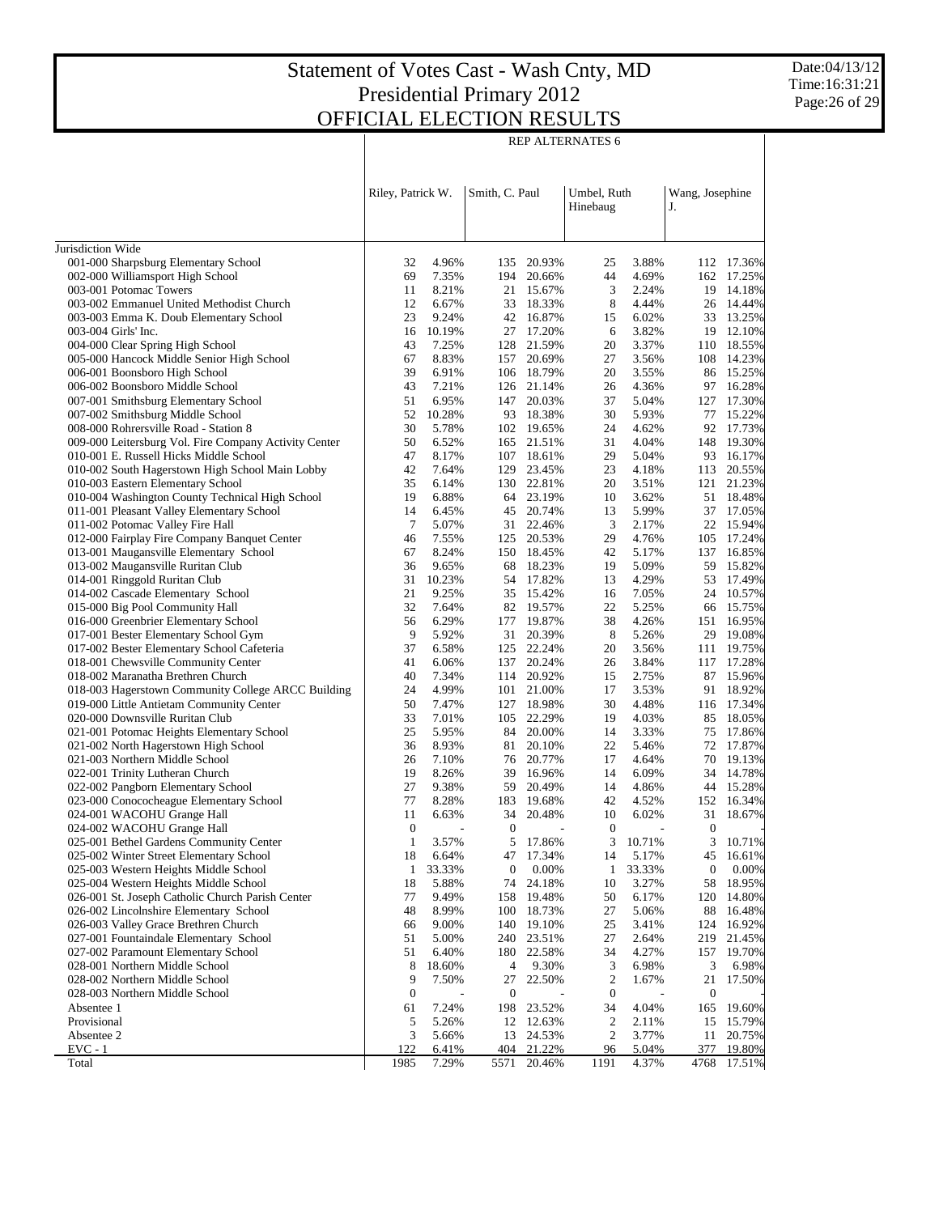REP ALTERNATES 6

|                                                                                      | Riley, Patrick W.  |                 | Smith, C. Paul         |                          | Umbel, Ruth<br>Hinebaug |                 | Wang, Josephine<br>J.  |                  |
|--------------------------------------------------------------------------------------|--------------------|-----------------|------------------------|--------------------------|-------------------------|-----------------|------------------------|------------------|
| Jurisdiction Wide                                                                    |                    |                 |                        |                          |                         |                 |                        |                  |
| 001-000 Sharpsburg Elementary School                                                 | 32                 | 4.96%           | 135                    | 20.93%                   | 25                      | 3.88%           | 112                    | 17.36%           |
| 002-000 Williamsport High School                                                     | 69                 | 7.35%           |                        | 194 20.66%               | 44                      | 4.69%           | 162                    | 17.25%           |
| 003-001 Potomac Towers                                                               | 11                 | 8.21%           | 21                     | 15.67%                   | 3                       | 2.24%           | 19                     | 14.18%           |
| 003-002 Emmanuel United Methodist Church                                             | 12                 | 6.67%           | 33                     | 18.33%                   | 8                       | 4.44%           | 26                     | 14.44%           |
| 003-003 Emma K. Doub Elementary School                                               | 23                 | 9.24%           | 42                     | 16.87%                   | 15                      | 6.02%           |                        | 33 13.25%        |
| 003-004 Girls' Inc.                                                                  | 16                 | 10.19%          |                        | 27 17.20%                | 6                       | 3.82%           |                        | 19 12.10%        |
| 004-000 Clear Spring High School                                                     | 43                 | 7.25%           | 128                    | 21.59%                   | 20                      | 3.37%           |                        | 110 18.55%       |
| 005-000 Hancock Middle Senior High School                                            | 67                 | 8.83%           | 157                    | 20.69%                   | 27                      | 3.56%           |                        | 108 14.23%       |
| 006-001 Boonsboro High School                                                        | 39                 | 6.91%           |                        | 106 18.79%               | 20                      | 3.55%           |                        | 86 15.25%        |
| 006-002 Boonsboro Middle School                                                      | 43                 | 7.21%           |                        | 126 21.14%               | 26                      | 4.36%           | 97                     | 16.28%           |
| 007-001 Smithsburg Elementary School                                                 | 51                 | 6.95%           | 147                    | 20.03%                   | 37                      | 5.04%           | 127                    | 17.30%           |
| 007-002 Smithsburg Middle School                                                     | 52                 | 10.28%          |                        | 93 18.38%                | 30                      | 5.93%           | 77                     | 15.22%           |
| 008-000 Rohrersville Road - Station 8                                                | 30                 | 5.78%           |                        | 102 19.65%               | 24                      | 4.62%           | 92                     | 17.73%           |
| 009-000 Leitersburg Vol. Fire Company Activity Center                                | 50                 | 6.52%           |                        | 165 21.51%               | 31                      | 4.04%           |                        | 148 19.30%       |
| 010-001 E. Russell Hicks Middle School                                               | 47<br>42           | 8.17%           |                        | 107 18.61%<br>129 23.45% | 29<br>23                | 5.04%           | 93                     | 16.17%           |
| 010-002 South Hagerstown High School Main Lobby<br>010-003 Eastern Elementary School | 35                 | 7.64%           |                        | 130 22.81%               | 20                      | 4.18%           | 113<br>121             | 20.55%           |
| 010-004 Washington County Technical High School                                      | 19                 | 6.14%<br>6.88%  |                        | 64 23.19%                | 10                      | 3.51%<br>3.62%  | 51                     | 21.23%<br>18.48% |
| 011-001 Pleasant Valley Elementary School                                            | 14                 | 6.45%           | 45                     | 20.74%                   | 13                      | 5.99%           | 37                     | 17.05%           |
| 011-002 Potomac Valley Fire Hall                                                     | 7                  | 5.07%           |                        | 31 22.46%                | 3                       | 2.17%           | 22                     | 15.94%           |
| 012-000 Fairplay Fire Company Banquet Center                                         | 46                 | 7.55%           |                        | 125 20.53%               | 29                      | 4.76%           | 105                    | 17.24%           |
| 013-001 Maugansville Elementary School                                               | 67                 | 8.24%           |                        | 150 18.45%               | 42                      | 5.17%           | 137                    | 16.85%           |
| 013-002 Maugansville Ruritan Club                                                    | 36                 | 9.65%           | 68                     | 18.23%                   | 19                      | 5.09%           | 59                     | 15.82%           |
| 014-001 Ringgold Ruritan Club                                                        | 31                 | 10.23%          | 54                     | 17.82%                   | 13                      | 4.29%           | 53                     | 17.49%           |
| 014-002 Cascade Elementary School                                                    | 21                 | 9.25%           |                        | 35 15.42%                | 16                      | 7.05%           | 24                     | 10.57%           |
| 015-000 Big Pool Community Hall                                                      | 32                 | 7.64%           |                        | 82 19.57%                | 22                      | 5.25%           | 66                     | 15.75%           |
| 016-000 Greenbrier Elementary School                                                 | 56                 | 6.29%           | 177                    | 19.87%                   | 38                      | 4.26%           | 151                    | 16.95%           |
| 017-001 Bester Elementary School Gym                                                 | 9                  | 5.92%           | 31                     | 20.39%                   | 8                       | 5.26%           | 29                     | 19.08%           |
| 017-002 Bester Elementary School Cafeteria                                           | 37                 | 6.58%           |                        | 125 22.24%               | 20                      | 3.56%           | 111                    | 19.75%           |
| 018-001 Chewsville Community Center                                                  | 41                 | 6.06%           | 137                    | 20.24%                   | 26                      | 3.84%           |                        | 117 17.28%       |
| 018-002 Maranatha Brethren Church                                                    | 40                 | 7.34%           | 114                    | 20.92%                   | 15                      | 2.75%           | 87                     | 15.96%           |
| 018-003 Hagerstown Community College ARCC Building                                   | 24                 | 4.99%           | 101                    | 21.00%                   | 17                      | 3.53%           | 91                     | 18.92%           |
| 019-000 Little Antietam Community Center                                             | 50                 | 7.47%           |                        | 127 18.98%               | 30                      | 4.48%           |                        | 116 17.34%       |
| 020-000 Downsville Ruritan Club                                                      | 33                 | 7.01%           |                        | 105 22.29%               | 19                      | 4.03%           | 85                     | 18.05%           |
| 021-001 Potomac Heights Elementary School                                            | 25                 | 5.95%           | 84                     | 20.00%                   | 14                      | 3.33%           | 75                     | 17.86%           |
| 021-002 North Hagerstown High School                                                 | 36                 | 8.93%           | 81                     | 20.10%                   | 22                      | 5.46%           | 72                     | 17.87%           |
| 021-003 Northern Middle School                                                       | 26                 | 7.10%           | 76                     | 20.77%                   | 17                      | 4.64%           | 70                     | 19.13%           |
| 022-001 Trinity Lutheran Church                                                      | 19                 | 8.26%           | 39                     | 16.96%                   | 14                      | 6.09%           |                        | 34 14.78%        |
| 022-002 Pangborn Elementary School                                                   | 27                 | 9.38%           | 59                     | 20.49%                   | 14                      | 4.86%           | 44                     | 15.28%           |
| 023-000 Conococheague Elementary School                                              | 77                 | 8.28%           | 183                    | 19.68%                   | 42                      | 4.52%           | 152                    | 16.34%           |
| 024-001 WACOHU Grange Hall                                                           | 11                 | 6.63%           | 34                     | 20.48%                   | 10                      | 6.02%           | 31                     | 18.67%           |
| 024-002 WACOHU Grange Hall                                                           | $\boldsymbol{0}$   |                 | $\mathbf{0}$           |                          | $\boldsymbol{0}$        |                 | $\boldsymbol{0}$       |                  |
| 025-001 Bethel Gardens Community Center                                              | 1                  | 3.57%           | 5                      | 17.86%                   | 3                       | 10.71%          | 3                      | 10.71%           |
| 025-002 Winter Street Elementary School                                              | 18                 | 6.64%           | 47                     | 17.34%                   | 14                      | 5.17%           | 45                     | 16.61%           |
| 025-003 Western Heights Middle School<br>025-004 Western Heights Middle School       | $\mathbf{1}$<br>18 | 33.33%<br>5.88% | $\boldsymbol{0}$<br>74 | 0.00%<br>24.18%          | $\mathbf{1}$<br>10      | 33.33%<br>3.27% | $\boldsymbol{0}$<br>58 | 0.00%<br>18.95%  |
| 026-001 St. Joseph Catholic Church Parish Center                                     | 77                 | 9.49%           | 158                    | 19.48%                   | 50                      | 6.17%           | 120                    | 14.80%           |
| 026-002 Lincolnshire Elementary School                                               | 48                 | 8.99%           | 100                    | 18.73%                   | 27                      | 5.06%           | 88                     | 16.48%           |
| 026-003 Valley Grace Brethren Church                                                 | 66                 | 9.00%           | 140                    | 19.10%                   | 25                      | 3.41%           | 124                    | 16.92%           |
| 027-001 Fountaindale Elementary School                                               | 51                 | 5.00%           | 240                    | 23.51%                   | 27                      | 2.64%           | 219                    | 21.45%           |
| 027-002 Paramount Elementary School                                                  | 51                 | 6.40%           | 180                    | 22.58%                   | 34                      | 4.27%           | 157                    | 19.70%           |
| 028-001 Northern Middle School                                                       | 8                  | 18.60%          | 4                      | 9.30%                    | 3                       | 6.98%           | 3                      | 6.98%            |
| 028-002 Northern Middle School                                                       | 9                  | 7.50%           | 27                     | 22.50%                   | 2                       | 1.67%           | 21                     | 17.50%           |
| 028-003 Northern Middle School                                                       | $\boldsymbol{0}$   |                 | $\boldsymbol{0}$       |                          | $\boldsymbol{0}$        |                 | $\boldsymbol{0}$       |                  |
| Absentee 1                                                                           | 61                 | 7.24%           | 198                    | 23.52%                   | 34                      | 4.04%           | 165                    | 19.60%           |
| Provisional                                                                          | 5                  | 5.26%           | 12                     | 12.63%                   | 2                       | 2.11%           | 15                     | 15.79%           |
| Absentee 2                                                                           | 3                  | 5.66%           | 13                     | 24.53%                   | 2                       | 3.77%           | 11                     | 20.75%           |
| $EVC - 1$                                                                            | 122                | 6.41%           | 404                    | 21.22%                   | 96                      | 5.04%           | 377                    | 19.80%           |
| Total                                                                                | 1985               | 7.29%           | 5571                   | 20.46%                   | 1191                    | 4.37%           | 4768                   | 17.51%           |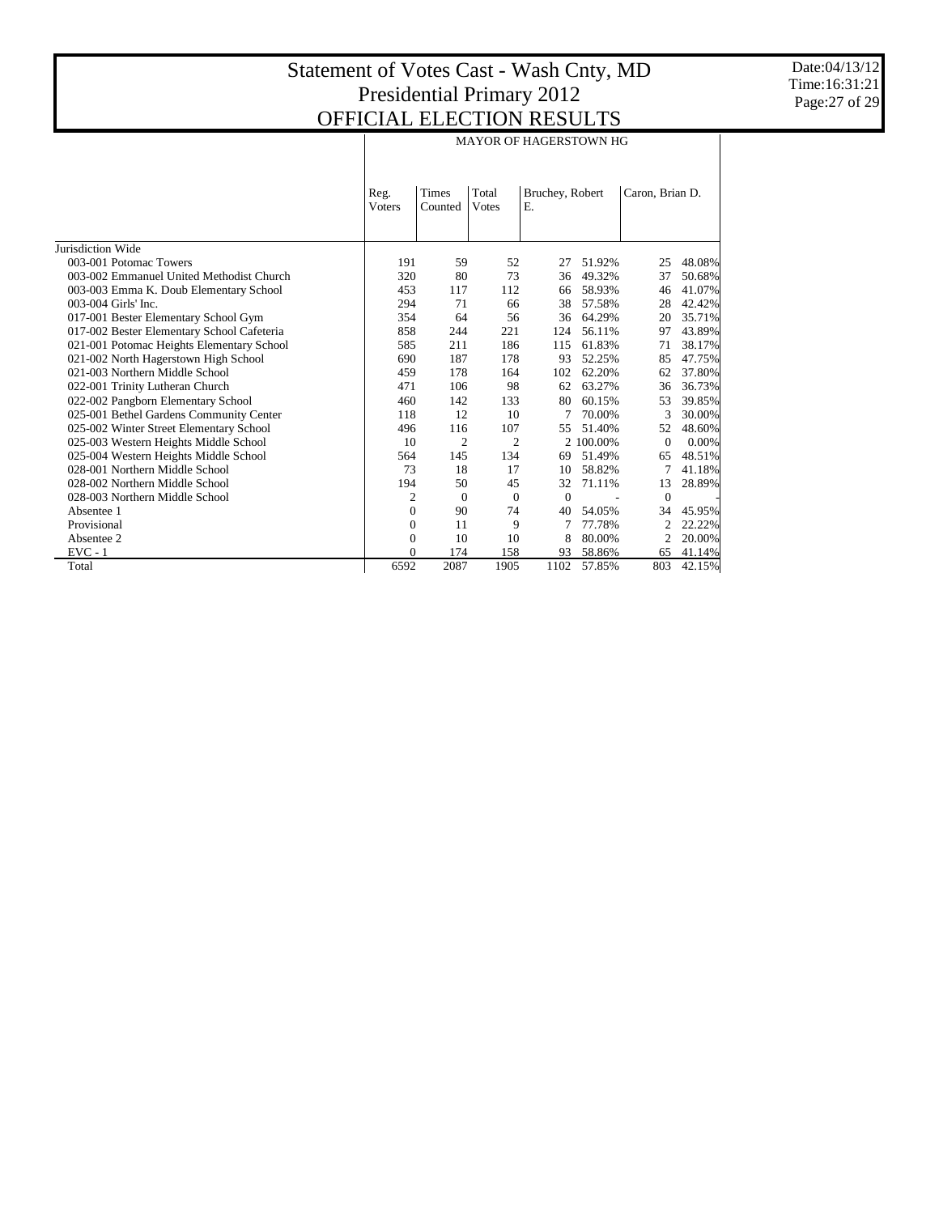|                                            | <b>MAYOR OF HAGERSTOWN HG</b> |                  |                        |                       |           |                 |          |  |  |  |  |
|--------------------------------------------|-------------------------------|------------------|------------------------|-----------------------|-----------|-----------------|----------|--|--|--|--|
|                                            | Reg.<br><b>V</b> oters        | Times<br>Counted | Total<br><b>V</b> otes | Bruchey, Robert<br>Е. |           | Caron, Brian D. |          |  |  |  |  |
| Jurisdiction Wide                          |                               |                  |                        |                       |           |                 |          |  |  |  |  |
| 003-001 Potomac Towers                     | 191                           | 59               | 52                     | 27                    | 51.92%    | 25              | 48.08%   |  |  |  |  |
| 003-002 Emmanuel United Methodist Church   | 320                           | 80               | 73                     | 36                    | 49.32%    | 37              | 50.68%   |  |  |  |  |
| 003-003 Emma K. Doub Elementary School     | 453                           | 117              | 112                    | 66                    | 58.93%    | 46              | 41.07%   |  |  |  |  |
| 003-004 Girls' Inc.                        | 294                           | 71               | 66                     | 38                    | 57.58%    | 28              | 42.42%   |  |  |  |  |
| 017-001 Bester Elementary School Gym       | 354                           | 64               | 56                     | 36                    | 64.29%    | 20              | 35.71%   |  |  |  |  |
| 017-002 Bester Elementary School Cafeteria | 858                           | 244              | 221                    | 124                   | 56.11%    | 97              | 43.89%   |  |  |  |  |
| 021-001 Potomac Heights Elementary School  | 585                           | 211              | 186                    | 115                   | 61.83%    | 71              | 38.17%   |  |  |  |  |
| 021-002 North Hagerstown High School       | 690                           | 187              | 178                    | 93                    | 52.25%    | 85              | 47.75%   |  |  |  |  |
| 021-003 Northern Middle School             | 459                           | 178              | 164                    | 102                   | 62.20%    | 62              | 37.80%   |  |  |  |  |
| 022-001 Trinity Lutheran Church            | 471                           | 106              | 98                     | 62                    | 63.27%    | 36              | 36.73%   |  |  |  |  |
| 022-002 Pangborn Elementary School         | 460                           | 142              | 133                    | 80                    | 60.15%    | 53              | 39.85%   |  |  |  |  |
| 025-001 Bethel Gardens Community Center    | 118                           | 12               | 10                     | 7                     | 70.00%    | 3               | 30.00%   |  |  |  |  |
| 025-002 Winter Street Elementary School    | 496                           | 116              | 107                    | 55                    | 51.40%    | 52              | 48.60%   |  |  |  |  |
| 025-003 Western Heights Middle School      | 10                            | $\overline{2}$   | 2                      |                       | 2 100,00% | $\mathbf{0}$    | $0.00\%$ |  |  |  |  |
| 025-004 Western Heights Middle School      | 564                           | 145              | 134                    | 69                    | 51.49%    | 65              | 48.51%   |  |  |  |  |
| 028-001 Northern Middle School             | 73                            | 18               | 17                     | 10                    | 58.82%    | 7               | 41.18%   |  |  |  |  |
| 028-002 Northern Middle School             | 194                           | 50               | 45                     | 32                    | 71.11%    | 13              | 28.89%   |  |  |  |  |
| 028-003 Northern Middle School             | 2                             | $\mathbf{0}$     | $\mathbf{0}$           | $\theta$              |           | $\mathbf{0}$    |          |  |  |  |  |
| Absentee 1                                 | $\overline{0}$                | 90               | 74                     | 40                    | 54.05%    | 34              | 45.95%   |  |  |  |  |
| Provisional                                | 0                             | 11               | 9                      |                       | 77.78%    | 2               | 22.22%   |  |  |  |  |
| Absentee 2                                 | 0                             | 10               | 10                     | 8                     | 80.00%    | 2               | 20.00%   |  |  |  |  |
| $EVC - 1$                                  | $\overline{0}$                | 174              | 158                    | 93                    | 58.86%    | 65              | 41.14%   |  |  |  |  |
| Total                                      | 6592                          | 2087             | 1905                   | 1102                  | 57.85%    | 803             | 42.15%   |  |  |  |  |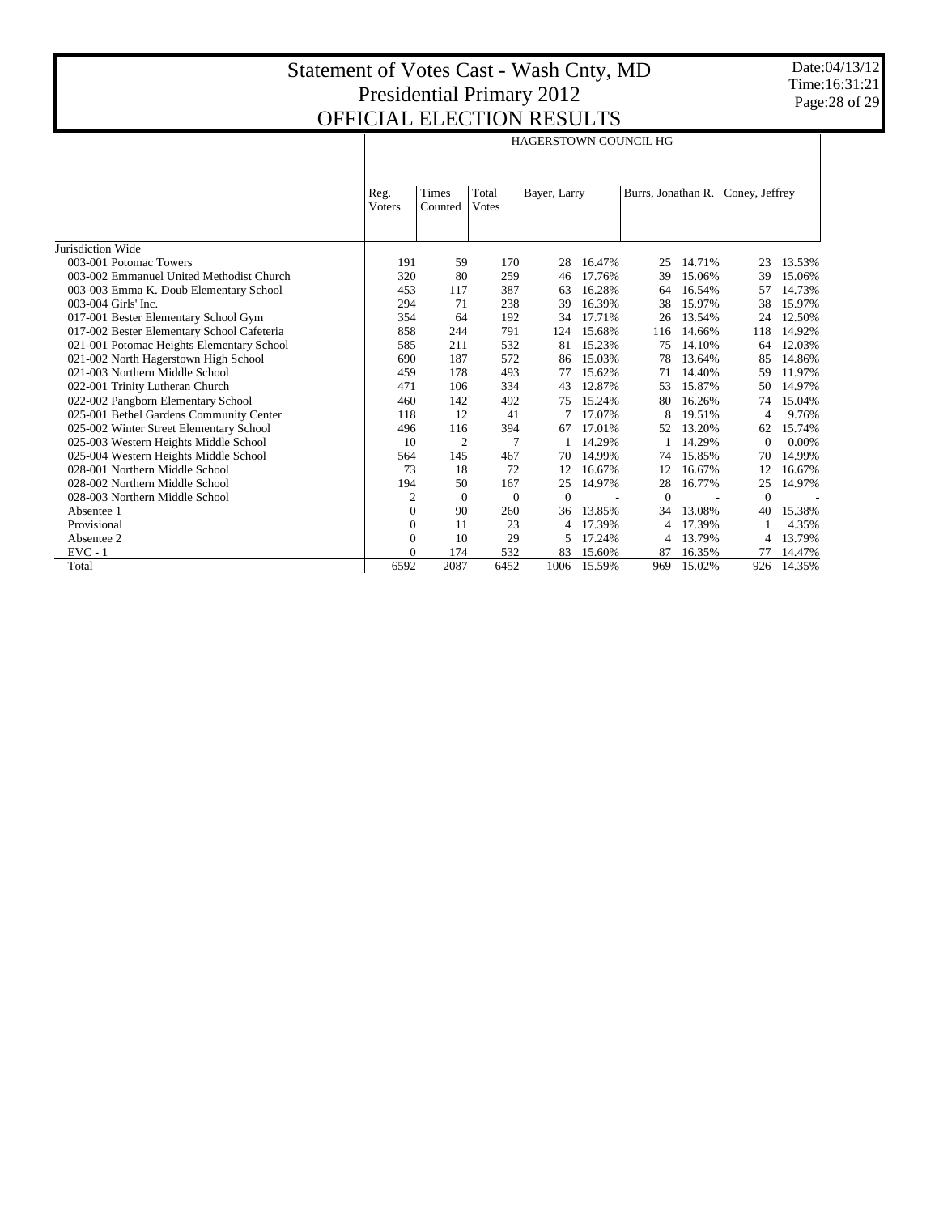Date:04/13/12 Time:16:31:21 Page:28 of 29

|                                            | <b>HAGERSTOWN COUNCIL HG</b> |                  |                        |                |        |                    |        |                |        |  |
|--------------------------------------------|------------------------------|------------------|------------------------|----------------|--------|--------------------|--------|----------------|--------|--|
|                                            | Reg.<br><b>V</b> oters       | Times<br>Counted | Total<br><b>V</b> otes | Bayer, Larry   |        | Burrs, Jonathan R. |        | Coney, Jeffrey |        |  |
| Jurisdiction Wide                          |                              |                  |                        |                |        |                    |        |                |        |  |
| 003-001 Potomac Towers                     | 191                          | 59               | 170                    | 28             | 16.47% | 25                 | 14.71% | 23             | 13.53% |  |
| 003-002 Emmanuel United Methodist Church   | 320                          | 80               | 259                    | 46             | 17.76% | 39                 | 15.06% | 39             | 15.06% |  |
| 003-003 Emma K. Doub Elementary School     | 453                          | 117              | 387                    | 63             | 16.28% | 64                 | 16.54% | 57             | 14.73% |  |
| 003-004 Girls' Inc.                        | 294                          | 71               | 238                    | 39             | 16.39% | 38                 | 15.97% | 38             | 15.97% |  |
| 017-001 Bester Elementary School Gym       | 354                          | 64               | 192                    | 34             | 17.71% | 26                 | 13.54% | 24             | 12.50% |  |
| 017-002 Bester Elementary School Cafeteria | 858                          | 244              | 791                    | 124            | 15.68% | 116                | 14.66% | 118            | 14.92% |  |
| 021-001 Potomac Heights Elementary School  | 585                          | 211              | 532                    | 81             | 15.23% | 75                 | 14.10% | 64             | 12.03% |  |
| 021-002 North Hagerstown High School       | 690                          | 187              | 572                    | 86             | 15.03% | 78                 | 13.64% | 85             | 14.86% |  |
| 021-003 Northern Middle School             | 459                          | 178              | 493                    | 77             | 15.62% | 71                 | 14.40% | 59             | 11.97% |  |
| 022-001 Trinity Lutheran Church            | 471                          | 106              | 334                    | 43             | 12.87% | 53                 | 15.87% | 50             | 14.97% |  |
| 022-002 Pangborn Elementary School         | 460                          | 142              | 492                    | 75             | 15.24% | 80                 | 16.26% | 74             | 15.04% |  |
| 025-001 Bethel Gardens Community Center    | 118                          | 12               | 41                     |                | 17.07% | 8                  | 19.51% | 4              | 9.76%  |  |
| 025-002 Winter Street Elementary School    | 496                          | 116              | 394                    | 67             | 17.01% | 52                 | 13.20% | 62             | 15.74% |  |
| 025-003 Western Heights Middle School      | 10                           | $\overline{2}$   | 7                      |                | 14.29% |                    | 14.29% | $\theta$       | 0.00%  |  |
| 025-004 Western Heights Middle School      | 564                          | 145              | 467                    | 70             | 14.99% | 74                 | 15.85% | 70             | 14.99% |  |
| 028-001 Northern Middle School             | 73                           | 18               | 72                     | 12             | 16.67% | 12                 | 16.67% | 12             | 16.67% |  |
| 028-002 Northern Middle School             | 194                          | 50               | 167                    | 25             | 14.97% | 28                 | 16.77% | 25             | 14.97% |  |
| 028-003 Northern Middle School             | 2                            | $\theta$         | $\mathbf{0}$           | $\overline{0}$ |        | $\overline{0}$     |        | $\mathbf{0}$   |        |  |
| Absentee 1                                 | $\Omega$                     | 90               | 260                    | 36             | 13.85% | 34                 | 13.08% | 40             | 15.38% |  |
| Provisional                                | $\mathbf{0}$                 | 11               | 23                     | 4              | 17.39% | 4                  | 17.39% |                | 4.35%  |  |
| Absentee 2                                 | $\Omega$                     | 10               | 29                     | 5              | 17.24% | 4                  | 13.79% | 4              | 13.79% |  |
| $EVC - 1$                                  | 0                            | 174              | 532                    | 83             | 15.60% | 87                 | 16.35% | 77             | 14.47% |  |
| Total                                      | 6592                         | 2087             | 6452                   | 1006           | 15.59% | 969                | 15.02% | 926            | 14.35% |  |